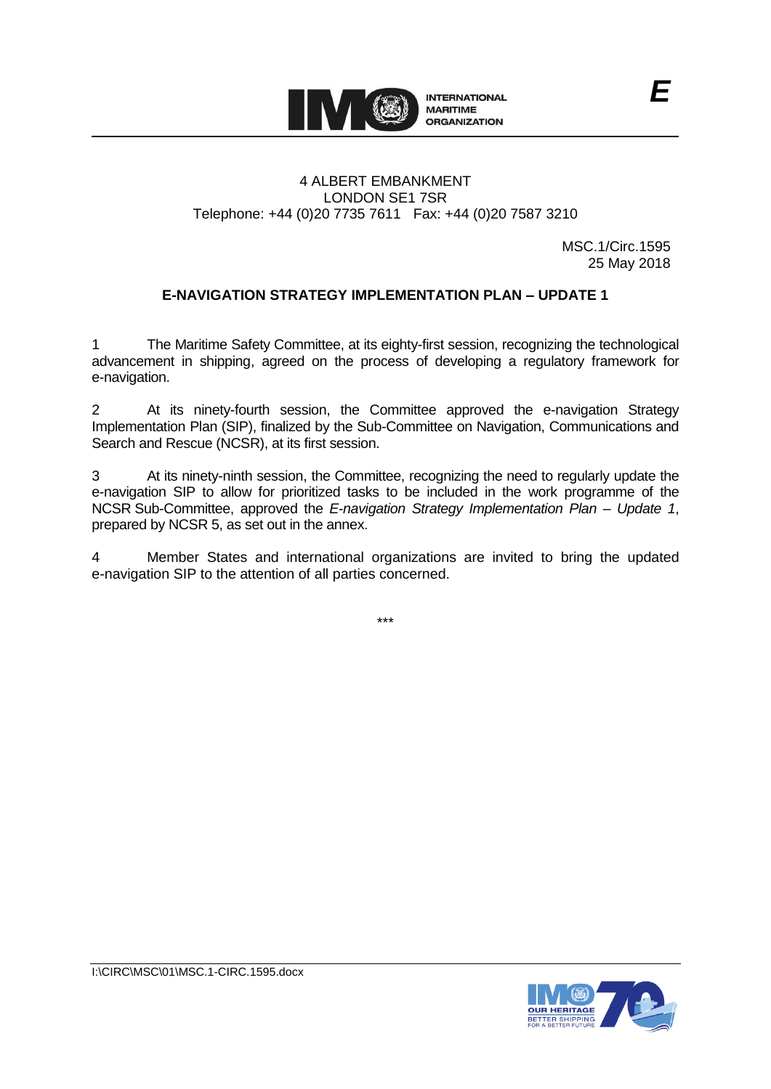

### 4 ALBERT EMBANKMENT LONDON SE1 7SR Telephone: +44 (0)20 7735 7611 Fax: +44 (0)20 7587 3210

MSC.1/Circ.1595 25 May 2018

*E*

## **E-NAVIGATION STRATEGY IMPLEMENTATION PLAN – UPDATE 1**

1 The Maritime Safety Committee, at its eighty-first session, recognizing the technological advancement in shipping, agreed on the process of developing a regulatory framework for e-navigation.

2 At its ninety-fourth session, the Committee approved the e-navigation Strategy Implementation Plan (SIP), finalized by the Sub-Committee on Navigation, Communications and Search and Rescue (NCSR), at its first session.

3 At its ninety-ninth session, the Committee, recognizing the need to regularly update the e-navigation SIP to allow for prioritized tasks to be included in the work programme of the NCSR Sub-Committee, approved the *E-navigation Strategy Implementation Plan – Update 1*, prepared by NCSR 5, as set out in the annex.

4 Member States and international organizations are invited to bring the updated e-navigation SIP to the attention of all parties concerned.

\*\*\*

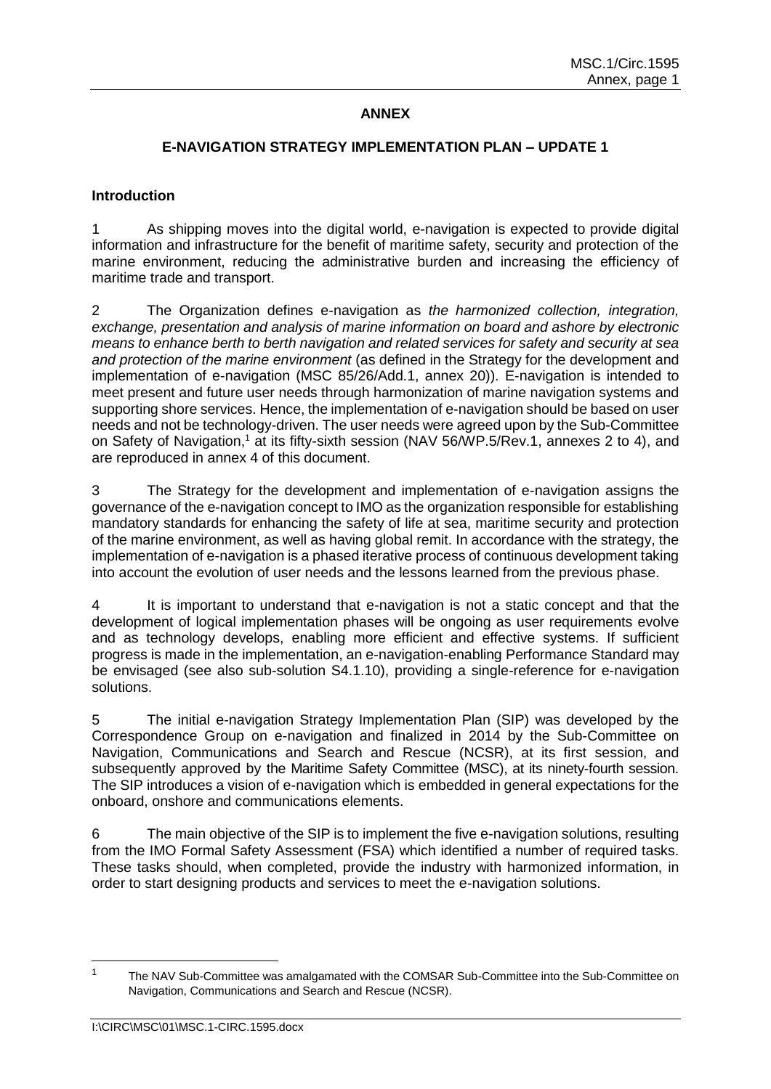## **ANNEX**

## **E-NAVIGATION STRATEGY IMPLEMENTATION PLAN – UPDATE 1**

#### **Introduction**

1 As shipping moves into the digital world, e-navigation is expected to provide digital information and infrastructure for the benefit of maritime safety, security and protection of the marine environment, reducing the administrative burden and increasing the efficiency of maritime trade and transport.

2 The Organization defines e-navigation as *the harmonized collection, integration, exchange, presentation and analysis of marine information on board and ashore by electronic means to enhance berth to berth navigation and related services for safety and security at sea and protection of the marine environment* (as defined in the Strategy for the development and implementation of e-navigation (MSC 85/26/Add.1, annex 20)). E-navigation is intended to meet present and future user needs through harmonization of marine navigation systems and supporting shore services. Hence, the implementation of e-navigation should be based on user needs and not be technology-driven. The user needs were agreed upon by the Sub-Committee on Safety of Navigation,<sup>1</sup> at its fifty-sixth session (NAV 56/WP.5/Rev.1, annexes 2 to 4), and are reproduced in annex 4 of this document.

3 The Strategy for the development and implementation of e-navigation assigns the governance of the e-navigation concept to IMO as the organization responsible for establishing mandatory standards for enhancing the safety of life at sea, maritime security and protection of the marine environment, as well as having global remit. In accordance with the strategy, the implementation of e-navigation is a phased iterative process of continuous development taking into account the evolution of user needs and the lessons learned from the previous phase.

4 It is important to understand that e-navigation is not a static concept and that the development of logical implementation phases will be ongoing as user requirements evolve and as technology develops, enabling more efficient and effective systems. If sufficient progress is made in the implementation, an e-navigation-enabling Performance Standard may be envisaged (see also sub-solution S4.1.10), providing a single-reference for e-navigation solutions.

5 The initial e-navigation Strategy Implementation Plan (SIP) was developed by the Correspondence Group on e-navigation and finalized in 2014 by the Sub-Committee on Navigation, Communications and Search and Rescue (NCSR), at its first session, and subsequently approved by the Maritime Safety Committee (MSC), at its ninety-fourth session. The SIP introduces a vision of e-navigation which is embedded in general expectations for the onboard, onshore and communications elements.

6 The main objective of the SIP is to implement the five e-navigation solutions, resulting from the IMO Formal Safety Assessment (FSA) which identified a number of required tasks. These tasks should, when completed, provide the industry with harmonized information, in order to start designing products and services to meet the e-navigation solutions.

<sup>&</sup>lt;sup>1</sup> The NAV Sub-Committee was amalgamated with the COMSAR Sub-Committee into the Sub-Committee on Navigation, Communications and Search and Rescue (NCSR).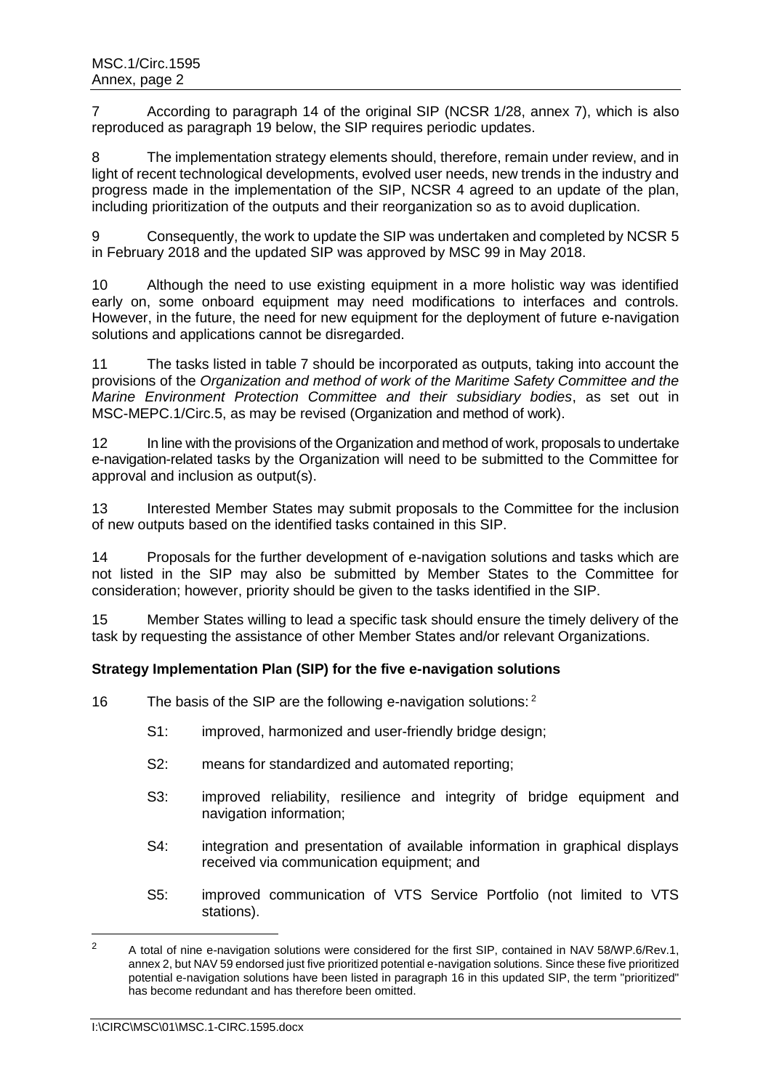7 According to paragraph 14 of the original SIP (NCSR 1/28, annex 7), which is also reproduced as paragraph 19 below, the SIP requires periodic updates.

8 The implementation strategy elements should, therefore, remain under review, and in light of recent technological developments, evolved user needs, new trends in the industry and progress made in the implementation of the SIP, NCSR 4 agreed to an update of the plan, including prioritization of the outputs and their reorganization so as to avoid duplication.

9 Consequently, the work to update the SIP was undertaken and completed by NCSR 5 in February 2018 and the updated SIP was approved by MSC 99 in May 2018.

10 Although the need to use existing equipment in a more holistic way was identified early on, some onboard equipment may need modifications to interfaces and controls. However, in the future, the need for new equipment for the deployment of future e-navigation solutions and applications cannot be disregarded.

11 The tasks listed in table 7 should be incorporated as outputs, taking into account the provisions of the *Organization and method of work of the Maritime Safety Committee and the Marine Environment Protection Committee and their subsidiary bodies*, as set out in MSC-MEPC.1/Circ.5, as may be revised (Organization and method of work).

12 In line with the provisions of the Organization and method of work, proposals to undertake e-navigation-related tasks by the Organization will need to be submitted to the Committee for approval and inclusion as output(s).

13 Interested Member States may submit proposals to the Committee for the inclusion of new outputs based on the identified tasks contained in this SIP.

14 Proposals for the further development of e-navigation solutions and tasks which are not listed in the SIP may also be submitted by Member States to the Committee for consideration; however, priority should be given to the tasks identified in the SIP.

15 Member States willing to lead a specific task should ensure the timely delivery of the task by requesting the assistance of other Member States and/or relevant Organizations.

#### **Strategy Implementation Plan (SIP) for the five e-navigation solutions**

16 The basis of the SIP are the following e-navigation solutions:  $2^2$ 

- S1: improved, harmonized and user-friendly bridge design;
- S2: means for standardized and automated reporting;
- S3: improved reliability, resilience and integrity of bridge equipment and navigation information;
- S4: integration and presentation of available information in graphical displays received via communication equipment; and
- S5: improved communication of VTS Service Portfolio (not limited to VTS stations).

 $\overline{a}$ 

<sup>&</sup>lt;sup>2</sup> A total of nine e-navigation solutions were considered for the first SIP, contained in NAV 58/WP.6/Rev.1, annex 2, but NAV 59 endorsed just five prioritized potential e-navigation solutions. Since these five prioritized potential e-navigation solutions have been listed in paragraph 16 in this updated SIP, the term "prioritized" has become redundant and has therefore been omitted.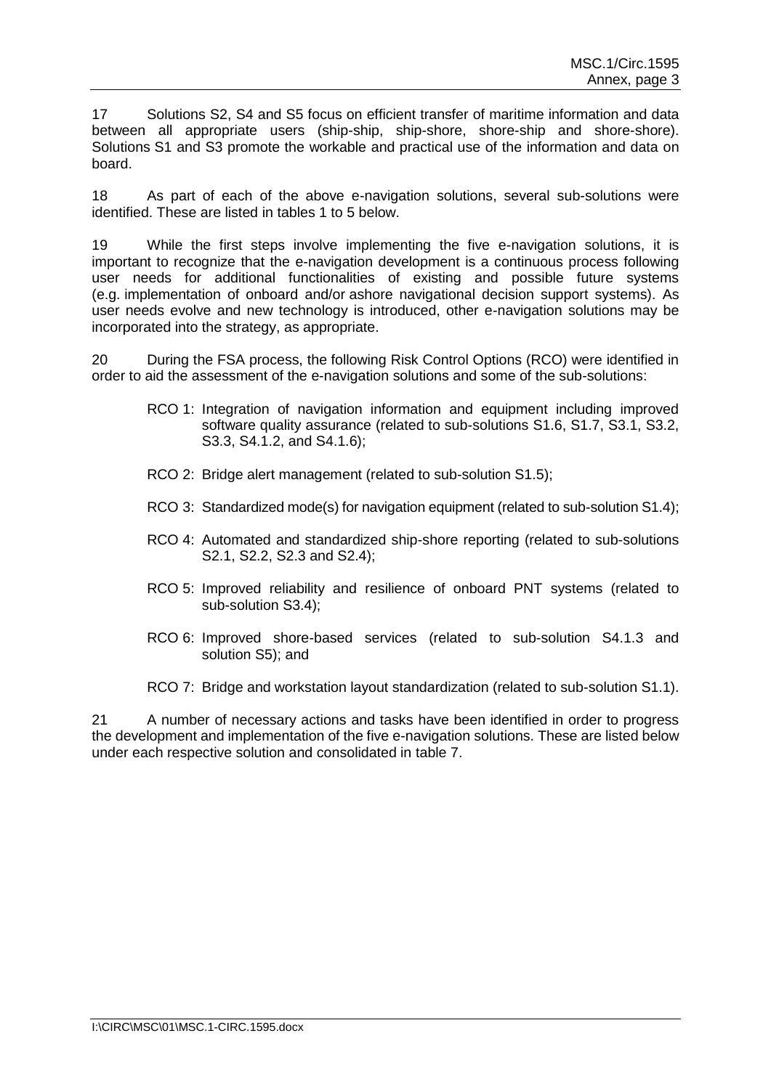17 Solutions S2, S4 and S5 focus on efficient transfer of maritime information and data between all appropriate users (ship-ship, ship-shore, shore-ship and shore-shore). Solutions S1 and S3 promote the workable and practical use of the information and data on board.

18 As part of each of the above e-navigation solutions, several sub-solutions were identified. These are listed in tables 1 to 5 below.

19 While the first steps involve implementing the five e-navigation solutions, it is important to recognize that the e-navigation development is a continuous process following user needs for additional functionalities of existing and possible future systems (e.g. implementation of onboard and/or ashore navigational decision support systems). As user needs evolve and new technology is introduced, other e-navigation solutions may be incorporated into the strategy, as appropriate.

20 During the FSA process, the following Risk Control Options (RCO) were identified in order to aid the assessment of the e-navigation solutions and some of the sub-solutions:

- RCO 1: Integration of navigation information and equipment including improved software quality assurance (related to sub-solutions S1.6, S1.7, S3.1, S3.2, S3.3, S4.1.2, and S4.1.6);
- RCO 2: Bridge alert management (related to sub-solution S1.5);
- RCO 3: Standardized mode(s) for navigation equipment (related to sub-solution S1.4);
- RCO 4: Automated and standardized ship-shore reporting (related to sub-solutions S2.1, S2.2, S2.3 and S2.4);
- RCO 5: Improved reliability and resilience of onboard PNT systems (related to sub-solution S3.4);
- RCO 6: Improved shore-based services (related to sub-solution S4.1.3 and solution S5); and

RCO 7: Bridge and workstation layout standardization (related to sub-solution S1.1).

21 A number of necessary actions and tasks have been identified in order to progress the development and implementation of the five e-navigation solutions. These are listed below under each respective solution and consolidated in table 7.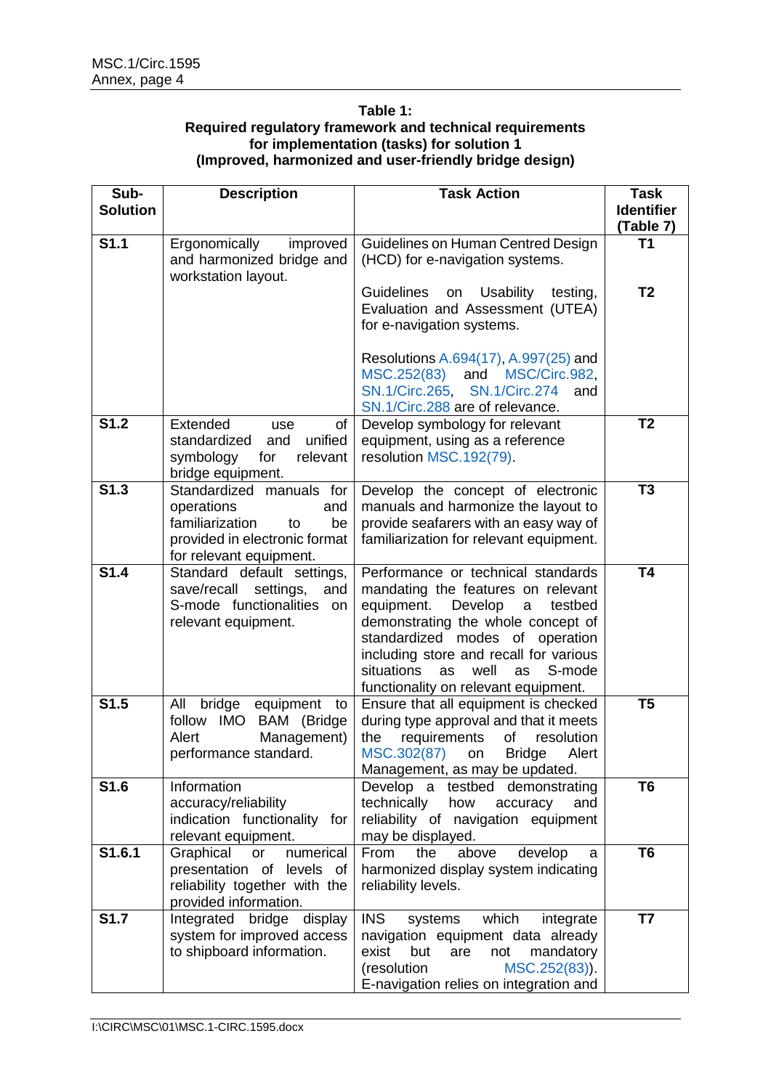#### <span id="page-5-0"></span>**Table 1: Required regulatory framework and technical requirements for implementation (tasks) for solution 1 (Improved, harmonized and user-friendly bridge design)**

| Sub-<br><b>Solution</b> | <b>Description</b>                                                                                                                       | <b>Task Action</b>                                                                                                                                                                                                                                                                                                       | <b>Task</b><br><b>Identifier</b> |
|-------------------------|------------------------------------------------------------------------------------------------------------------------------------------|--------------------------------------------------------------------------------------------------------------------------------------------------------------------------------------------------------------------------------------------------------------------------------------------------------------------------|----------------------------------|
| <b>S1.1</b>             | Ergonomically<br>improved<br>and harmonized bridge and<br>workstation layout.                                                            | Guidelines on Human Centred Design<br>(HCD) for e-navigation systems.                                                                                                                                                                                                                                                    | (Table 7)<br>T <sub>1</sub>      |
|                         |                                                                                                                                          | <b>Guidelines</b><br><b>Usability</b><br>testing,<br>on<br>Evaluation and Assessment (UTEA)<br>for e-navigation systems.                                                                                                                                                                                                 | T <sub>2</sub>                   |
|                         |                                                                                                                                          | Resolutions A.694(17), A.997(25) and<br>MSC.252(83) and MSC/Circ.982,<br>SN.1/Circ.265, SN.1/Circ.274<br>and<br>SN.1/Circ.288 are of relevance.                                                                                                                                                                          |                                  |
| <b>S1.2</b>             | Extended<br>of<br>use<br>standardized<br>unified<br>and<br>symbology<br>relevant<br>for<br>bridge equipment.                             | Develop symbology for relevant<br>equipment, using as a reference<br>resolution MSC.192(79).                                                                                                                                                                                                                             | T <sub>2</sub>                   |
| S1.3                    | Standardized manuals for<br>operations<br>and<br>familiarization<br>be<br>to<br>provided in electronic format<br>for relevant equipment. | Develop the concept of electronic<br>manuals and harmonize the layout to<br>provide seafarers with an easy way of<br>familiarization for relevant equipment.                                                                                                                                                             | T <sub>3</sub>                   |
| <b>S1.4</b>             | Standard default settings,<br>save/recall<br>settings,<br>and<br>S-mode functionalities on<br>relevant equipment.                        | Performance or technical standards<br>mandating the features on relevant<br>equipment.<br>Develop<br>testbed<br>a<br>demonstrating the whole concept of<br>standardized modes of operation<br>including store and recall for various<br>situations<br>well<br>as<br>S-mode<br>as<br>functionality on relevant equipment. | <b>T4</b>                        |
| S1.5                    | All<br>bridge equipment<br>to<br>follow IMO BAM (Bridge<br>Alert<br>Management)<br>performance standard.                                 | Ensure that all equipment is checked<br>during type approval and that it meets<br>requirements<br>of<br>resolution<br>the<br>MSC.302(87)<br><b>Bridge</b><br>Alert<br>on<br>Management, as may be updated.                                                                                                               | T <sub>5</sub>                   |
| S1.6                    | Information<br>accuracy/reliability<br>indication functionality for<br>relevant equipment.                                               | Develop a testbed demonstrating<br>technically<br>how<br>accuracy<br>and<br>reliability of navigation equipment<br>may be displayed.                                                                                                                                                                                     | T <sub>6</sub>                   |
| S1.6.1                  | Graphical<br>numerical<br>or<br>presentation of levels of<br>reliability together with the<br>provided information.                      | From<br>the<br>above<br>develop<br>a<br>harmonized display system indicating<br>reliability levels.                                                                                                                                                                                                                      | T <sub>6</sub>                   |
| <b>S1.7</b>             | Integrated bridge display<br>system for improved access<br>to shipboard information.                                                     | <b>INS</b><br>which<br>systems<br>integrate<br>navigation equipment data already<br>exist<br>mandatory<br>but<br>are<br>not<br>MSC.252(83)).<br>(resolution<br>E-navigation relies on integration and                                                                                                                    | T7                               |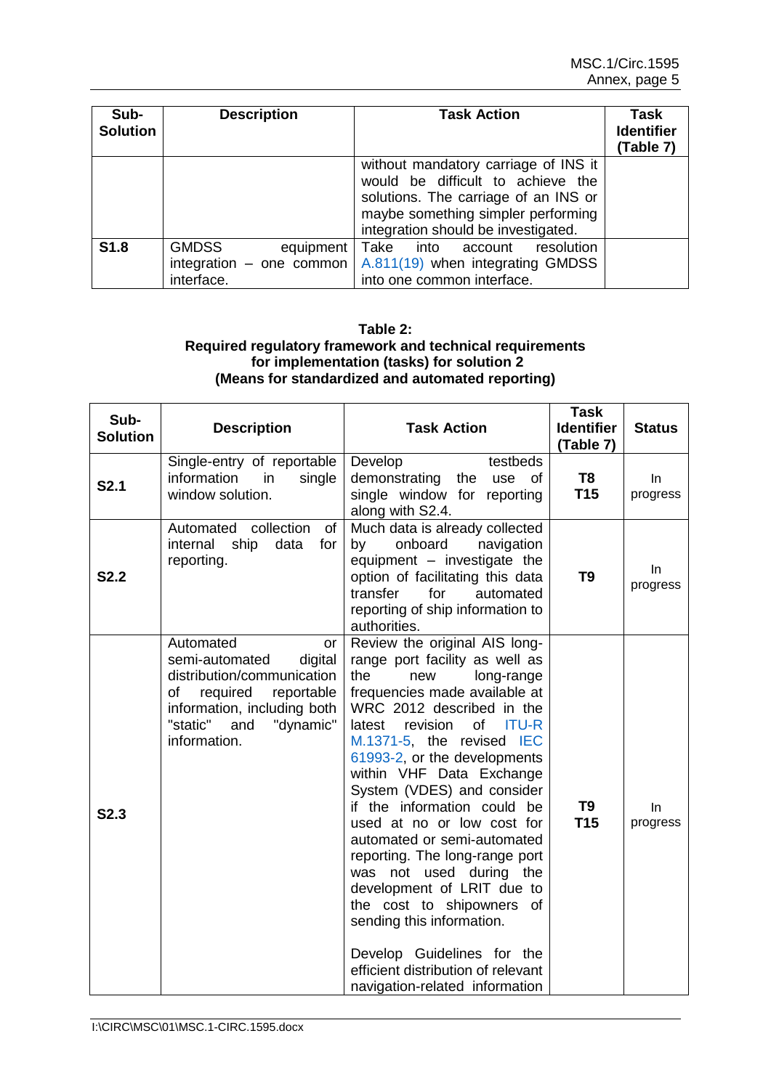| Sub-<br><b>Solution</b> | <b>Description</b>                                                    | Task Action                                                                                                                                                                                    | Task<br><b>Identifier</b><br>(Table 7) |
|-------------------------|-----------------------------------------------------------------------|------------------------------------------------------------------------------------------------------------------------------------------------------------------------------------------------|----------------------------------------|
|                         |                                                                       | without mandatory carriage of INS it<br>would be difficult to achieve the<br>solutions. The carriage of an INS or<br>maybe something simpler performing<br>integration should be investigated. |                                        |
| S <sub>1.8</sub>        | <b>GMDSS</b><br>equipment<br>integration $-$ one common<br>interface. | Take into<br>account resolution<br>A.811(19) when integrating GMDSS<br>into one common interface.                                                                                              |                                        |

#### **Table 2: Required regulatory framework and technical requirements for implementation (tasks) for solution 2 (Means for standardized and automated reporting)**

| Sub-<br><b>Solution</b> | <b>Description</b>                                                                                                                                                                        | <b>Task Action</b>                                                                                                                                                                                                                                                                                                                                                                                                                                                                                                                                                                                                                                                                  | <b>Task</b><br><b>Identifier</b><br>(Table 7) | <b>Status</b>  |
|-------------------------|-------------------------------------------------------------------------------------------------------------------------------------------------------------------------------------------|-------------------------------------------------------------------------------------------------------------------------------------------------------------------------------------------------------------------------------------------------------------------------------------------------------------------------------------------------------------------------------------------------------------------------------------------------------------------------------------------------------------------------------------------------------------------------------------------------------------------------------------------------------------------------------------|-----------------------------------------------|----------------|
| <b>S2.1</b>             | Single-entry of reportable<br>information<br>single<br>in<br>window solution.                                                                                                             | Develop<br>testbeds<br>demonstrating<br>use<br>the<br>of<br>single window for reporting<br>along with S2.4.                                                                                                                                                                                                                                                                                                                                                                                                                                                                                                                                                                         | T <sub>8</sub><br>T <sub>15</sub>             | In<br>progress |
| <b>S2.2</b>             | Automated collection<br>of<br>internal<br>ship data<br>for<br>reporting.                                                                                                                  | Much data is already collected<br>onboard<br>navigation<br>by<br>equipment - investigate the<br>option of facilitating this data<br>transfer<br>for<br>automated<br>reporting of ship information to<br>authorities.                                                                                                                                                                                                                                                                                                                                                                                                                                                                | T <sub>9</sub>                                | In<br>progress |
| S2.3                    | Automated<br>or<br>semi-automated<br>digital<br>distribution/communication<br>required<br>reportable<br>of<br>information, including both<br>"static"<br>"dynamic"<br>and<br>information. | Review the original AIS long-<br>range port facility as well as<br>the<br>long-range<br>new<br>frequencies made available at<br>WRC 2012 described in the<br><b>ITU-R</b><br>of<br>latest<br>revision<br>M.1371-5, the revised IEC<br>61993-2, or the developments<br>within VHF Data Exchange<br>System (VDES) and consider<br>if the information could be<br>used at no or low cost for<br>automated or semi-automated<br>reporting. The long-range port<br>was not used during the<br>development of LRIT due to<br>the cost to shipowners of<br>sending this information.<br>Develop Guidelines for the<br>efficient distribution of relevant<br>navigation-related information | T <sub>9</sub><br><b>T15</b>                  | In<br>progress |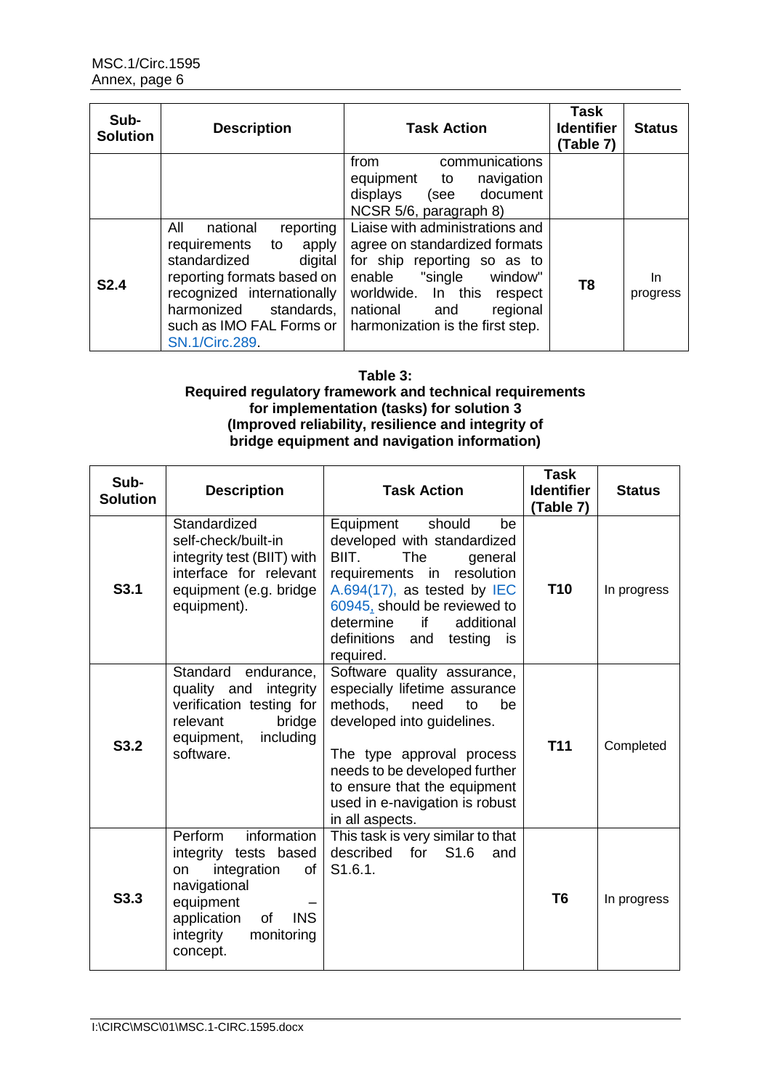| Sub-<br><b>Solution</b> | <b>Description</b>                                                                                                                                                                                                                  | <b>Task Action</b>                                                                                                                                                                                                               | Task<br><b>Identifier</b><br>(Table 7) | <b>Status</b>   |
|-------------------------|-------------------------------------------------------------------------------------------------------------------------------------------------------------------------------------------------------------------------------------|----------------------------------------------------------------------------------------------------------------------------------------------------------------------------------------------------------------------------------|----------------------------------------|-----------------|
|                         |                                                                                                                                                                                                                                     | communications<br>from<br>navigation<br>equipment to<br>displays<br>(see<br>document<br>NCSR 5/6, paragraph 8)                                                                                                                   |                                        |                 |
| <b>S2.4</b>             | All<br>national<br>reporting<br>apply<br>requirements<br>to<br>standardized<br>digital<br>reporting formats based on<br>recognized internationally<br>harmonized<br>standards,<br>such as IMO FAL Forms or<br><b>SN.1/Circ.289.</b> | Liaise with administrations and<br>agree on standardized formats<br>for ship reporting so as to<br>enable "single<br>window"<br>worldwide. In this<br>respect<br>national<br>regional<br>and<br>harmonization is the first step. | T <sub>8</sub>                         | In.<br>progress |

#### **Table 3: Required regulatory framework and technical requirements for implementation (tasks) for solution 3 (Improved reliability, resilience and integrity of bridge equipment and navigation information)**

| Sub-<br><b>Solution</b> | <b>Description</b>                                                                                                                                                                | <b>Task Action</b>                                                                                                                                                                                                                                                            | <b>Task</b><br><b>Identifier</b><br>(Table 7) | <b>Status</b> |
|-------------------------|-----------------------------------------------------------------------------------------------------------------------------------------------------------------------------------|-------------------------------------------------------------------------------------------------------------------------------------------------------------------------------------------------------------------------------------------------------------------------------|-----------------------------------------------|---------------|
| S <sub>3.1</sub>        | Standardized<br>self-check/built-in<br>integrity test (BIIT) with<br>interface for relevant<br>equipment (e.g. bridge<br>equipment).                                              | Equipment<br>should<br>be<br>developed with standardized<br>BIIT.<br>The<br>general<br>requirements<br>resolution<br>in<br>A.694(17), as tested by $IEC$<br>60945, should be reviewed to<br>determine<br>if<br>additional<br>definitions<br>testing<br>and<br>is<br>required. | <b>T10</b>                                    | In progress   |
| S3.2                    | Standard<br>endurance,<br>quality and<br>integrity<br>verification testing for<br>relevant<br>bridge<br>including<br>equipment,<br>software.                                      | Software quality assurance,<br>especially lifetime assurance<br>methods,<br>need<br>to<br>be<br>developed into guidelines.<br>The type approval process<br>needs to be developed further<br>to ensure that the equipment<br>used in e-navigation is robust<br>in all aspects. | <b>T11</b>                                    | Completed     |
| S <sub>3.3</sub>        | information<br>Perform<br>integrity tests based<br>integration<br>on<br>0f<br>navigational<br>equipment<br><b>INS</b><br>application<br>0f<br>integrity<br>monitoring<br>concept. | This task is very similar to that<br>for S1.6<br>described<br>and<br>S1.6.1.                                                                                                                                                                                                  | T <sub>6</sub>                                | In progress   |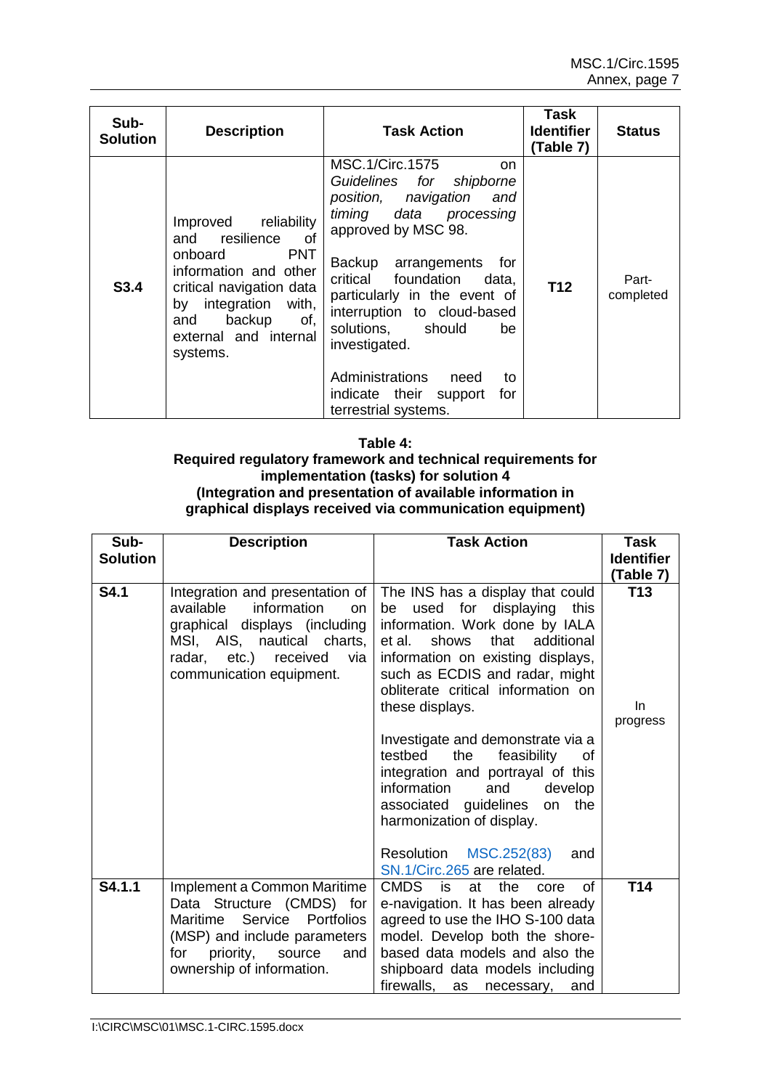| Sub-<br><b>Solution</b> | <b>Description</b>                                                                                                                                                                                                    | <b>Task Action</b>                                                                                                                                                                                                                                                                                                                                                                                                  | Task<br><b>Identifier</b><br>(Table 7) | <b>Status</b>      |
|-------------------------|-----------------------------------------------------------------------------------------------------------------------------------------------------------------------------------------------------------------------|---------------------------------------------------------------------------------------------------------------------------------------------------------------------------------------------------------------------------------------------------------------------------------------------------------------------------------------------------------------------------------------------------------------------|----------------------------------------|--------------------|
| S3.4                    | reliability<br>Improved<br>and resilience<br>of<br><b>PNT</b><br>onboard<br>information and other<br>critical navigation data<br>integration with,<br>by<br>backup<br>of.<br>and<br>external and internal<br>systems. | <b>MSC.1/Circ.1575</b><br>on.<br>Guidelines for shipborne<br>position, navigation<br>and<br>timing data processing<br>approved by MSC 98.<br>Backup<br>arrangements for<br>critical foundation<br>data,<br>particularly in the event of<br>interruption to cloud-based<br>solutions, should<br>be<br>investigated.<br><b>Administrations</b><br>need<br>to<br>indicate their support<br>for<br>terrestrial systems. | T <sub>12</sub>                        | Part-<br>completed |

#### **Table 4:**

### **Required regulatory framework and technical requirements for implementation (tasks) for solution 4 (Integration and presentation of available information in graphical displays received via communication equipment)**

| Sub-            | <b>Description</b>                                                                                                                                                                           | <b>Task Action</b>                                                                                                                                                                                                                                                                                                                                                                              | <b>Task</b>                  |
|-----------------|----------------------------------------------------------------------------------------------------------------------------------------------------------------------------------------------|-------------------------------------------------------------------------------------------------------------------------------------------------------------------------------------------------------------------------------------------------------------------------------------------------------------------------------------------------------------------------------------------------|------------------------------|
| <b>Solution</b> |                                                                                                                                                                                              |                                                                                                                                                                                                                                                                                                                                                                                                 | <b>Identifier</b>            |
|                 |                                                                                                                                                                                              |                                                                                                                                                                                                                                                                                                                                                                                                 | (Table 7)                    |
| <b>S4.1</b>     | Integration and presentation of<br>available<br>information<br>on<br>graphical displays (including<br>MSI, AIS, nautical charts,<br>radar, etc.) received<br>via<br>communication equipment. | The INS has a display that could<br>used for displaying<br>this<br>be<br>information. Work done by IALA<br>that additional<br>et al.<br>shows<br>information on existing displays,<br>such as ECDIS and radar, might<br>obliterate critical information on<br>these displays.<br>Investigate and demonstrate via a<br>the<br>feasibility<br>testbed<br>of.<br>integration and portrayal of this | <b>T13</b><br>In<br>progress |
|                 |                                                                                                                                                                                              | information<br>and<br>develop<br>associated guidelines<br>the<br>on<br>harmonization of display.<br>MSC.252(83)<br>Resolution<br>and<br>SN.1/Circ.265 are related.                                                                                                                                                                                                                              |                              |
| S4.1.1          | Implement a Common Maritime<br>Data Structure (CMDS) for<br>Maritime Service Portfolios<br>(MSP) and include parameters<br>priority,<br>source<br>for<br>and<br>ownership of information.    | CMDS is<br>the<br>0f<br>at<br>core<br>e-navigation. It has been already<br>agreed to use the IHO S-100 data<br>model. Develop both the shore-<br>based data models and also the<br>shipboard data models including<br>firewalls,<br>and<br>as<br>necessary,                                                                                                                                     | T <sub>14</sub>              |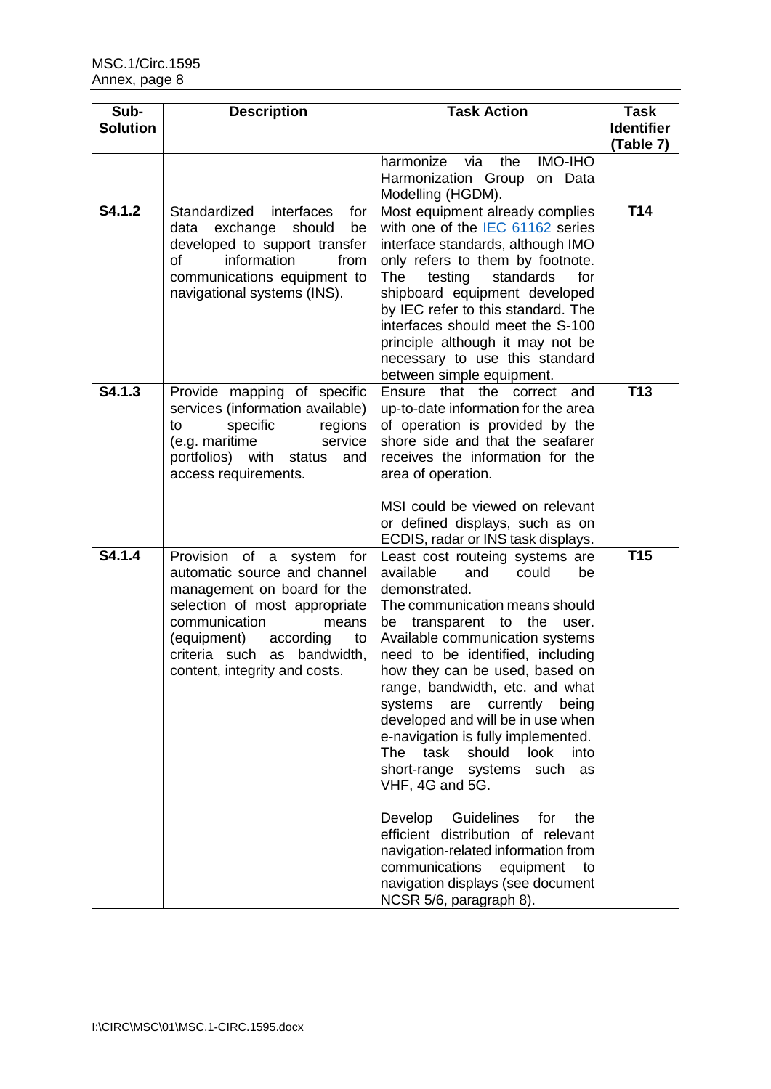| Sub-            | <b>Description</b>                                           | <b>Task Action</b>                                                     | <b>Task</b>       |
|-----------------|--------------------------------------------------------------|------------------------------------------------------------------------|-------------------|
| <b>Solution</b> |                                                              |                                                                        | <b>Identifier</b> |
|                 |                                                              |                                                                        | (Table 7)         |
|                 |                                                              | <b>IMO-IHO</b><br>the<br>harmonize<br>via                              |                   |
|                 |                                                              | Harmonization Group on Data                                            |                   |
|                 |                                                              | Modelling (HGDM).                                                      |                   |
| S4.1.2          | Standardized<br>interfaces<br>for                            | Most equipment already complies                                        | T14               |
|                 | data exchange should<br>be                                   | with one of the IEC 61162 series                                       |                   |
|                 | developed to support transfer                                | interface standards, although IMO                                      |                   |
|                 | 0f<br>information<br>from                                    | only refers to them by footnote.                                       |                   |
|                 | communications equipment to                                  | testing<br>The<br>standards<br>for                                     |                   |
|                 | navigational systems (INS).                                  | shipboard equipment developed                                          |                   |
|                 |                                                              | by IEC refer to this standard. The<br>interfaces should meet the S-100 |                   |
|                 |                                                              | principle although it may not be                                       |                   |
|                 |                                                              | necessary to use this standard                                         |                   |
|                 |                                                              | between simple equipment.                                              |                   |
| S4.1.3          | Provide mapping of specific                                  | Ensure that the correct<br>and                                         | T <sub>13</sub>   |
|                 | services (information available)                             | up-to-date information for the area                                    |                   |
|                 | specific<br>regions<br>to                                    | of operation is provided by the                                        |                   |
|                 | (e.g. maritime<br>service                                    | shore side and that the seafarer                                       |                   |
|                 | portfolios)<br>with<br>and<br>status                         | receives the information for the                                       |                   |
|                 | access requirements.                                         | area of operation.                                                     |                   |
|                 |                                                              | MSI could be viewed on relevant                                        |                   |
|                 |                                                              | or defined displays, such as on                                        |                   |
|                 |                                                              | ECDIS, radar or INS task displays.                                     |                   |
| S4.1.4          | Provision of a system for                                    | Least cost routeing systems are                                        | T <sub>15</sub>   |
|                 | automatic source and channel                                 | available<br>and<br>could<br>be                                        |                   |
|                 | management on board for the                                  | demonstrated.                                                          |                   |
|                 | selection of most appropriate                                | The communication means should                                         |                   |
|                 | communication<br>means                                       | transparent to the<br>be<br>user.                                      |                   |
|                 | (equipment)<br>according<br>to                               | Available communication systems                                        |                   |
|                 | criteria such as bandwidth,<br>content, integrity and costs. | need to be identified, including<br>how they can be used, based on     |                   |
|                 |                                                              | range, bandwidth, etc. and what                                        |                   |
|                 |                                                              | systems<br>are currently<br>being                                      |                   |
|                 |                                                              | developed and will be in use when                                      |                   |
|                 |                                                              | e-navigation is fully implemented.                                     |                   |
|                 |                                                              | <b>The</b><br>task<br>should<br>look<br>into                           |                   |
|                 |                                                              | short-range systems<br>such<br>as                                      |                   |
|                 |                                                              | VHF, 4G and 5G.                                                        |                   |
|                 |                                                              | Develop<br><b>Guidelines</b><br>for<br>the                             |                   |
|                 |                                                              | efficient distribution of relevant                                     |                   |
|                 |                                                              | navigation-related information from                                    |                   |
|                 |                                                              | communications<br>equipment<br>to                                      |                   |
|                 |                                                              | navigation displays (see document                                      |                   |
|                 |                                                              | NCSR 5/6, paragraph 8).                                                |                   |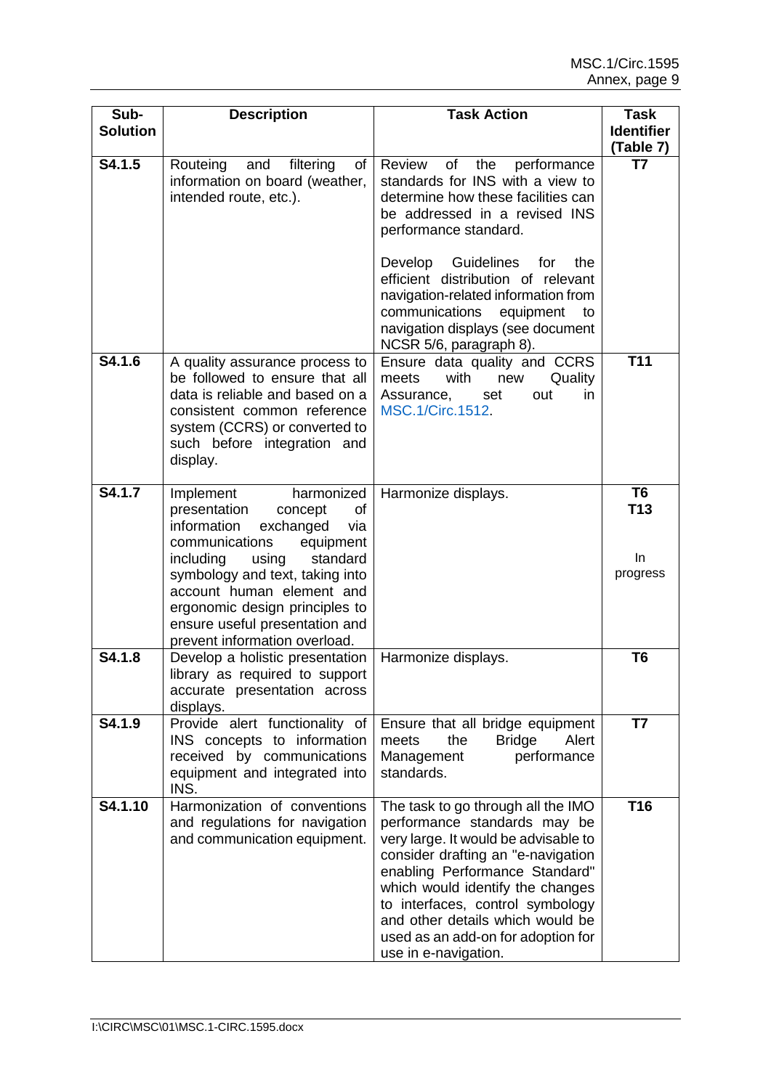| Sub-<br><b>Solution</b>       | <b>Description</b>                                                                                                                                                                                                                                                                                                                | <b>Task Action</b>                                                                                                                                                                                                                                                                                                                                                                        | <b>Task</b><br><b>Identifier</b>        |
|-------------------------------|-----------------------------------------------------------------------------------------------------------------------------------------------------------------------------------------------------------------------------------------------------------------------------------------------------------------------------------|-------------------------------------------------------------------------------------------------------------------------------------------------------------------------------------------------------------------------------------------------------------------------------------------------------------------------------------------------------------------------------------------|-----------------------------------------|
|                               |                                                                                                                                                                                                                                                                                                                                   |                                                                                                                                                                                                                                                                                                                                                                                           | (Table 7)                               |
| S4.1.5                        | filtering<br>Routeing<br>and<br>of<br>information on board (weather,<br>intended route, etc.).                                                                                                                                                                                                                                    | Review<br>performance<br>of<br>the<br>standards for INS with a view to<br>determine how these facilities can<br>be addressed in a revised INS<br>performance standard.<br>Develop Guidelines for<br>the<br>efficient distribution of relevant<br>navigation-related information from<br>communications<br>equipment<br>to<br>navigation displays (see document<br>NCSR 5/6, paragraph 8). | T7                                      |
| $\overline{\textbf{S}}$ 4.1.6 | A quality assurance process to<br>be followed to ensure that all<br>data is reliable and based on a<br>consistent common reference<br>system (CCRS) or converted to<br>such before integration and<br>display.                                                                                                                    | Ensure data quality and CCRS<br>with<br>meets<br>new<br>Quality<br>Assurance,<br>out<br>set<br>in<br><b>MSC.1/Circ.1512.</b>                                                                                                                                                                                                                                                              | <b>T11</b>                              |
| S4.1.7                        | harmonized<br>Implement<br>presentation<br>of<br>concept<br>information<br>exchanged<br>via<br>communications<br>equipment<br>including<br>using<br>standard<br>symbology and text, taking into<br>account human element and<br>ergonomic design principles to<br>ensure useful presentation and<br>prevent information overload. | Harmonize displays.                                                                                                                                                                                                                                                                                                                                                                       | T <sub>6</sub><br>T13<br>In<br>progress |
| S4.1.8                        | Develop a holistic presentation<br>library as required to support<br>accurate presentation across<br>displays.                                                                                                                                                                                                                    | Harmonize displays.                                                                                                                                                                                                                                                                                                                                                                       | T6                                      |
| S4.1.9                        | Provide alert functionality of<br>INS concepts to information<br>received by communications<br>equipment and integrated into<br>INS.                                                                                                                                                                                              | Ensure that all bridge equipment<br><b>Bridge</b><br>the<br>Alert<br>meets<br>Management<br>performance<br>standards.                                                                                                                                                                                                                                                                     | T7                                      |
| S4.1.10                       | Harmonization of conventions<br>and regulations for navigation<br>and communication equipment.                                                                                                                                                                                                                                    | The task to go through all the IMO<br>performance standards may be<br>very large. It would be advisable to<br>consider drafting an "e-navigation<br>enabling Performance Standard"<br>which would identify the changes<br>to interfaces, control symbology<br>and other details which would be<br>used as an add-on for adoption for<br>use in e-navigation.                              | T16                                     |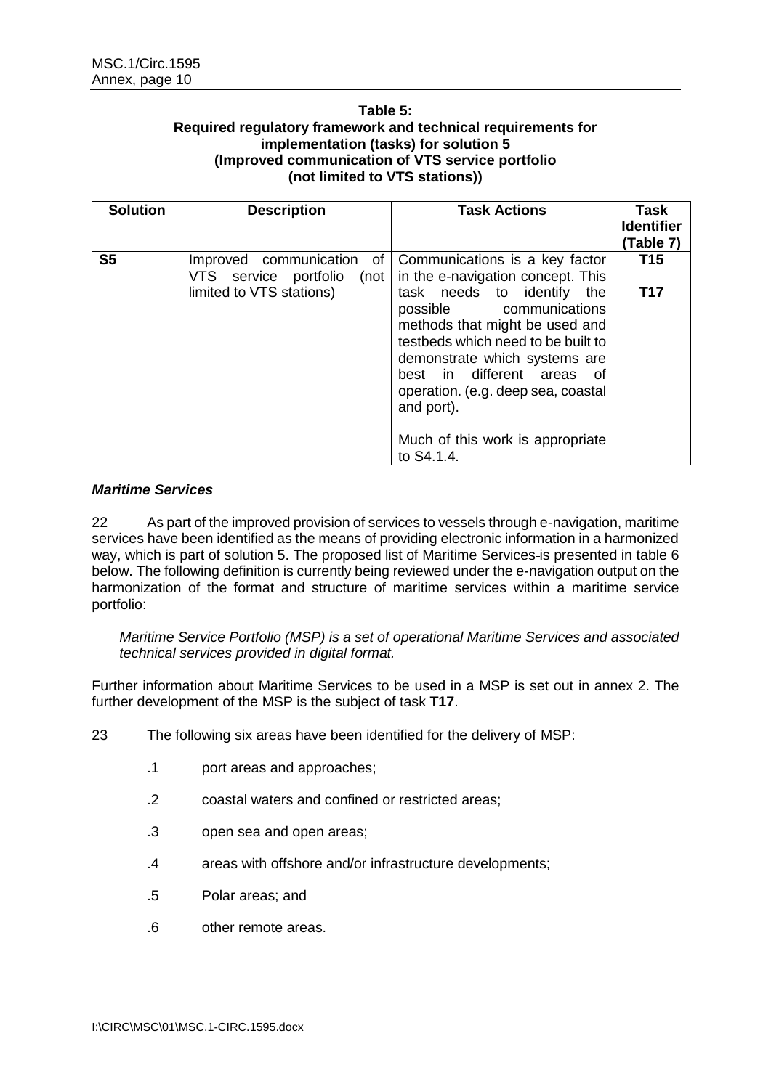#### **Table 5: Required regulatory framework and technical requirements for implementation (tasks) for solution 5 (Improved communication of VTS service portfolio (not limited to VTS stations))**

| <b>Solution</b> | <b>Description</b>                                                         | <b>Task Actions</b>                                                                                                                                                                                                                                                                                       | Task<br><b>Identifier</b><br>(Table 7) |
|-----------------|----------------------------------------------------------------------------|-----------------------------------------------------------------------------------------------------------------------------------------------------------------------------------------------------------------------------------------------------------------------------------------------------------|----------------------------------------|
| S <sub>5</sub>  | of <sub>1</sub><br>Improved communication<br>VTS service portfolio<br>(not | Communications is a key factor<br>in the e-navigation concept. This                                                                                                                                                                                                                                       | T15                                    |
|                 | limited to VTS stations)                                                   | task needs to identify<br>the<br>possible communications<br>methods that might be used and<br>testbeds which need to be built to<br>demonstrate which systems are<br>best in different areas<br>ot.<br>operation. (e.g. deep sea, coastal<br>and port).<br>Much of this work is appropriate<br>to S4.1.4. | <b>T17</b>                             |

#### *Maritime Services*

22 As part of the improved provision of services to vessels through e-navigation, maritime services have been identified as the means of providing electronic information in a harmonized way, which is part of solution 5. The proposed list of Maritime Services is presented in table 6 below. The following definition is currently being reviewed under the e-navigation output on the harmonization of the format and structure of maritime services within a maritime service portfolio:

*Maritime Service Portfolio (MSP) is a set of operational Maritime Services and associated technical services provided in digital format.*

Further information about Maritime Services to be used in a MSP is set out in annex 2. The further development of the MSP is the subject of task **T17**.

- 23 The following six areas have been identified for the delivery of MSP:
	- .1 port areas and approaches;
	- .2 coastal waters and confined or restricted areas;
	- .3 open sea and open areas;
	- .4 areas with offshore and/or infrastructure developments;
	- .5 Polar areas; and
	- .6 other remote areas.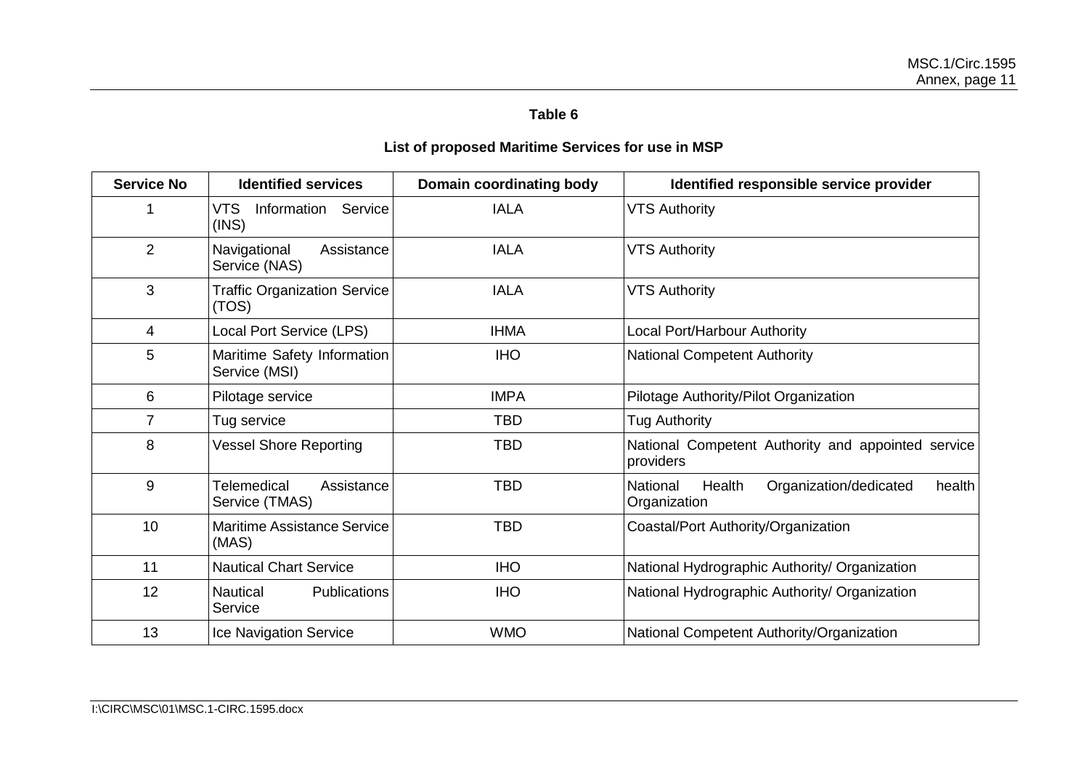# **Table 6**

# **List of proposed Maritime Services for use in MSP**

<span id="page-12-0"></span>

| <b>Service No</b> | <b>Identified services</b>                    | Domain coordinating body | Identified responsible service provider                                |
|-------------------|-----------------------------------------------|--------------------------|------------------------------------------------------------------------|
|                   | <b>VTS</b><br>Service<br>Information<br>(INS) | <b>IALA</b>              | <b>VTS Authority</b>                                                   |
| $\overline{2}$    | Navigational<br>Assistance<br>Service (NAS)   | <b>IALA</b>              | <b>VTS Authority</b>                                                   |
| 3                 | <b>Traffic Organization Service</b><br>(TOS)  | <b>IALA</b>              | <b>VTS Authority</b>                                                   |
| 4                 | Local Port Service (LPS)                      | <b>IHMA</b>              | Local Port/Harbour Authority                                           |
| 5                 | Maritime Safety Information<br>Service (MSI)  | <b>IHO</b>               | <b>National Competent Authority</b>                                    |
| 6                 | Pilotage service                              | <b>IMPA</b>              | Pilotage Authority/Pilot Organization                                  |
| $\overline{7}$    | Tug service                                   | <b>TBD</b>               | <b>Tug Authority</b>                                                   |
| 8                 | <b>Vessel Shore Reporting</b>                 | <b>TBD</b>               | National Competent Authority and appointed service<br>providers        |
| 9                 | Telemedical<br>Assistance<br>Service (TMAS)   | <b>TBD</b>               | Organization/dedicated<br>National<br>Health<br>health<br>Organization |
| 10                | <b>Maritime Assistance Service</b><br>(MAS)   | <b>TBD</b>               | Coastal/Port Authority/Organization                                    |
| 11                | <b>Nautical Chart Service</b>                 | <b>IHO</b>               | National Hydrographic Authority/ Organization                          |
| 12                | <b>Nautical</b><br>Publications<br>Service    | <b>IHO</b>               | National Hydrographic Authority/ Organization                          |
| 13                | Ice Navigation Service                        | <b>WMO</b>               | National Competent Authority/Organization                              |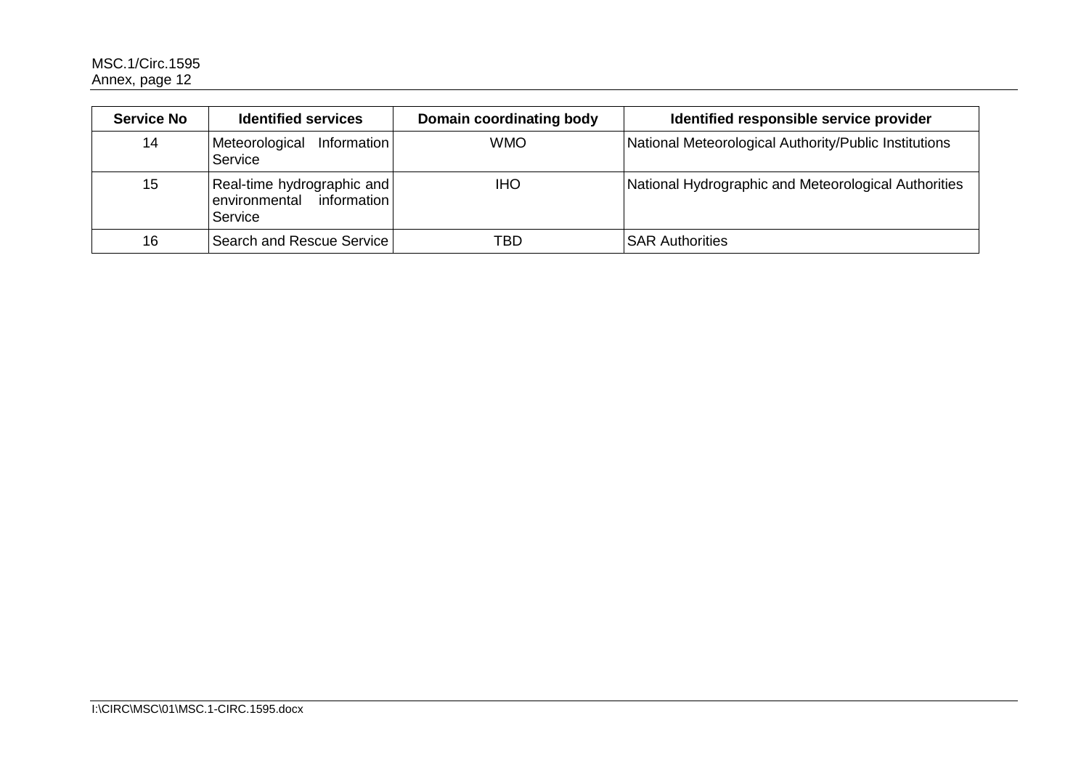| <b>Service No</b> | <b>Identified services</b>                                         | Domain coordinating body | Identified responsible service provider               |
|-------------------|--------------------------------------------------------------------|--------------------------|-------------------------------------------------------|
| 14                | Meteorological<br>Information<br>Service                           | <b>WMO</b>               | National Meteorological Authority/Public Institutions |
| 15                | Real-time hydrographic and<br>environmental information<br>Service | <b>IHO</b>               | National Hydrographic and Meteorological Authorities  |
| 16                | Search and Rescue Service                                          | TBD                      | <b>SAR Authorities</b>                                |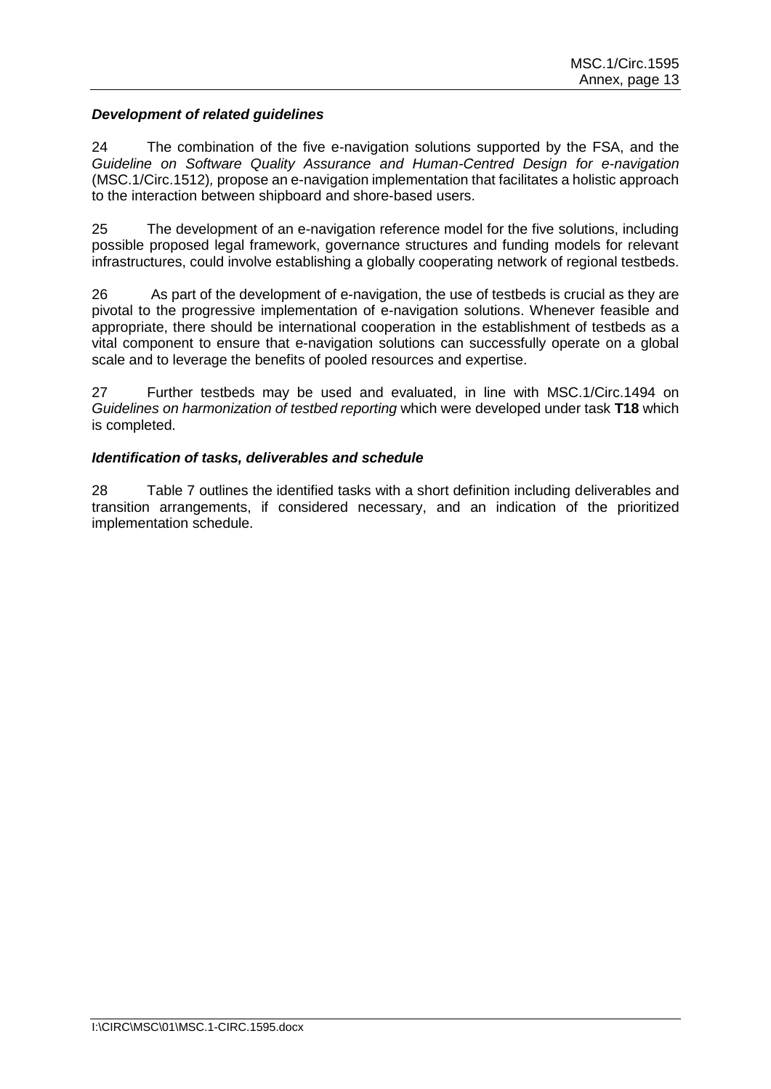#### *Development of related guidelines*

24 The combination of the five e-navigation solutions supported by the FSA, and the *Guideline on Software Quality Assurance and Human-Centred Design for e-navigation* (MSC.1/Circ.1512)*,* propose an e-navigation implementation that facilitates a holistic approach to the interaction between shipboard and shore-based users.

25 The development of an e-navigation reference model for the five solutions, including possible proposed legal framework, governance structures and funding models for relevant infrastructures, could involve establishing a globally cooperating network of regional testbeds.

26 As part of the development of e-navigation, the use of testbeds is crucial as they are pivotal to the progressive implementation of e-navigation solutions. Whenever feasible and appropriate, there should be international cooperation in the establishment of testbeds as a vital component to ensure that e-navigation solutions can successfully operate on a global scale and to leverage the benefits of pooled resources and expertise.

27 Further testbeds may be used and evaluated, in line with MSC.1/Circ.1494 on *Guidelines on harmonization of testbed reporting* which were developed under task **T18** which is completed.

#### *Identification of tasks, deliverables and schedule*

28 Table 7 outlines the identified tasks with a short definition including deliverables and transition arrangements, if considered necessary, and an indication of the prioritized implementation schedule.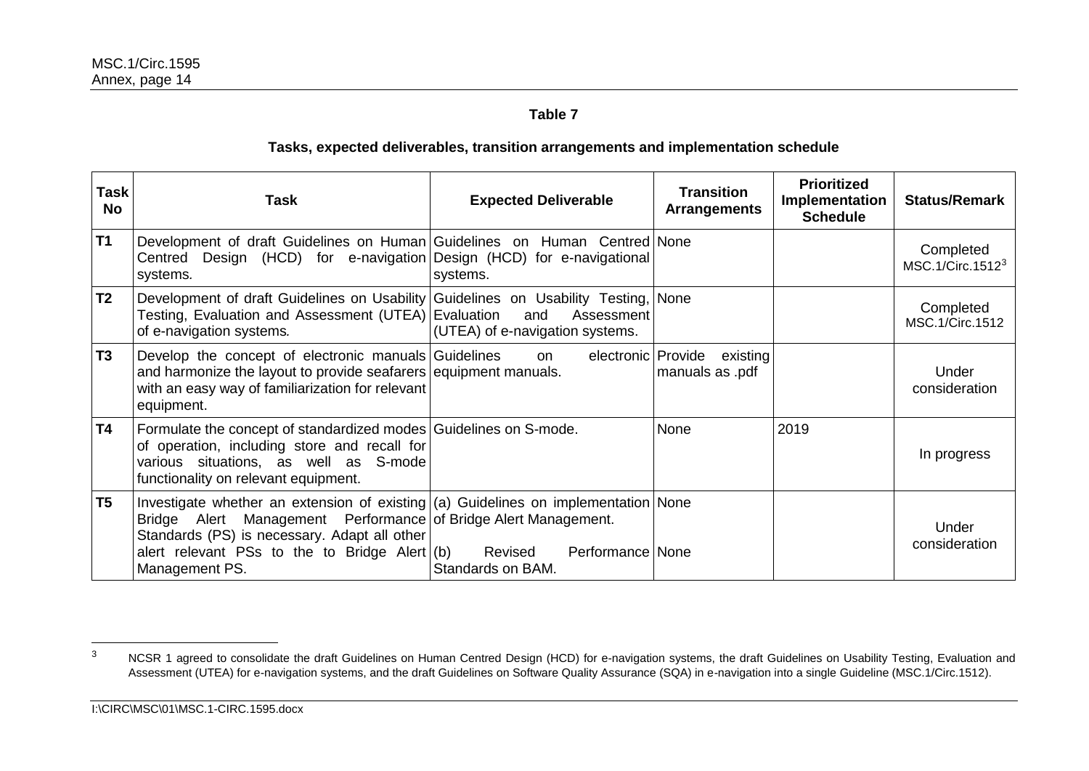# **Table 7**

## **Tasks, expected deliverables, transition arrangements and implementation schedule**

| Task<br><b>No</b> | Task                                                                                                                                                                                                                                                                         | <b>Expected Deliverable</b>                      | <b>Transition</b><br><b>Arrangements</b> | <b>Prioritized</b><br>Implementation<br><b>Schedule</b> | <b>Status/Remark</b>                      |
|-------------------|------------------------------------------------------------------------------------------------------------------------------------------------------------------------------------------------------------------------------------------------------------------------------|--------------------------------------------------|------------------------------------------|---------------------------------------------------------|-------------------------------------------|
| T1                | Development of draft Guidelines on Human Guidelines on Human Centred None<br>Centred Design (HCD) for e-navigation Design (HCD) for e-navigational<br>systems.                                                                                                               | systems.                                         |                                          |                                                         | Completed<br>MSC.1/Circ.1512 <sup>3</sup> |
| T <sub>2</sub>    | Development of draft Guidelines on Usability Guidelines on Usability Testing, None<br>Testing, Evaluation and Assessment (UTEA) Evaluation and<br>of e-navigation systems.                                                                                                   | Assessment<br>(UTEA) of e-navigation systems.    |                                          |                                                         | Completed<br>MSC.1/Circ.1512              |
| T <sub>3</sub>    | Develop the concept of electronic manuals Guidelines<br>and harmonize the layout to provide seafarers equipment manuals.<br>with an easy way of familiarization for relevant<br>equipment.                                                                                   | electronic Provide<br>on                         | existing<br>manuals as .pdf              |                                                         | Under<br>consideration                    |
| <b>T4</b>         | Formulate the concept of standardized modes Guidelines on S-mode.<br>of operation, including store and recall for<br>various situations, as well as S-mode<br>functionality on relevant equipment.                                                                           |                                                  | <b>None</b>                              | 2019                                                    | In progress                               |
| T <sub>5</sub>    | Investigate whether an extension of existing $(a)$ Guidelines on implementation None<br>Bridge Alert Management Performance of Bridge Alert Management.<br>Standards (PS) is necessary. Adapt all other<br>alert relevant PSs to the to Bridge Alert $(b)$<br>Management PS. | Revised<br>Performance None<br>Standards on BAM. |                                          |                                                         | Under<br>consideration                    |

 $\mathbf{3}$  $3 \,$  NCSR 1 agreed to consolidate the draft Guidelines on Human Centred Design (HCD) for e-navigation systems, the draft Guidelines on Usability Testing, Evaluation and Assessment (UTEA) for e-navigation systems, and the draft Guidelines on Software Quality Assurance (SQA) in e-navigation into a single Guideline (MSC.1/Circ.1512).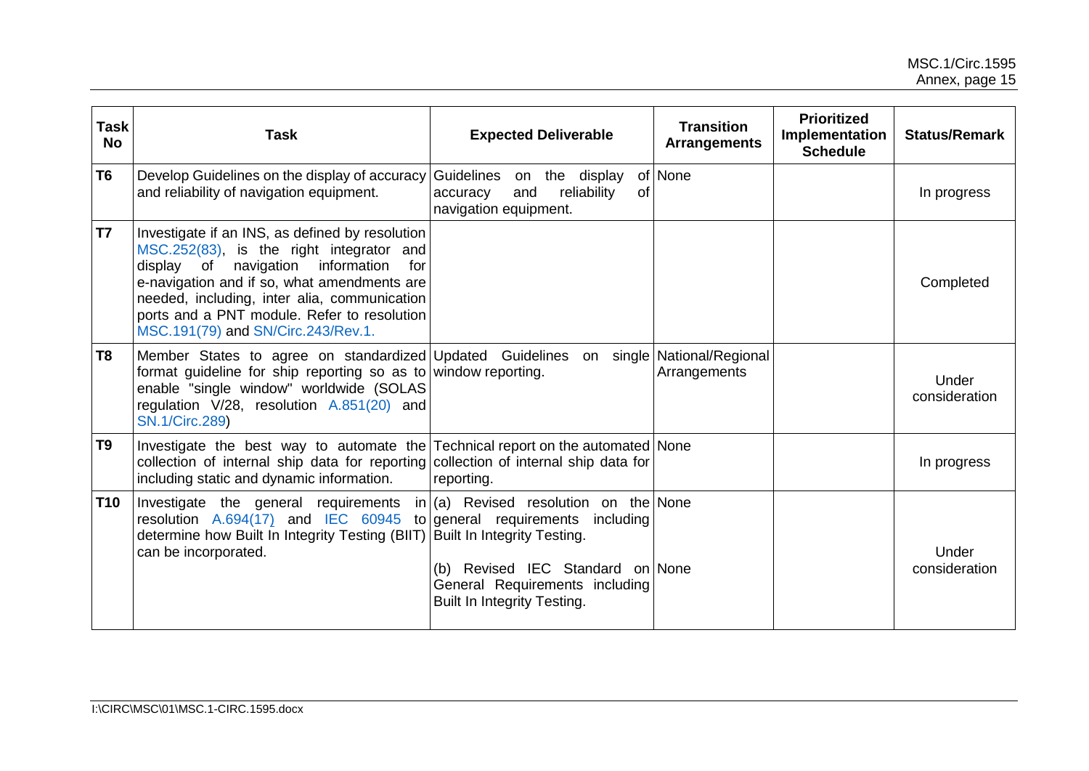| <b>Task</b><br><b>No</b> | Task                                                                                                                                                                                                                                                                                                                              | <b>Expected Deliverable</b>                                                                       | <b>Prioritized</b><br><b>Transition</b><br>Implementation<br><b>Arrangements</b><br><b>Schedule</b> |  | <b>Status/Remark</b>   |
|--------------------------|-----------------------------------------------------------------------------------------------------------------------------------------------------------------------------------------------------------------------------------------------------------------------------------------------------------------------------------|---------------------------------------------------------------------------------------------------|-----------------------------------------------------------------------------------------------------|--|------------------------|
| T <sub>6</sub>           | Develop Guidelines on the display of accuracy<br>and reliability of navigation equipment.                                                                                                                                                                                                                                         | Guidelines on the display<br>and<br>reliability<br><b>of</b><br>accuracy<br>navigation equipment. | of None                                                                                             |  | In progress            |
| T7                       | Investigate if an INS, as defined by resolution<br>MSC.252(83), is the right integrator and<br>information<br>display of<br>navigation<br>for<br>e-navigation and if so, what amendments are<br>needed, including, inter alia, communication<br>ports and a PNT module. Refer to resolution<br>MSC.191(79) and SN/Circ.243/Rev.1. |                                                                                                   |                                                                                                     |  | Completed              |
| T8                       | Member States to agree on standardized Updated Guidelines<br>format guideline for ship reporting so as to window reporting.<br>enable "single window" worldwide (SOLAS<br>regulation V/28, resolution A.851(20) and<br><b>SN.1/Circ.289)</b>                                                                                      |                                                                                                   | on single National/Regional<br>Arrangements                                                         |  | Under<br>consideration |
| T9                       | Investigate the best way to automate the Technical report on the automated None<br>collection of internal ship data for reporting collection of internal ship data for<br>including static and dynamic information.                                                                                                               | reporting.                                                                                        |                                                                                                     |  | In progress            |
| <b>T10</b>               | Investigate the general requirements in $(a)$ Revised resolution on the None<br>resolution $A.694(17)$ and IEC 60945 to general requirements including<br>determine how Built In Integrity Testing (BIIT) Built In Integrity Testing.<br>can be incorporated.                                                                     | (b) Revised IEC Standard on None<br>General Requirements including<br>Built In Integrity Testing. |                                                                                                     |  | Under<br>consideration |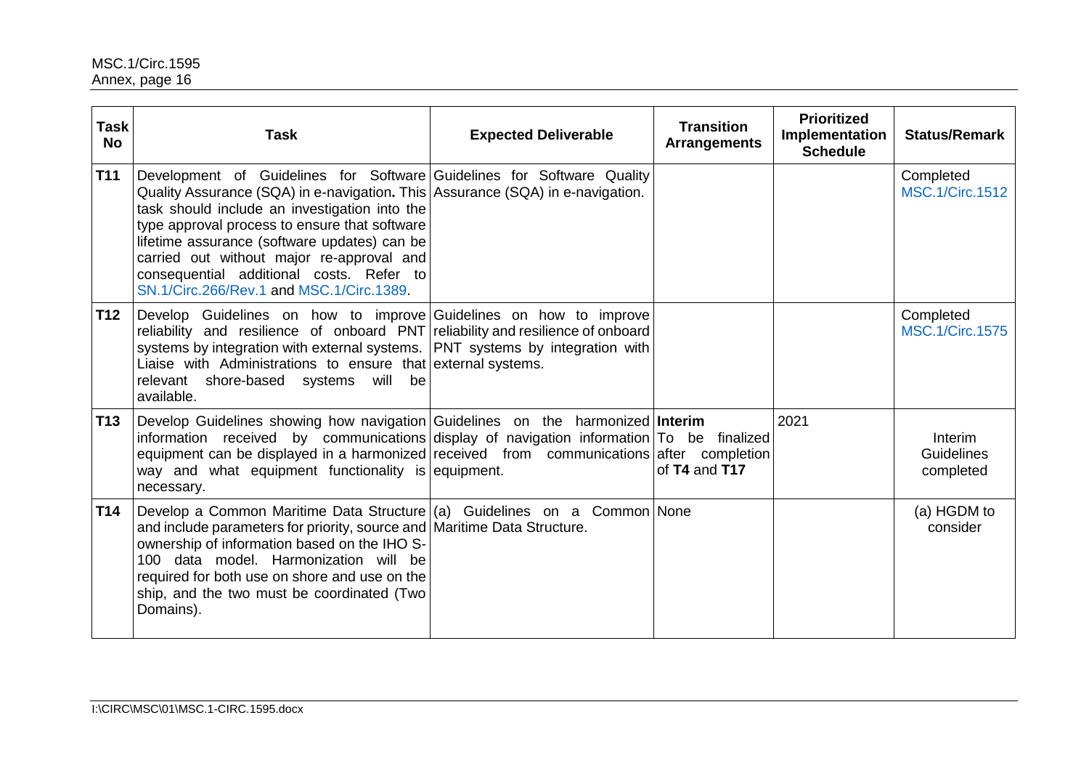| <b>Task</b><br><b>No</b> | <b>Task</b>                                                                                                                                                                                                                                                                                                                                                                                                                                      | <b>Expected Deliverable</b> | <b>Transition</b><br><b>Arrangements</b> | <b>Prioritized</b><br>Implementation<br><b>Schedule</b> | <b>Status/Remark</b>                |
|--------------------------|--------------------------------------------------------------------------------------------------------------------------------------------------------------------------------------------------------------------------------------------------------------------------------------------------------------------------------------------------------------------------------------------------------------------------------------------------|-----------------------------|------------------------------------------|---------------------------------------------------------|-------------------------------------|
| <b>T11</b>               | Development of Guidelines for Software Guidelines for Software Quality<br>Quality Assurance (SQA) in e-navigation. This   Assurance (SQA) in e-navigation.<br>task should include an investigation into the<br>type approval process to ensure that software<br>lifetime assurance (software updates) can be<br>carried out without major re-approval and<br>consequential additional costs. Refer to<br>SN.1/Circ.266/Rev.1 and MSC.1/Circ.1389 |                             |                                          |                                                         | Completed<br><b>MSC.1/Circ.1512</b> |
| T <sub>12</sub>          | Develop Guidelines on how to improve Guidelines on how to improve<br>reliability and resilience of onboard PNT reliability and resilience of onboard<br>systems by integration with external systems. PNT systems by integration with<br>Liaise with Administrations to ensure that external systems.<br>relevant shore-based systems<br>will<br>be<br>available.                                                                                |                             |                                          |                                                         | Completed<br><b>MSC.1/Circ.1575</b> |
| T <sub>13</sub>          | Develop Guidelines showing how navigation Guidelines on the harmonized Interim<br>information received by communications display of navigation information To be finalized<br>equipment can be displayed in a harmonized received from communications after completion<br>way and what equipment functionality is equipment.<br>necessary.                                                                                                       |                             | of T4 and T17                            | 2021                                                    | Interim<br>Guidelines<br>completed  |
| <b>T14</b>               | Develop a Common Maritime Data Structure $(a)$ Guidelines on a Common None<br>and include parameters for priority, source and   Maritime Data Structure.<br>ownership of information based on the IHO S-<br>100 data model. Harmonization will be<br>required for both use on shore and use on the<br>ship, and the two must be coordinated (Two<br>Domains).                                                                                    |                             |                                          |                                                         | (a) HGDM to<br>consider             |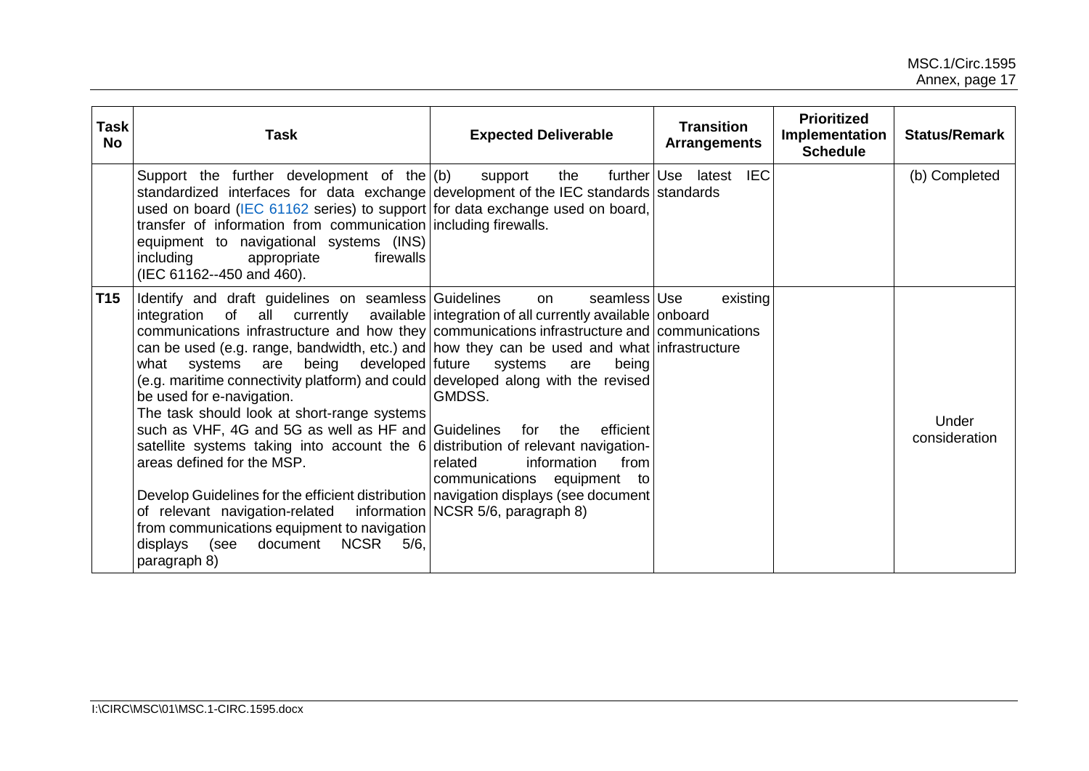| <b>Task</b><br><b>No</b> | <b>Task</b>                                                                                                                                                                                                                                                                                                                                                                                                                                                                                                                                                                                                                                                                                                                                                                                                                                                                                                                                                                                                                 | <b>Expected Deliverable</b>                                                                                                           | <b>Transition</b><br><b>Arrangements</b> | <b>Prioritized</b><br>Implementation<br><b>Schedule</b> | <b>Status/Remark</b>   |
|--------------------------|-----------------------------------------------------------------------------------------------------------------------------------------------------------------------------------------------------------------------------------------------------------------------------------------------------------------------------------------------------------------------------------------------------------------------------------------------------------------------------------------------------------------------------------------------------------------------------------------------------------------------------------------------------------------------------------------------------------------------------------------------------------------------------------------------------------------------------------------------------------------------------------------------------------------------------------------------------------------------------------------------------------------------------|---------------------------------------------------------------------------------------------------------------------------------------|------------------------------------------|---------------------------------------------------------|------------------------|
|                          | Support the further development of the $(6)$<br>standardized interfaces for data exchange development of the IEC standards standards<br>used on board (IEC 61162 series) to support for data exchange used on board,<br>transfer of information from communication including firewalls.<br>equipment to navigational systems (INS)<br>including<br>firewalls<br>appropriate<br>(IEC 61162--450 and 460).                                                                                                                                                                                                                                                                                                                                                                                                                                                                                                                                                                                                                    | support<br>the                                                                                                                        | further Use latest IEC                   |                                                         | (b) Completed          |
| T <sub>15</sub>          | Identify and draft guidelines on seamless Guidelines<br>integration of all currently available integration of all currently available onboard<br>communications infrastructure and how they communications infrastructure and communications<br>can be used (e.g. range, bandwidth, etc.) and how they can be used and what infrastructure<br>systems are being developed future<br>what<br>(e.g. maritime connectivity platform) and could developed along with the revised<br>be used for e-navigation.<br>The task should look at short-range systems<br>such as VHF, 4G and 5G as well as HF and Guidelines for the<br>satellite systems taking into account the 6 distribution of relevant navigation-<br>areas defined for the MSP.<br>Develop Guidelines for the efficient distribution navigation displays (see document)<br>of relevant navigation-related information NCSR 5/6, paragraph 8)<br>from communications equipment to navigation<br><b>NCSR</b><br>(see<br>document<br>5/6<br>displays<br>paragraph 8) | seamless Use<br>on<br>systems<br>are<br>being<br>GMDSS.<br>efficient<br>information<br>from<br>related<br>communications equipment to | existing                                 |                                                         | Under<br>consideration |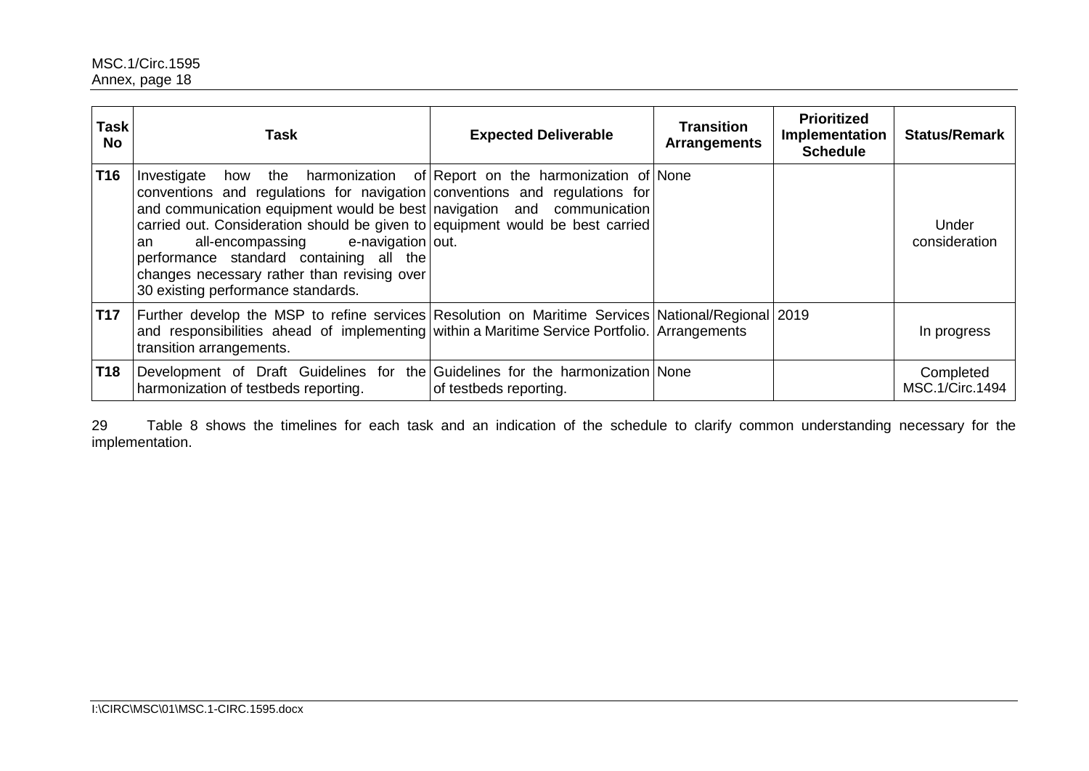| <b>Task</b><br><b>No</b> | Task                                                                                                                                                                                                                                                                                                                                                                                                                                | <b>Expected Deliverable</b>                                  | <b>Transition</b><br><b>Arrangements</b> | <b>Prioritized</b><br><b>Implementation</b><br><b>Schedule</b> | <b>Status/Remark</b>         |
|--------------------------|-------------------------------------------------------------------------------------------------------------------------------------------------------------------------------------------------------------------------------------------------------------------------------------------------------------------------------------------------------------------------------------------------------------------------------------|--------------------------------------------------------------|------------------------------------------|----------------------------------------------------------------|------------------------------|
| <b>T16</b>               | Investigate<br>conventions and regulations for navigation conventions and regulations for<br>and communication equipment would be best navigation and communication<br>carried out. Consideration should be given to equipment would be best carried<br>e-navigation out.<br>all-encompassing<br>an<br>performance standard containing all the<br>changes necessary rather than revising over<br>30 existing performance standards. | how the harmonization of Report on the harmonization of None |                                          |                                                                | Under<br>consideration       |
| <b>T17</b>               | Further develop the MSP to refine services Resolution on Maritime Services National/Regional 2019<br>and responsibilities ahead of implementing within a Maritime Service Portfolio. Arrangements<br>transition arrangements.                                                                                                                                                                                                       |                                                              |                                          |                                                                | In progress                  |
| <b>T18</b>               | Development of Draft Guidelines for the Guidelines for the harmonization None<br>harmonization of testbeds reporting.                                                                                                                                                                                                                                                                                                               | of testbeds reporting.                                       |                                          |                                                                | Completed<br>MSC.1/Circ.1494 |

29 Table 8 shows the timelines for each task and an indication of the schedule to clarify common understanding necessary for the implementation.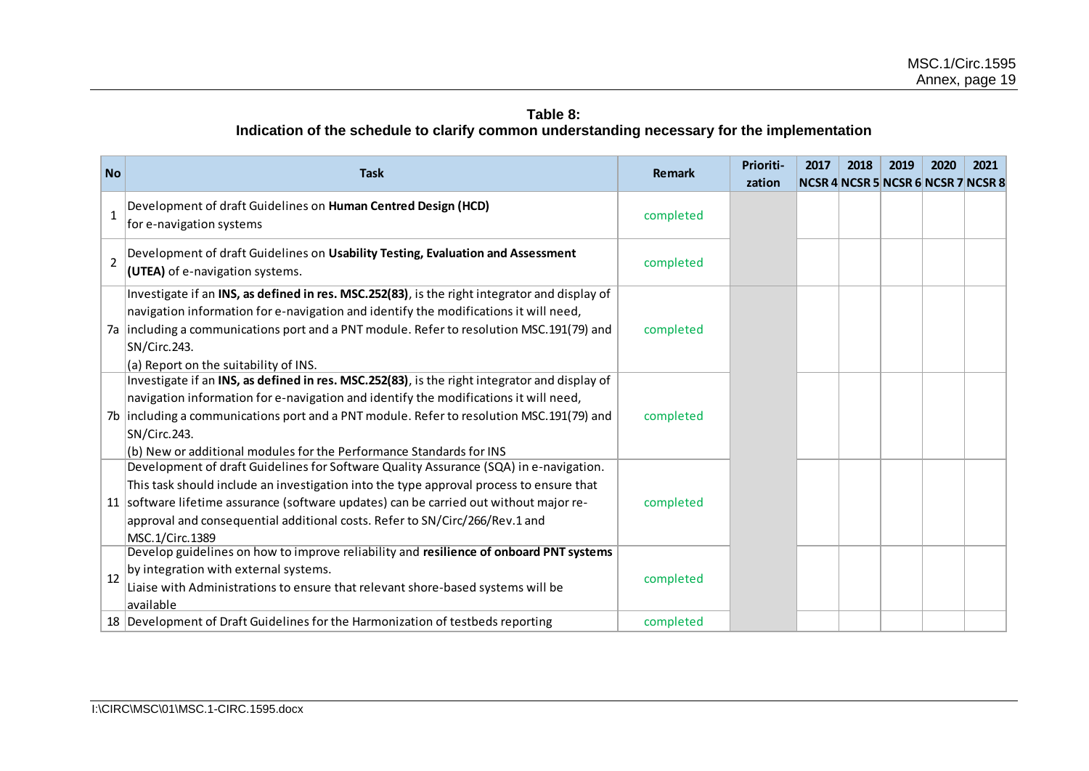## **Table 8: Indication of the schedule to clarify common understanding necessary for the implementation**

| <b>No</b>      | <b>Task</b>                                                                                                                                                                                                                                                                                                                                                                  | <b>Remark</b> | Prioriti- | 2017 | 2018 | 2019                               | 2020 | 2021 |
|----------------|------------------------------------------------------------------------------------------------------------------------------------------------------------------------------------------------------------------------------------------------------------------------------------------------------------------------------------------------------------------------------|---------------|-----------|------|------|------------------------------------|------|------|
|                |                                                                                                                                                                                                                                                                                                                                                                              |               | zation    |      |      | NCSR 4 NCSR 5 NCSR 6 NCSR 7 NCSR 8 |      |      |
| $\mathbf{1}$   | Development of draft Guidelines on Human Centred Design (HCD)<br>for e-navigation systems                                                                                                                                                                                                                                                                                    | completed     |           |      |      |                                    |      |      |
| $\overline{2}$ | Development of draft Guidelines on Usability Testing, Evaluation and Assessment<br>(UTEA) of e-navigation systems.                                                                                                                                                                                                                                                           | completed     |           |      |      |                                    |      |      |
|                | Investigate if an INS, as defined in res. MSC.252(83), is the right integrator and display of<br>navigation information for e-navigation and identify the modifications it will need,<br>7a including a communications port and a PNT module. Refer to resolution MSC.191(79) and<br>SN/Circ.243.<br>(a) Report on the suitability of INS.                                   | completed     |           |      |      |                                    |      |      |
|                | Investigate if an INS, as defined in res. MSC.252(83), is the right integrator and display of<br>navigation information for e-navigation and identify the modifications it will need,<br>7b including a communications port and a PNT module. Refer to resolution MSC.191(79) and<br>SN/Circ.243.<br>(b) New or additional modules for the Performance Standards for INS     | completed     |           |      |      |                                    |      |      |
|                | Development of draft Guidelines for Software Quality Assurance (SQA) in e-navigation.<br>This task should include an investigation into the type approval process to ensure that<br>11 software lifetime assurance (software updates) can be carried out without major re-<br>approval and consequential additional costs. Refer to SN/Circ/266/Rev.1 and<br>MSC.1/Circ.1389 | completed     |           |      |      |                                    |      |      |
| 12             | Develop guidelines on how to improve reliability and resilience of onboard PNT systems<br>by integration with external systems.<br>Liaise with Administrations to ensure that relevant shore-based systems will be<br>available                                                                                                                                              | completed     |           |      |      |                                    |      |      |
|                | 18 Development of Draft Guidelines for the Harmonization of testbeds reporting                                                                                                                                                                                                                                                                                               | completed     |           |      |      |                                    |      |      |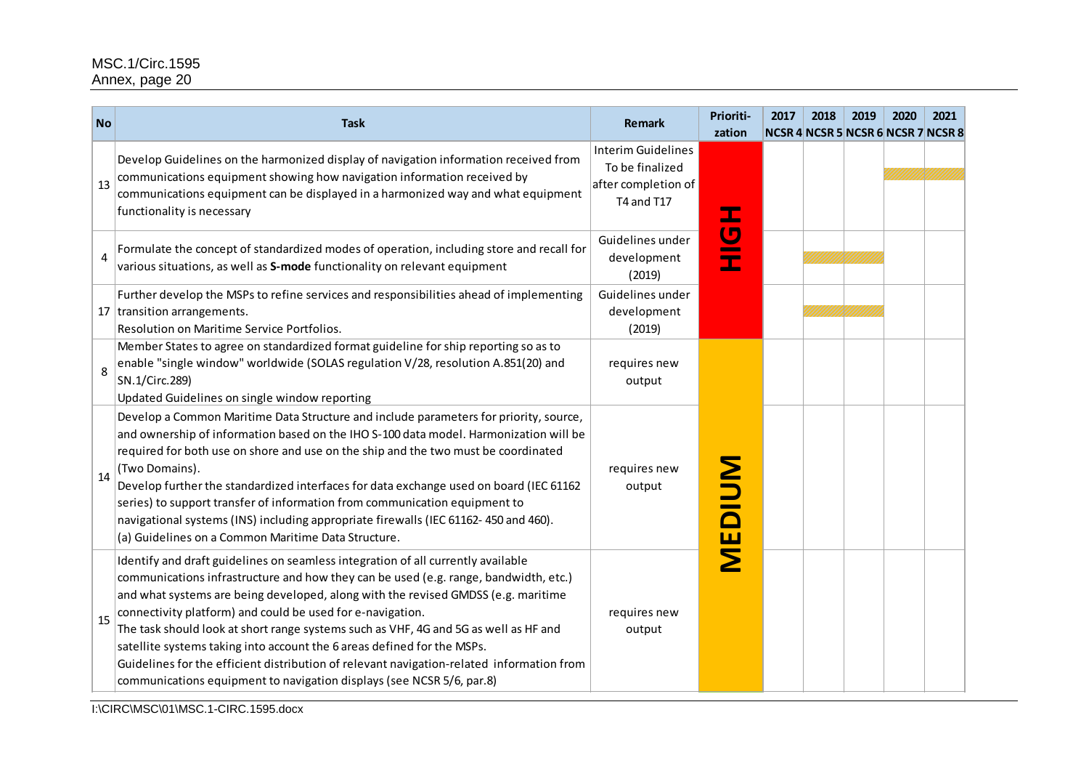| <b>No</b> | <b>Task</b>                                                                                                                                                                                                                                                                                                                                                                                                                                                                                                                                                                                                                                                          | <b>Remark</b>                                                                     | Prioriti-<br>zation | 2017 | 2018 | 2019 | 2020 | 2021<br>NCSR 4 NCSR 5 NCSR 6 NCSR 7 NCSR 8 |
|-----------|----------------------------------------------------------------------------------------------------------------------------------------------------------------------------------------------------------------------------------------------------------------------------------------------------------------------------------------------------------------------------------------------------------------------------------------------------------------------------------------------------------------------------------------------------------------------------------------------------------------------------------------------------------------------|-----------------------------------------------------------------------------------|---------------------|------|------|------|------|--------------------------------------------|
| 13        | Develop Guidelines on the harmonized display of navigation information received from<br>communications equipment showing how navigation information received by<br>communications equipment can be displayed in a harmonized way and what equipment<br>functionality is necessary                                                                                                                                                                                                                                                                                                                                                                                    | <b>Interim Guidelines</b><br>To be finalized<br>after completion of<br>T4 and T17 |                     |      |      |      |      |                                            |
| 4         | Formulate the concept of standardized modes of operation, including store and recall for<br>various situations, as well as S-mode functionality on relevant equipment                                                                                                                                                                                                                                                                                                                                                                                                                                                                                                | Guidelines under<br>development<br>(2019)                                         | HOH                 |      |      |      |      |                                            |
|           | Further develop the MSPs to refine services and responsibilities ahead of implementing<br>17 transition arrangements.<br>Resolution on Maritime Service Portfolios.                                                                                                                                                                                                                                                                                                                                                                                                                                                                                                  | Guidelines under<br>development<br>(2019)                                         |                     |      |      |      |      |                                            |
| 8         | Member States to agree on standardized format guideline for ship reporting so as to<br>enable "single window" worldwide (SOLAS regulation V/28, resolution A.851(20) and<br>SN.1/Circ.289)<br>Updated Guidelines on single window reporting                                                                                                                                                                                                                                                                                                                                                                                                                          | requires new<br>output                                                            |                     |      |      |      |      |                                            |
| 14        | Develop a Common Maritime Data Structure and include parameters for priority, source,<br>and ownership of information based on the IHO S-100 data model. Harmonization will be<br>required for both use on shore and use on the ship and the two must be coordinated<br>(Two Domains).<br>Develop further the standardized interfaces for data exchange used on board (IEC 61162<br>series) to support transfer of information from communication equipment to<br>navigational systems (INS) including appropriate firewalls (IEC 61162-450 and 460).<br>(a) Guidelines on a Common Maritime Data Structure.                                                         | requires new<br>output                                                            | <b>MEDIUM</b>       |      |      |      |      |                                            |
| 15        | Identify and draft guidelines on seamless integration of all currently available<br>communications infrastructure and how they can be used (e.g. range, bandwidth, etc.)<br>and what systems are being developed, along with the revised GMDSS (e.g. maritime<br>connectivity platform) and could be used for e-navigation.<br>The task should look at short range systems such as VHF, 4G and 5G as well as HF and<br>satellite systems taking into account the 6 areas defined for the MSPs.<br>Guidelines for the efficient distribution of relevant navigation-related information from<br>communications equipment to navigation displays (see NCSR 5/6, par.8) | requires new<br>output                                                            |                     |      |      |      |      |                                            |

I:\CIRC\MSC\01\MSC.1-CIRC.1595.docx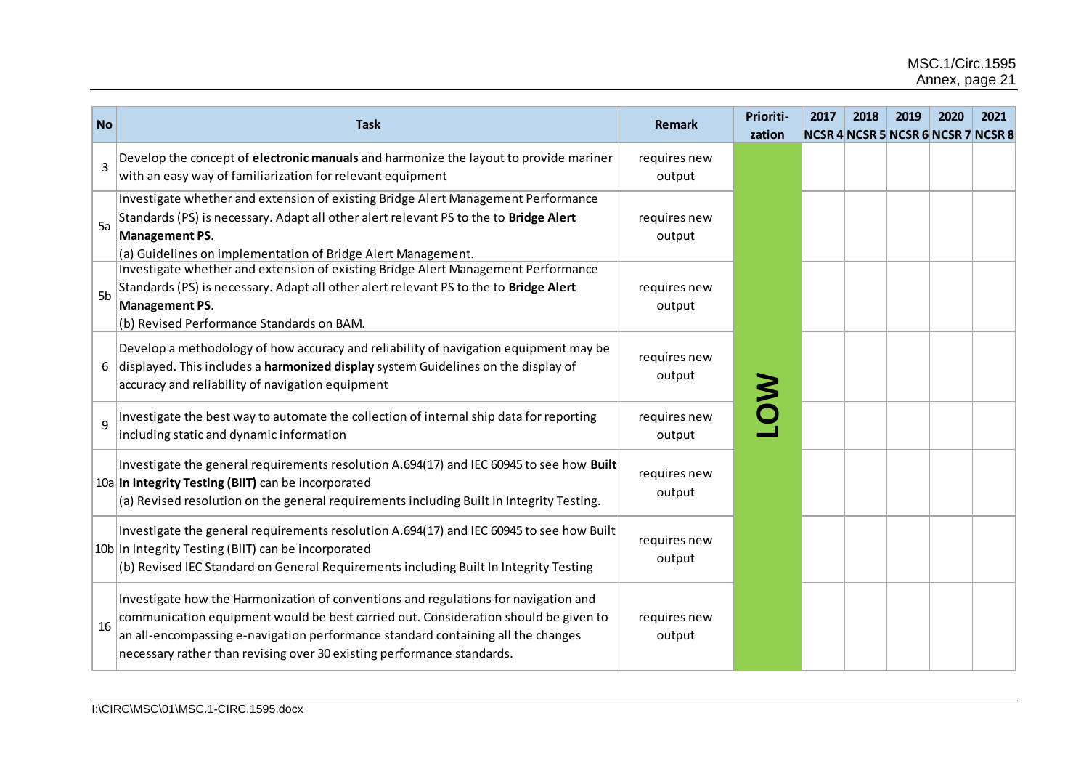| <b>No</b>      | <b>Task</b>                                                                                                                                                                                                                                                                                                                              | <b>Remark</b>          | Prioriti-<br>zation | 2017 | 2018 | 2019<br><b>NCSR 4 NCSR 5 NCSR 6 NCSR 7 NCSR 8</b> | 2020 | 2021 |
|----------------|------------------------------------------------------------------------------------------------------------------------------------------------------------------------------------------------------------------------------------------------------------------------------------------------------------------------------------------|------------------------|---------------------|------|------|---------------------------------------------------|------|------|
| $\overline{3}$ | Develop the concept of electronic manuals and harmonize the layout to provide mariner<br>with an easy way of familiarization for relevant equipment                                                                                                                                                                                      | requires new<br>output |                     |      |      |                                                   |      |      |
| 5a             | Investigate whether and extension of existing Bridge Alert Management Performance<br>Standards (PS) is necessary. Adapt all other alert relevant PS to the to Bridge Alert<br><b>Management PS.</b><br>(a) Guidelines on implementation of Bridge Alert Management.                                                                      | requires new<br>output |                     |      |      |                                                   |      |      |
| 5 <sub>b</sub> | Investigate whether and extension of existing Bridge Alert Management Performance<br>Standards (PS) is necessary. Adapt all other alert relevant PS to the to Bridge Alert<br>Management PS.<br>(b) Revised Performance Standards on BAM.                                                                                                | requires new<br>output |                     |      |      |                                                   |      |      |
| 6              | Develop a methodology of how accuracy and reliability of navigation equipment may be<br>displayed. This includes a harmonized display system Guidelines on the display of<br>accuracy and reliability of navigation equipment                                                                                                            | requires new<br>output |                     |      |      |                                                   |      |      |
| $\mathbf{q}$   | Investigate the best way to automate the collection of internal ship data for reporting<br>including static and dynamic information                                                                                                                                                                                                      | requires new<br>output |                     |      |      |                                                   |      |      |
|                | Investigate the general requirements resolution A.694(17) and IEC 60945 to see how Built<br>10a In Integrity Testing (BIIT) can be incorporated<br>(a) Revised resolution on the general requirements including Built In Integrity Testing.                                                                                              | requires new<br>output |                     |      |      |                                                   |      |      |
|                | Investigate the general requirements resolution A.694(17) and IEC 60945 to see how Built<br>10b In Integrity Testing (BIIT) can be incorporated<br>(b) Revised IEC Standard on General Requirements including Built In Integrity Testing                                                                                                 | requires new<br>output |                     |      |      |                                                   |      |      |
| 16             | Investigate how the Harmonization of conventions and regulations for navigation and<br>communication equipment would be best carried out. Consideration should be given to<br>an all-encompassing e-navigation performance standard containing all the changes<br>necessary rather than revising over 30 existing performance standards. | requires new<br>output |                     |      |      |                                                   |      |      |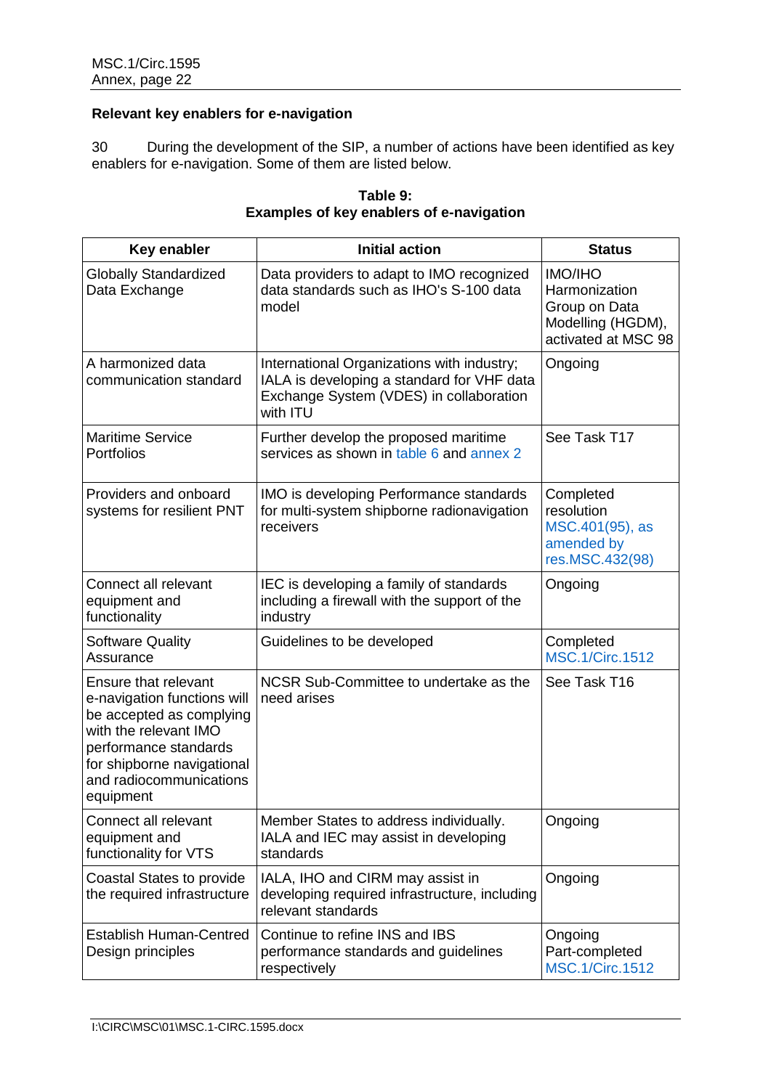### **Relevant key enablers for e-navigation**

30 During the development of the SIP, a number of actions have been identified as key enablers for e-navigation. Some of them are listed below.

| Key enabler                                                                                                                                                                                             | <b>Initial action</b>                                                                                                                           | <b>Status</b>                                                                                |
|---------------------------------------------------------------------------------------------------------------------------------------------------------------------------------------------------------|-------------------------------------------------------------------------------------------------------------------------------------------------|----------------------------------------------------------------------------------------------|
| <b>Globally Standardized</b><br>Data Exchange                                                                                                                                                           | Data providers to adapt to IMO recognized<br>data standards such as IHO's S-100 data<br>model                                                   | <b>IMO/IHO</b><br>Harmonization<br>Group on Data<br>Modelling (HGDM),<br>activated at MSC 98 |
| A harmonized data<br>communication standard                                                                                                                                                             | International Organizations with industry;<br>IALA is developing a standard for VHF data<br>Exchange System (VDES) in collaboration<br>with ITU | Ongoing                                                                                      |
| <b>Maritime Service</b><br>Portfolios                                                                                                                                                                   | Further develop the proposed maritime<br>services as shown in table 6 and annex 2                                                               | See Task T17                                                                                 |
| Providers and onboard<br>systems for resilient PNT                                                                                                                                                      | IMO is developing Performance standards<br>for multi-system shipborne radionavigation<br>receivers                                              | Completed<br>resolution<br>MSC.401(95), as<br>amended by<br>res.MSC.432(98)                  |
| Connect all relevant<br>equipment and<br>functionality                                                                                                                                                  | IEC is developing a family of standards<br>including a firewall with the support of the<br>industry                                             | Ongoing                                                                                      |
| <b>Software Quality</b><br>Assurance                                                                                                                                                                    | Guidelines to be developed                                                                                                                      | Completed<br><b>MSC.1/Circ.1512</b>                                                          |
| Ensure that relevant<br>e-navigation functions will<br>be accepted as complying<br>with the relevant IMO<br>performance standards<br>for shipborne navigational<br>and radiocommunications<br>equipment | NCSR Sub-Committee to undertake as the<br>need arises                                                                                           | See Task T16                                                                                 |
| Connect all relevant<br>equipment and<br>functionality for VTS                                                                                                                                          | Member States to address individually.<br>IALA and IEC may assist in developing<br>standards                                                    | Ongoing                                                                                      |
| Coastal States to provide<br>the required infrastructure                                                                                                                                                | IALA, IHO and CIRM may assist in<br>developing required infrastructure, including<br>relevant standards                                         | Ongoing                                                                                      |
| <b>Establish Human-Centred</b><br>Design principles                                                                                                                                                     | Continue to refine INS and IBS<br>performance standards and guidelines<br>respectively                                                          | Ongoing<br>Part-completed<br><b>MSC.1/Circ.1512</b>                                          |

| Table 9:                                        |
|-------------------------------------------------|
| <b>Examples of key enablers of e-navigation</b> |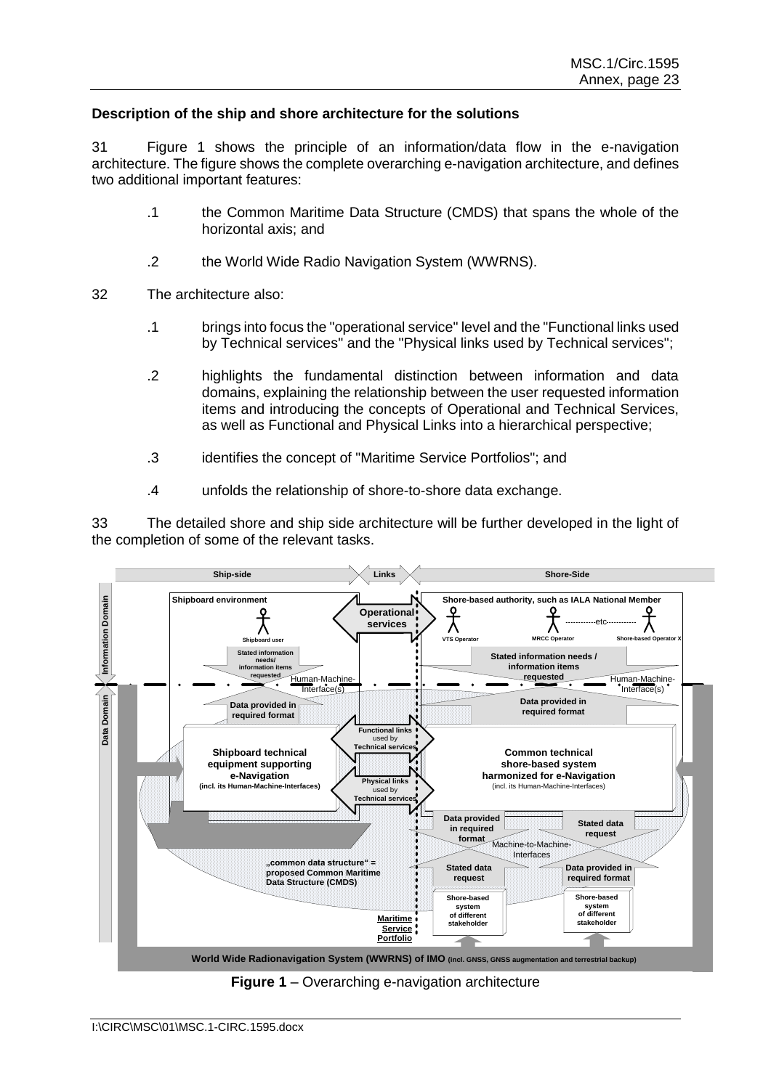#### **Description of the ship and shore architecture for the solutions**

31 Figure 1 shows the principle of an information/data flow in the e-navigation architecture. The figure shows the complete overarching e-navigation architecture, and defines two additional important features:

- .1 the Common Maritime Data Structure (CMDS) that spans the whole of the horizontal axis; and
- .2 the World Wide Radio Navigation System (WWRNS).
- 32 The architecture also:
	- .1 brings into focus the "operational service" level and the "Functional links used by Technical services" and the "Physical links used by Technical services";
	- .2 highlights the fundamental distinction between information and data domains, explaining the relationship between the user requested information items and introducing the concepts of Operational and Technical Services, as well as Functional and Physical Links into a hierarchical perspective;
	- .3 identifies the concept of "Maritime Service Portfolios"; and
	- .4 unfolds the relationship of shore-to-shore data exchange.

33 The detailed shore and ship side architecture will be further developed in the light of the completion of some of the relevant tasks.



**Figure 1** – Overarching e-navigation architecture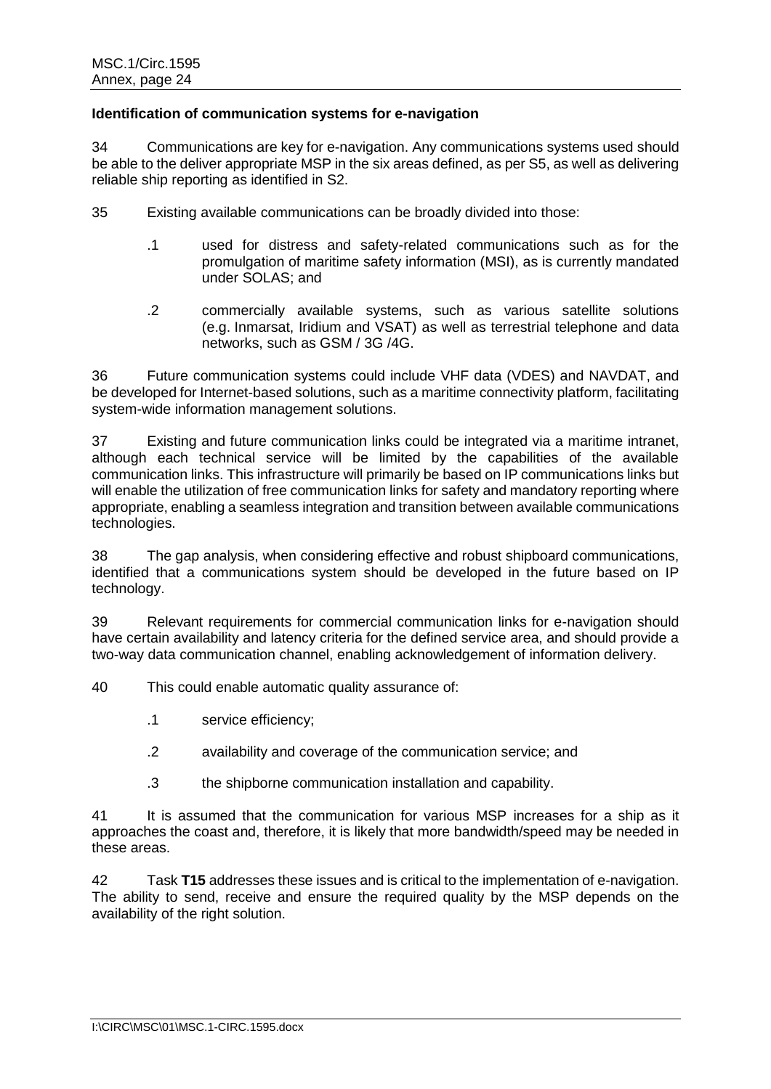#### **Identification of communication systems for e-navigation**

34 Communications are key for e-navigation. Any communications systems used should be able to the deliver appropriate MSP in the six areas defined, as per S5, as well as delivering reliable ship reporting as identified in S2.

- 35 Existing available communications can be broadly divided into those:
	- .1 used for distress and safety-related communications such as for the promulgation of maritime safety information (MSI), as is currently mandated under SOLAS; and
	- .2 commercially available systems, such as various satellite solutions (e.g. Inmarsat, Iridium and VSAT) as well as terrestrial telephone and data networks, such as GSM / 3G /4G.

36 Future communication systems could include VHF data (VDES) and NAVDAT, and be developed for Internet-based solutions, such as a maritime connectivity platform, facilitating system-wide information management solutions.

37 Existing and future communication links could be integrated via a maritime intranet, although each technical service will be limited by the capabilities of the available communication links. This infrastructure will primarily be based on IP communications links but will enable the utilization of free communication links for safety and mandatory reporting where appropriate, enabling a seamless integration and transition between available communications technologies.

38 The gap analysis, when considering effective and robust shipboard communications, identified that a communications system should be developed in the future based on IP technology.

39 Relevant requirements for commercial communication links for e-navigation should have certain availability and latency criteria for the defined service area, and should provide a two-way data communication channel, enabling acknowledgement of information delivery.

40 This could enable automatic quality assurance of:

- .1 service efficiency;
- .2 availability and coverage of the communication service; and
- .3 the shipborne communication installation and capability.

41 It is assumed that the communication for various MSP increases for a ship as it approaches the coast and, therefore, it is likely that more bandwidth/speed may be needed in these areas.

42 Task **T15** addresses these issues and is critical to the implementation of e-navigation. The ability to send, receive and ensure the required quality by the MSP depends on the availability of the right solution.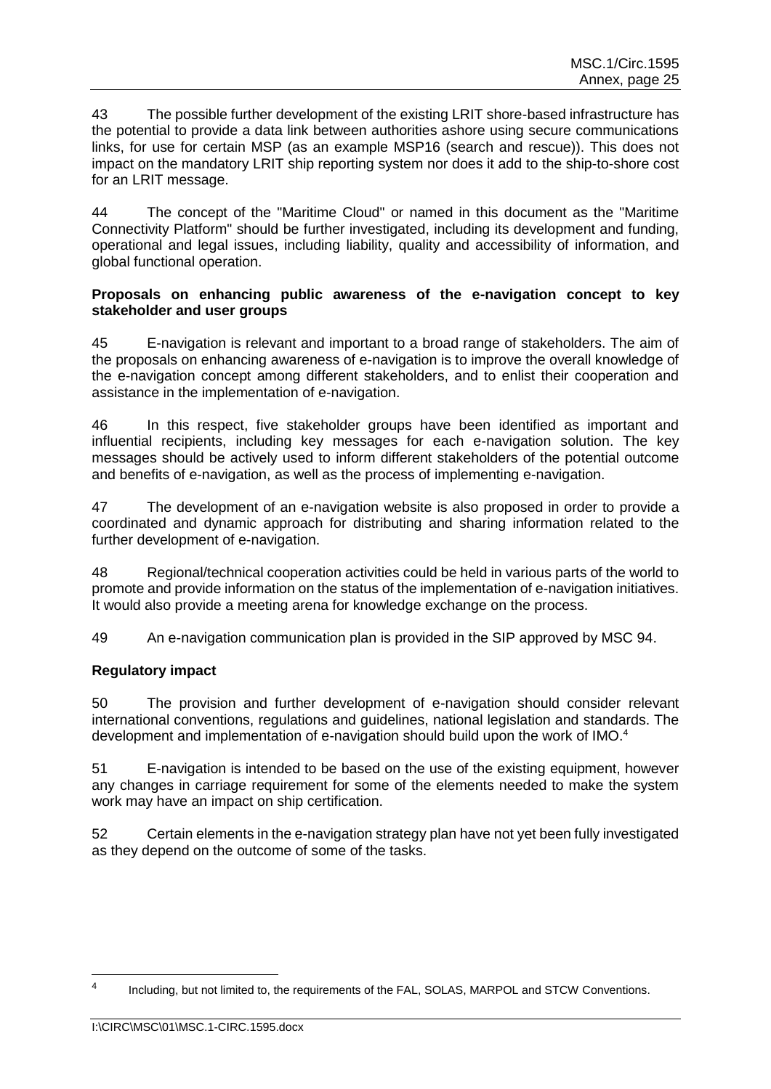43 The possible further development of the existing LRIT shore-based infrastructure has the potential to provide a data link between authorities ashore using secure communications links, for use for certain MSP (as an example MSP16 (search and rescue)). This does not impact on the mandatory LRIT ship reporting system nor does it add to the ship-to-shore cost for an LRIT message.

44 The concept of the "Maritime Cloud" or named in this document as the "Maritime Connectivity Platform" should be further investigated, including its development and funding, operational and legal issues, including liability, quality and accessibility of information, and global functional operation.

#### **Proposals on enhancing public awareness of the e-navigation concept to key stakeholder and user groups**

45 E-navigation is relevant and important to a broad range of stakeholders. The aim of the proposals on enhancing awareness of e-navigation is to improve the overall knowledge of the e-navigation concept among different stakeholders, and to enlist their cooperation and assistance in the implementation of e-navigation.

46 In this respect, five stakeholder groups have been identified as important and influential recipients, including key messages for each e-navigation solution. The key messages should be actively used to inform different stakeholders of the potential outcome and benefits of e-navigation, as well as the process of implementing e-navigation.

47 The development of an e-navigation website is also proposed in order to provide a coordinated and dynamic approach for distributing and sharing information related to the further development of e-navigation.

48 Regional/technical cooperation activities could be held in various parts of the world to promote and provide information on the status of the implementation of e-navigation initiatives. It would also provide a meeting arena for knowledge exchange on the process.

49 An e-navigation communication plan is provided in the SIP approved by MSC 94.

## **Regulatory impact**

50 The provision and further development of e-navigation should consider relevant international conventions, regulations and guidelines, national legislation and standards. The development and implementation of e-navigation should build upon the work of IMO.<sup>4</sup>

51 E-navigation is intended to be based on the use of the existing equipment, however any changes in carriage requirement for some of the elements needed to make the system work may have an impact on ship certification.

52 Certain elements in the e-navigation strategy plan have not yet been fully investigated as they depend on the outcome of some of the tasks.

 $\overline{a}$ 

<sup>4</sup> Including, but not limited to, the requirements of the FAL, SOLAS, MARPOL and STCW Conventions.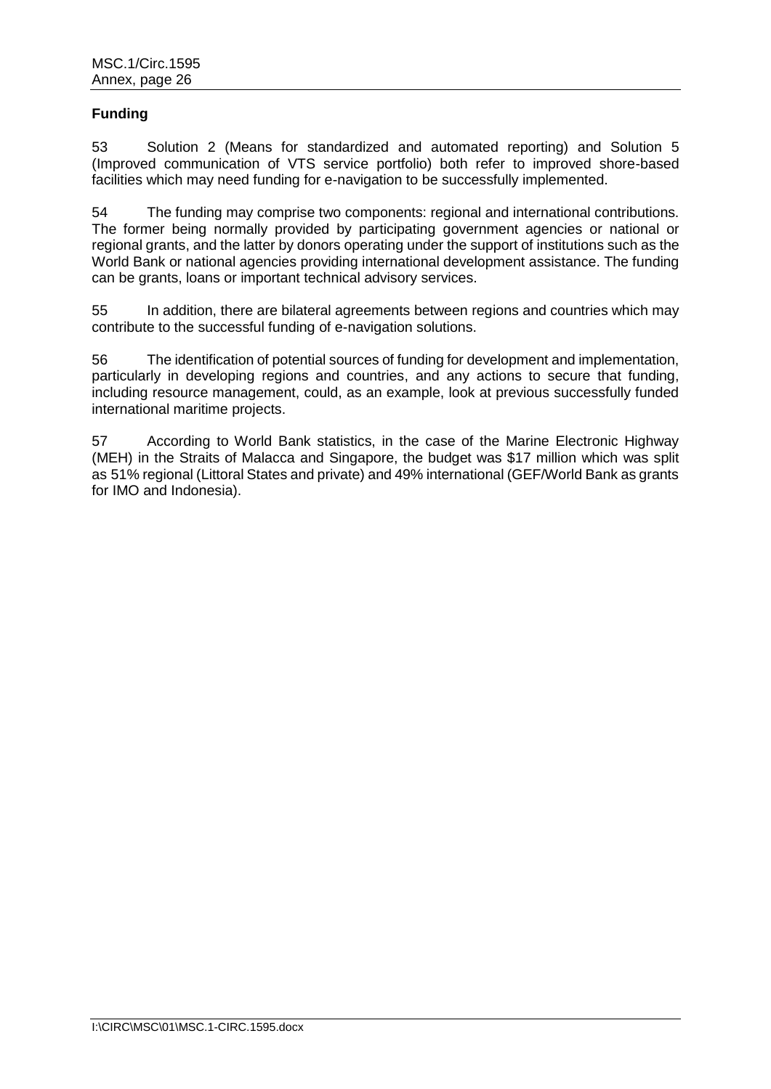## **Funding**

53 Solution 2 (Means for standardized and automated reporting) and Solution 5 (Improved communication of VTS service portfolio) both refer to improved shore-based facilities which may need funding for e-navigation to be successfully implemented.

54 The funding may comprise two components: regional and international contributions. The former being normally provided by participating government agencies or national or regional grants, and the latter by donors operating under the support of institutions such as the World Bank or national agencies providing international development assistance. The funding can be grants, loans or important technical advisory services.

55 In addition, there are bilateral agreements between regions and countries which may contribute to the successful funding of e-navigation solutions.

56 The identification of potential sources of funding for development and implementation, particularly in developing regions and countries, and any actions to secure that funding, including resource management, could, as an example, look at previous successfully funded international maritime projects.

57 According to World Bank statistics, in the case of the Marine Electronic Highway (MEH) in the Straits of Malacca and Singapore, the budget was \$17 million which was split as 51% regional (Littoral States and private) and 49% international (GEF/World Bank as grants for IMO and Indonesia).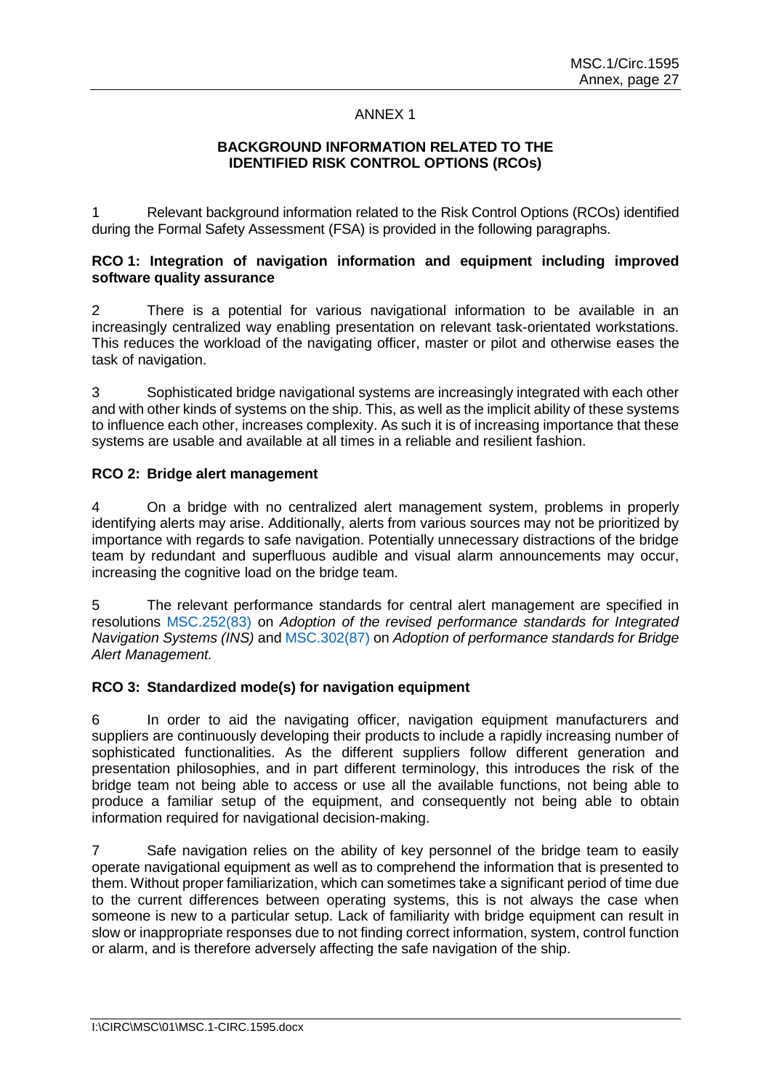#### ANNEX 1

### **BACKGROUND INFORMATION RELATED TO THE IDENTIFIED RISK CONTROL OPTIONS (RCOs)**

1 Relevant background information related to the Risk Control Options (RCOs) identified during the Formal Safety Assessment (FSA) is provided in the following paragraphs.

## **RCO 1: Integration of navigation information and equipment including improved software quality assurance**

2 There is a potential for various navigational information to be available in an increasingly centralized way enabling presentation on relevant task-orientated workstations. This reduces the workload of the navigating officer, master or pilot and otherwise eases the task of navigation.

3 Sophisticated bridge navigational systems are increasingly integrated with each other and with other kinds of systems on the ship. This, as well as the implicit ability of these systems to influence each other, increases complexity. As such it is of increasing importance that these systems are usable and available at all times in a reliable and resilient fashion.

#### **RCO 2: Bridge alert management**

4 On a bridge with no centralized alert management system, problems in properly identifying alerts may arise. Additionally, alerts from various sources may not be prioritized by importance with regards to safe navigation. Potentially unnecessary distractions of the bridge team by redundant and superfluous audible and visual alarm announcements may occur, increasing the cognitive load on the bridge team.

5 The relevant performance standards for central alert management are specified in resolutions MSC.252(83) on *Adoption of the revised performance standards for Integrated Navigation Systems (INS)* and MSC.302(87) on *Adoption of performance standards for Bridge Alert Management.*

#### **RCO 3: Standardized mode(s) for navigation equipment**

6 In order to aid the navigating officer, navigation equipment manufacturers and suppliers are continuously developing their products to include a rapidly increasing number of sophisticated functionalities. As the different suppliers follow different generation and presentation philosophies, and in part different terminology, this introduces the risk of the bridge team not being able to access or use all the available functions, not being able to produce a familiar setup of the equipment, and consequently not being able to obtain information required for navigational decision-making.

7 Safe navigation relies on the ability of key personnel of the bridge team to easily operate navigational equipment as well as to comprehend the information that is presented to them. Without proper familiarization, which can sometimes take a significant period of time due to the current differences between operating systems, this is not always the case when someone is new to a particular setup. Lack of familiarity with bridge equipment can result in slow or inappropriate responses due to not finding correct information, system, control function or alarm, and is therefore adversely affecting the safe navigation of the ship.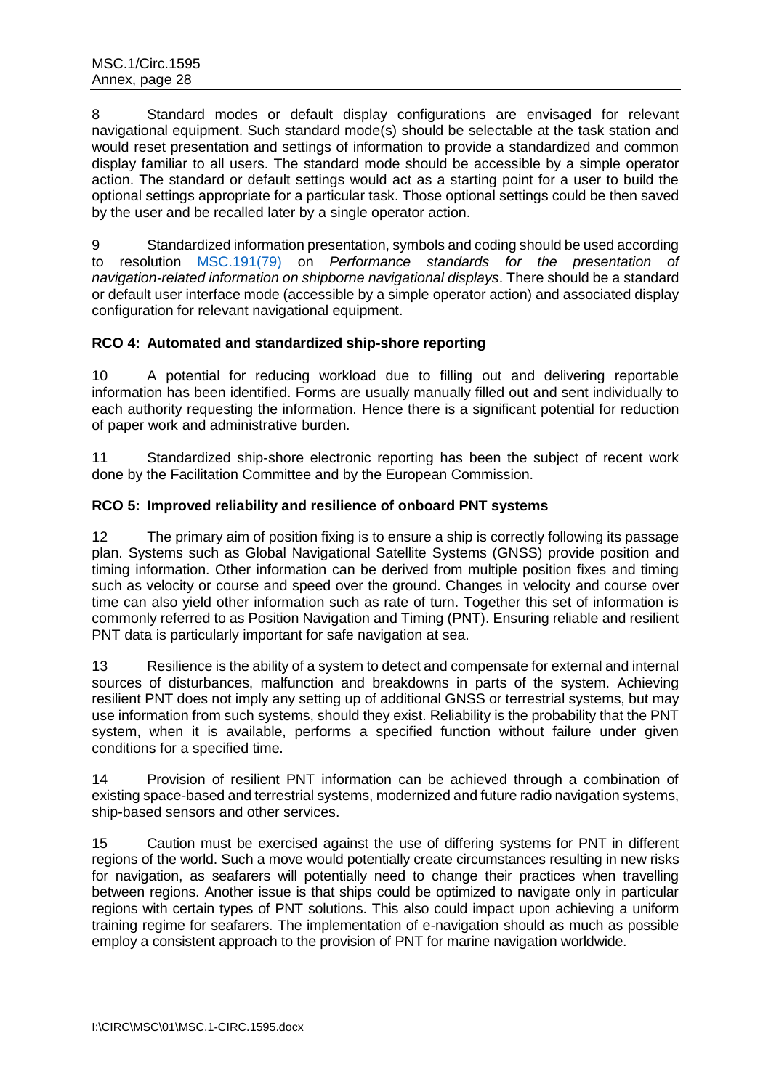8 Standard modes or default display configurations are envisaged for relevant navigational equipment. Such standard mode(s) should be selectable at the task station and would reset presentation and settings of information to provide a standardized and common display familiar to all users. The standard mode should be accessible by a simple operator action. The standard or default settings would act as a starting point for a user to build the optional settings appropriate for a particular task. Those optional settings could be then saved by the user and be recalled later by a single operator action.

9 Standardized information presentation, symbols and coding should be used according to resolution MSC.191(79) on *Performance standards for the presentation of navigation-related information on shipborne navigational displays*. There should be a standard or default user interface mode (accessible by a simple operator action) and associated display configuration for relevant navigational equipment.

## **RCO 4: Automated and standardized ship-shore reporting**

10 A potential for reducing workload due to filling out and delivering reportable information has been identified. Forms are usually manually filled out and sent individually to each authority requesting the information. Hence there is a significant potential for reduction of paper work and administrative burden.

11 Standardized ship-shore electronic reporting has been the subject of recent work done by the Facilitation Committee and by the European Commission.

## **RCO 5: Improved reliability and resilience of onboard PNT systems**

12 The primary aim of position fixing is to ensure a ship is correctly following its passage plan. Systems such as Global Navigational Satellite Systems (GNSS) provide position and timing information. Other information can be derived from multiple position fixes and timing such as velocity or course and speed over the ground. Changes in velocity and course over time can also yield other information such as rate of turn. Together this set of information is commonly referred to as Position Navigation and Timing (PNT). Ensuring reliable and resilient PNT data is particularly important for safe navigation at sea.

13 Resilience is the ability of a system to detect and compensate for external and internal sources of disturbances, malfunction and breakdowns in parts of the system. Achieving resilient PNT does not imply any setting up of additional GNSS or terrestrial systems, but may use information from such systems, should they exist. Reliability is the probability that the PNT system, when it is available, performs a specified function without failure under given conditions for a specified time.

14 Provision of resilient PNT information can be achieved through a combination of existing space-based and terrestrial systems, modernized and future radio navigation systems, ship-based sensors and other services.

15 Caution must be exercised against the use of differing systems for PNT in different regions of the world. Such a move would potentially create circumstances resulting in new risks for navigation, as seafarers will potentially need to change their practices when travelling between regions. Another issue is that ships could be optimized to navigate only in particular regions with certain types of PNT solutions. This also could impact upon achieving a uniform training regime for seafarers. The implementation of e-navigation should as much as possible employ a consistent approach to the provision of PNT for marine navigation worldwide.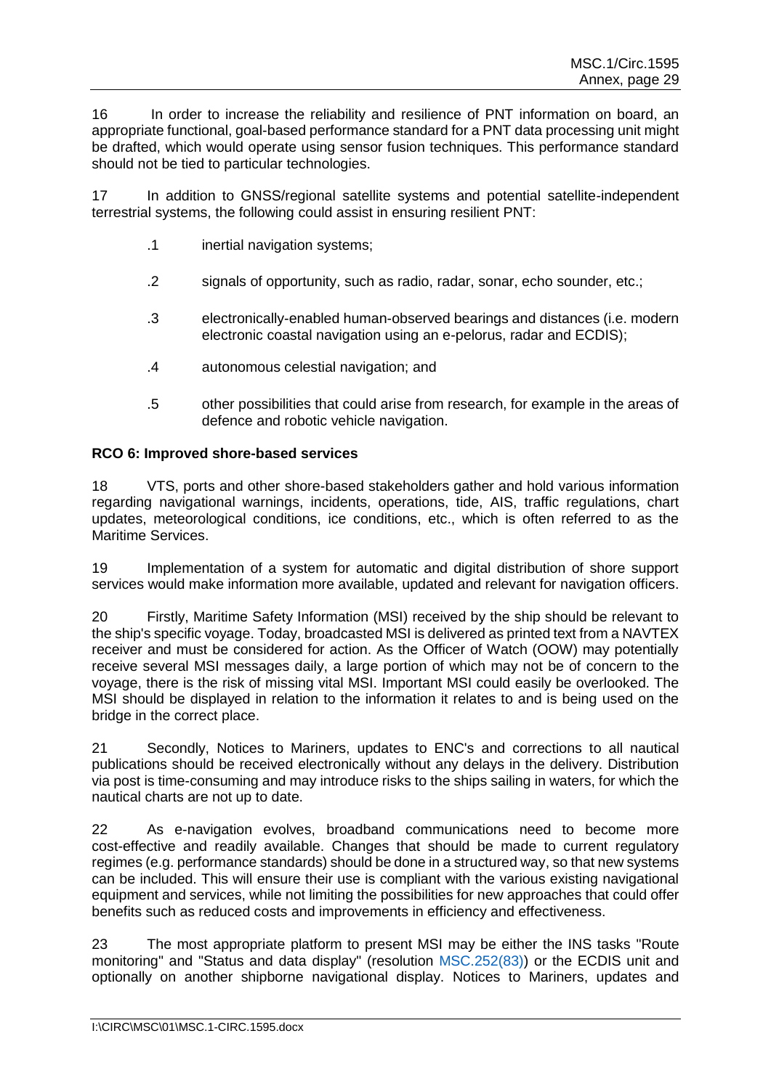16 In order to increase the reliability and resilience of PNT information on board, an appropriate functional, goal-based performance standard for a PNT data processing unit might be drafted, which would operate using sensor fusion techniques. This performance standard should not be tied to particular technologies.

17 In addition to GNSS/regional satellite systems and potential satellite-independent terrestrial systems, the following could assist in ensuring resilient PNT:

- .1 inertial navigation systems;
- .2 signals of opportunity, such as radio, radar, sonar, echo sounder, etc.;
- .3 electronically-enabled human-observed bearings and distances (i.e. modern electronic coastal navigation using an e-pelorus, radar and ECDIS);
- .4 autonomous celestial navigation; and
- .5 other possibilities that could arise from research, for example in the areas of defence and robotic vehicle navigation.

#### **RCO 6: Improved shore-based services**

18 VTS, ports and other shore-based stakeholders gather and hold various information regarding navigational warnings, incidents, operations, tide, AIS, traffic regulations, chart updates, meteorological conditions, ice conditions, etc., which is often referred to as the Maritime Services.

19 Implementation of a system for automatic and digital distribution of shore support services would make information more available, updated and relevant for navigation officers.

20 Firstly, Maritime Safety Information (MSI) received by the ship should be relevant to the ship's specific voyage. Today, broadcasted MSI is delivered as printed text from a NAVTEX receiver and must be considered for action. As the Officer of Watch (OOW) may potentially receive several MSI messages daily, a large portion of which may not be of concern to the voyage, there is the risk of missing vital MSI. Important MSI could easily be overlooked. The MSI should be displayed in relation to the information it relates to and is being used on the bridge in the correct place.

21 Secondly, Notices to Mariners, updates to ENC's and corrections to all nautical publications should be received electronically without any delays in the delivery. Distribution via post is time-consuming and may introduce risks to the ships sailing in waters, for which the nautical charts are not up to date.

22 As e-navigation evolves, broadband communications need to become more cost-effective and readily available. Changes that should be made to current regulatory regimes (e.g. performance standards) should be done in a structured way, so that new systems can be included. This will ensure their use is compliant with the various existing navigational equipment and services, while not limiting the possibilities for new approaches that could offer benefits such as reduced costs and improvements in efficiency and effectiveness.

23 The most appropriate platform to present MSI may be either the INS tasks "Route monitoring" and "Status and data display" (resolution MSC.252(83)) or the ECDIS unit and optionally on another shipborne navigational display. Notices to Mariners, updates and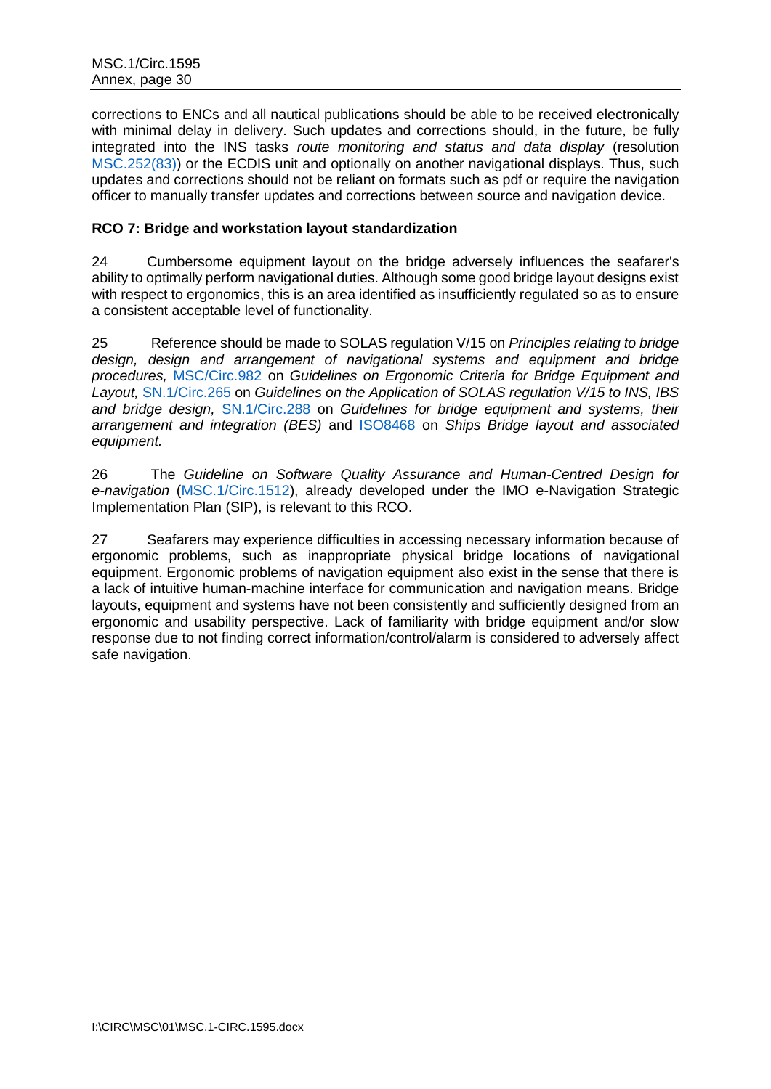corrections to ENCs and all nautical publications should be able to be received electronically with minimal delay in delivery. Such updates and corrections should, in the future, be fully integrated into the INS tasks *route monitoring and status and data display* (resolution MSC.252(83)) or the ECDIS unit and optionally on another navigational displays. Thus, such updates and corrections should not be reliant on formats such as pdf or require the navigation officer to manually transfer updates and corrections between source and navigation device.

## **RCO 7: Bridge and workstation layout standardization**

24 Cumbersome equipment layout on the bridge adversely influences the seafarer's ability to optimally perform navigational duties. Although some good bridge layout designs exist with respect to ergonomics, this is an area identified as insufficiently regulated so as to ensure a consistent acceptable level of functionality.

25 Reference should be made to SOLAS regulation V/15 on *Principles relating to bridge design, design and arrangement of navigational systems and equipment and bridge procedures,* MSC/Circ.982 on *Guidelines on Ergonomic Criteria for Bridge Equipment and Layout,* [SN.1/Circ.265](#page-63-0) on *Guidelines on the Application of SOLAS regulation V/15 to INS, IBS and bridge design,* [SN.1/Circ.288](#page-5-0) on *Guidelines for bridge equipment and systems, their arrangement and integration (BES)* and [ISO8468](#page-63-12) on *Ships Bridge layout and associated equipment.*

26 The *Guideline on Software Quality Assurance and Human-Centred Design for e-navigation* [\(MSC.1/Circ.1512\)](#page-63-6), already developed under the IMO e-Navigation Strategic Implementation Plan (SIP), is relevant to this RCO.

27 Seafarers may experience difficulties in accessing necessary information because of ergonomic problems, such as inappropriate physical bridge locations of navigational equipment. Ergonomic problems of navigation equipment also exist in the sense that there is a lack of intuitive human-machine interface for communication and navigation means. Bridge layouts, equipment and systems have not been consistently and sufficiently designed from an ergonomic and usability perspective. Lack of familiarity with bridge equipment and/or slow response due to not finding correct information/control/alarm is considered to adversely affect safe navigation.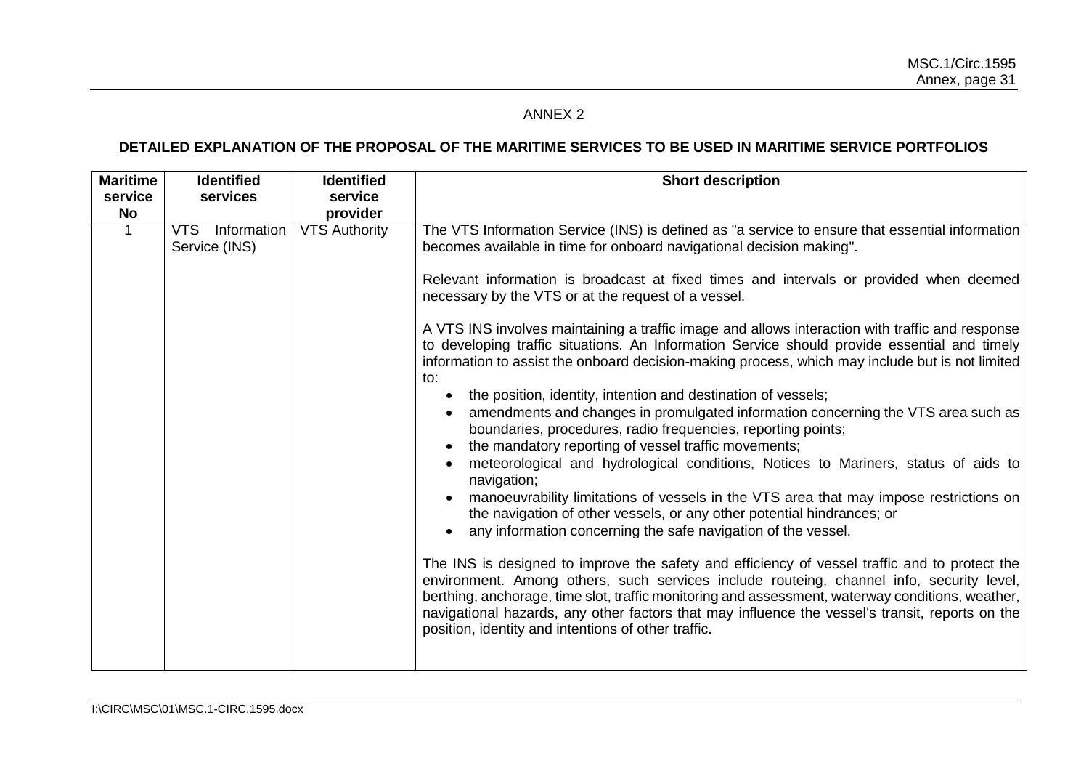# ANNEX 2

# **DETAILED EXPLANATION OF THE PROPOSAL OF THE MARITIME SERVICES TO BE USED IN MARITIME SERVICE PORTFOLIOS**

| <b>Maritime</b><br>service<br><b>No</b> | <b>Identified</b><br>services    | <b>Identified</b><br>service<br>provider | <b>Short description</b>                                                                                                                                                                                                                                                                                                                                                                                                                                                                                                                                                                                                                                                                                                                                                                                                                                                                                                                                                                                                                                                                                                                                                                                                                                                                                                                                                                                                                                                                                                                                                                                                                                                                                                              |
|-----------------------------------------|----------------------------------|------------------------------------------|---------------------------------------------------------------------------------------------------------------------------------------------------------------------------------------------------------------------------------------------------------------------------------------------------------------------------------------------------------------------------------------------------------------------------------------------------------------------------------------------------------------------------------------------------------------------------------------------------------------------------------------------------------------------------------------------------------------------------------------------------------------------------------------------------------------------------------------------------------------------------------------------------------------------------------------------------------------------------------------------------------------------------------------------------------------------------------------------------------------------------------------------------------------------------------------------------------------------------------------------------------------------------------------------------------------------------------------------------------------------------------------------------------------------------------------------------------------------------------------------------------------------------------------------------------------------------------------------------------------------------------------------------------------------------------------------------------------------------------------|
| $\mathbf{1}$                            | VTS Information<br>Service (INS) | <b>VTS Authority</b>                     | The VTS Information Service (INS) is defined as "a service to ensure that essential information<br>becomes available in time for onboard navigational decision making".<br>Relevant information is broadcast at fixed times and intervals or provided when deemed<br>necessary by the VTS or at the request of a vessel.<br>A VTS INS involves maintaining a traffic image and allows interaction with traffic and response<br>to developing traffic situations. An Information Service should provide essential and timely<br>information to assist the onboard decision-making process, which may include but is not limited<br>to:<br>the position, identity, intention and destination of vessels;<br>$\bullet$<br>amendments and changes in promulgated information concerning the VTS area such as<br>boundaries, procedures, radio frequencies, reporting points;<br>the mandatory reporting of vessel traffic movements;<br>meteorological and hydrological conditions, Notices to Mariners, status of aids to<br>navigation;<br>manoeuvrability limitations of vessels in the VTS area that may impose restrictions on<br>the navigation of other vessels, or any other potential hindrances; or<br>any information concerning the safe navigation of the vessel.<br>The INS is designed to improve the safety and efficiency of vessel traffic and to protect the<br>environment. Among others, such services include routeing, channel info, security level,<br>berthing, anchorage, time slot, traffic monitoring and assessment, waterway conditions, weather,<br>navigational hazards, any other factors that may influence the vessel's transit, reports on the<br>position, identity and intentions of other traffic. |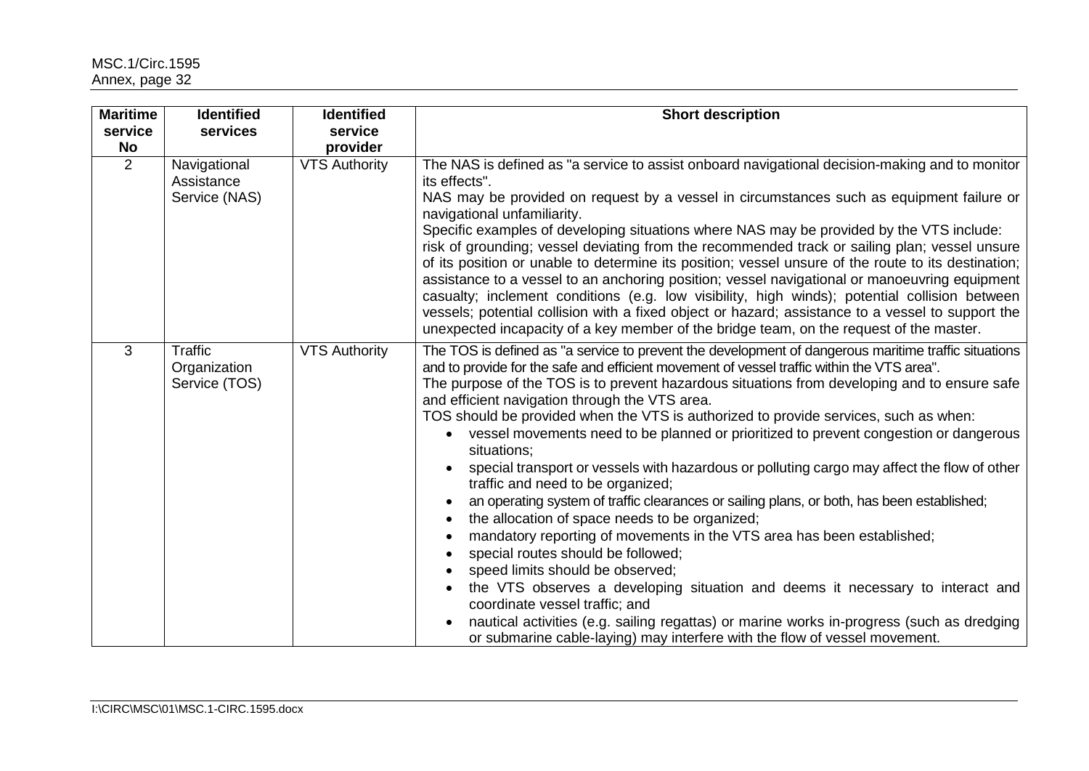| <b>Maritime</b><br>service<br><b>No</b> | <b>Identified</b><br>services               | <b>Identified</b><br>service<br>provider | <b>Short description</b>                                                                                                                                                                                                                                                                                                                                                                                                                                                                                                                                                                                                                                                                                                                                                                                                                                                                                                                                                                                                                                                                                                                                                                                                                                                                                              |
|-----------------------------------------|---------------------------------------------|------------------------------------------|-----------------------------------------------------------------------------------------------------------------------------------------------------------------------------------------------------------------------------------------------------------------------------------------------------------------------------------------------------------------------------------------------------------------------------------------------------------------------------------------------------------------------------------------------------------------------------------------------------------------------------------------------------------------------------------------------------------------------------------------------------------------------------------------------------------------------------------------------------------------------------------------------------------------------------------------------------------------------------------------------------------------------------------------------------------------------------------------------------------------------------------------------------------------------------------------------------------------------------------------------------------------------------------------------------------------------|
| $\overline{2}$                          | Navigational<br>Assistance<br>Service (NAS) | <b>VTS Authority</b>                     | The NAS is defined as "a service to assist onboard navigational decision-making and to monitor<br>its effects".<br>NAS may be provided on request by a vessel in circumstances such as equipment failure or<br>navigational unfamiliarity.<br>Specific examples of developing situations where NAS may be provided by the VTS include:<br>risk of grounding; vessel deviating from the recommended track or sailing plan; vessel unsure<br>of its position or unable to determine its position; vessel unsure of the route to its destination;<br>assistance to a vessel to an anchoring position; vessel navigational or manoeuvring equipment<br>casualty; inclement conditions (e.g. low visibility, high winds); potential collision between<br>vessels; potential collision with a fixed object or hazard; assistance to a vessel to support the<br>unexpected incapacity of a key member of the bridge team, on the request of the master.                                                                                                                                                                                                                                                                                                                                                                      |
| 3                                       | Traffic<br>Organization<br>Service (TOS)    | <b>VTS Authority</b>                     | The TOS is defined as "a service to prevent the development of dangerous maritime traffic situations<br>and to provide for the safe and efficient movement of vessel traffic within the VTS area".<br>The purpose of the TOS is to prevent hazardous situations from developing and to ensure safe<br>and efficient navigation through the VTS area.<br>TOS should be provided when the VTS is authorized to provide services, such as when:<br>vessel movements need to be planned or prioritized to prevent congestion or dangerous<br>$\bullet$<br>situations;<br>special transport or vessels with hazardous or polluting cargo may affect the flow of other<br>traffic and need to be organized;<br>an operating system of traffic clearances or sailing plans, or both, has been established;<br>the allocation of space needs to be organized;<br>$\bullet$<br>mandatory reporting of movements in the VTS area has been established;<br>special routes should be followed;<br>speed limits should be observed;<br>the VTS observes a developing situation and deems it necessary to interact and<br>coordinate vessel traffic; and<br>nautical activities (e.g. sailing regattas) or marine works in-progress (such as dredging<br>or submarine cable-laying) may interfere with the flow of vessel movement. |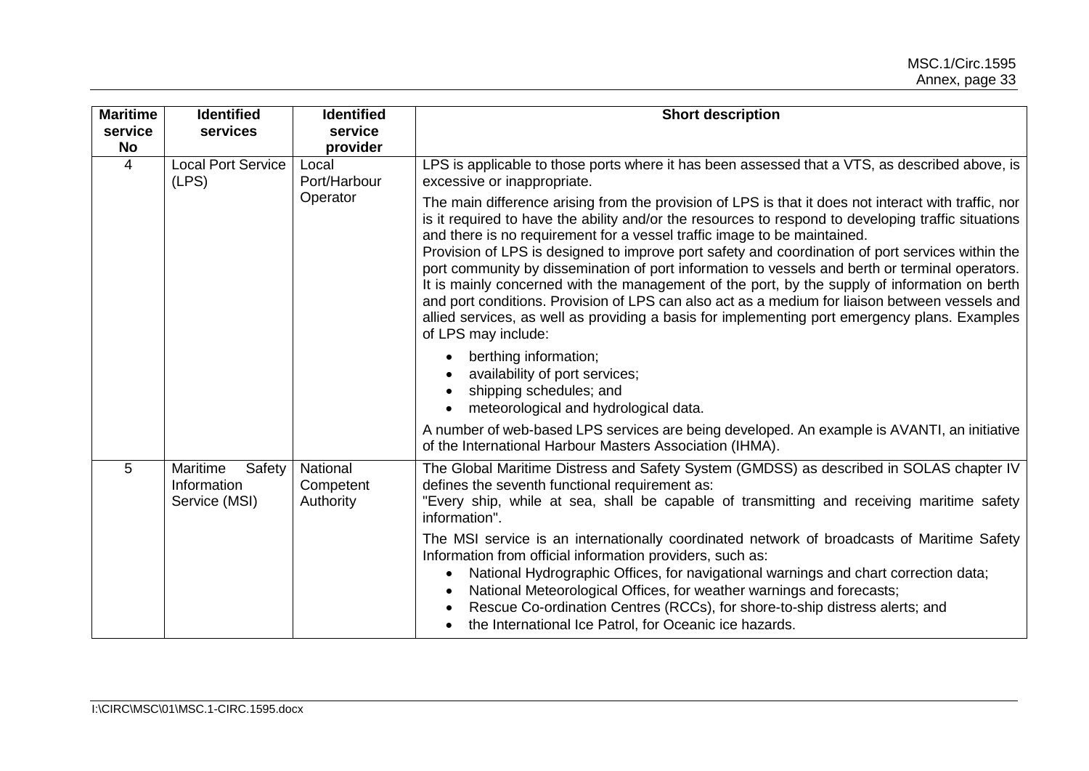| <b>Maritime</b><br>service<br>No | <b>Identified</b><br>services                      | <b>Identified</b><br>service<br>provider | <b>Short description</b>                                                                                                                                                                                                                                                                                                                                                                                                                                                                                                                                                                                                                                                                                                                                                                                                  |
|----------------------------------|----------------------------------------------------|------------------------------------------|---------------------------------------------------------------------------------------------------------------------------------------------------------------------------------------------------------------------------------------------------------------------------------------------------------------------------------------------------------------------------------------------------------------------------------------------------------------------------------------------------------------------------------------------------------------------------------------------------------------------------------------------------------------------------------------------------------------------------------------------------------------------------------------------------------------------------|
| $\overline{4}$                   | <b>Local Port Service</b><br>(LPS)                 | Local<br>Port/Harbour                    | LPS is applicable to those ports where it has been assessed that a VTS, as described above, is<br>excessive or inappropriate.                                                                                                                                                                                                                                                                                                                                                                                                                                                                                                                                                                                                                                                                                             |
|                                  |                                                    | Operator                                 | The main difference arising from the provision of LPS is that it does not interact with traffic, nor<br>is it required to have the ability and/or the resources to respond to developing traffic situations<br>and there is no requirement for a vessel traffic image to be maintained.<br>Provision of LPS is designed to improve port safety and coordination of port services within the<br>port community by dissemination of port information to vessels and berth or terminal operators.<br>It is mainly concerned with the management of the port, by the supply of information on berth<br>and port conditions. Provision of LPS can also act as a medium for liaison between vessels and<br>allied services, as well as providing a basis for implementing port emergency plans. Examples<br>of LPS may include: |
|                                  |                                                    |                                          | berthing information;<br>$\bullet$<br>availability of port services;<br>shipping schedules; and<br>٠<br>meteorological and hydrological data.                                                                                                                                                                                                                                                                                                                                                                                                                                                                                                                                                                                                                                                                             |
|                                  |                                                    |                                          | A number of web-based LPS services are being developed. An example is AVANTI, an initiative<br>of the International Harbour Masters Association (IHMA).                                                                                                                                                                                                                                                                                                                                                                                                                                                                                                                                                                                                                                                                   |
| 5                                | Maritime<br>Safety<br>Information<br>Service (MSI) | National<br>Competent<br>Authority       | The Global Maritime Distress and Safety System (GMDSS) as described in SOLAS chapter IV<br>defines the seventh functional requirement as:<br>"Every ship, while at sea, shall be capable of transmitting and receiving maritime safety<br>information".                                                                                                                                                                                                                                                                                                                                                                                                                                                                                                                                                                   |
|                                  |                                                    |                                          | The MSI service is an internationally coordinated network of broadcasts of Maritime Safety<br>Information from official information providers, such as:<br>National Hydrographic Offices, for navigational warnings and chart correction data;<br>$\bullet$<br>National Meteorological Offices, for weather warnings and forecasts;<br>٠<br>Rescue Co-ordination Centres (RCCs), for shore-to-ship distress alerts; and<br>the International Ice Patrol, for Oceanic ice hazards.                                                                                                                                                                                                                                                                                                                                         |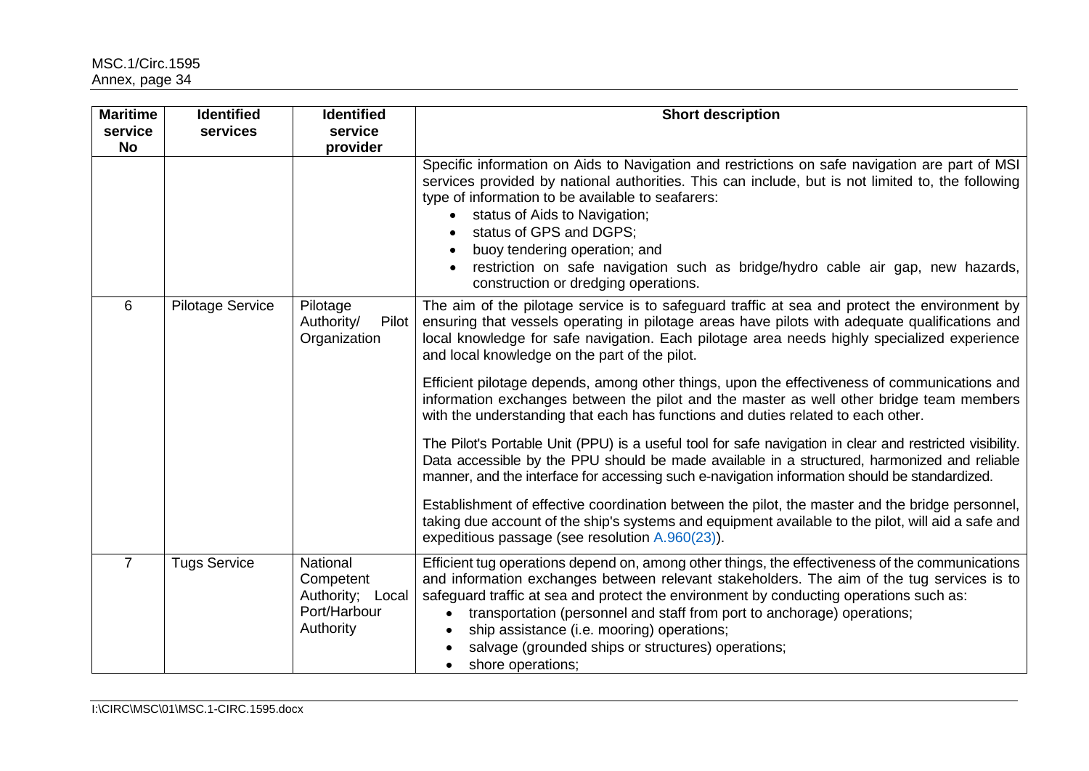| <b>Maritime</b>      | <b>Identified</b>       | <b>Identified</b>                                                             | <b>Short description</b>                                                                                                                                                                                                                                                                                                                                                                                                                                                                                              |
|----------------------|-------------------------|-------------------------------------------------------------------------------|-----------------------------------------------------------------------------------------------------------------------------------------------------------------------------------------------------------------------------------------------------------------------------------------------------------------------------------------------------------------------------------------------------------------------------------------------------------------------------------------------------------------------|
| service<br><b>No</b> | services                | service<br>provider                                                           |                                                                                                                                                                                                                                                                                                                                                                                                                                                                                                                       |
|                      |                         |                                                                               | Specific information on Aids to Navigation and restrictions on safe navigation are part of MSI<br>services provided by national authorities. This can include, but is not limited to, the following<br>type of information to be available to seafarers:<br>status of Aids to Navigation;<br>status of GPS and DGPS;<br>buoy tendering operation; and<br>restriction on safe navigation such as bridge/hydro cable air gap, new hazards,<br>construction or dredging operations.                                      |
| 6                    | <b>Pilotage Service</b> | Pilotage<br>Authority/<br>Pilot<br>Organization                               | The aim of the pilotage service is to safeguard traffic at sea and protect the environment by<br>ensuring that vessels operating in pilotage areas have pilots with adequate qualifications and<br>local knowledge for safe navigation. Each pilotage area needs highly specialized experience<br>and local knowledge on the part of the pilot.                                                                                                                                                                       |
|                      |                         |                                                                               | Efficient pilotage depends, among other things, upon the effectiveness of communications and<br>information exchanges between the pilot and the master as well other bridge team members<br>with the understanding that each has functions and duties related to each other.                                                                                                                                                                                                                                          |
|                      |                         |                                                                               | The Pilot's Portable Unit (PPU) is a useful tool for safe navigation in clear and restricted visibility.<br>Data accessible by the PPU should be made available in a structured, harmonized and reliable<br>manner, and the interface for accessing such e-navigation information should be standardized.                                                                                                                                                                                                             |
|                      |                         |                                                                               | Establishment of effective coordination between the pilot, the master and the bridge personnel,<br>taking due account of the ship's systems and equipment available to the pilot, will aid a safe and<br>expeditious passage (see resolution A.960(23)).                                                                                                                                                                                                                                                              |
| $\overline{7}$       | <b>Tugs Service</b>     | <b>National</b><br>Competent<br>Authority; Local<br>Port/Harbour<br>Authority | Efficient tug operations depend on, among other things, the effectiveness of the communications<br>and information exchanges between relevant stakeholders. The aim of the tug services is to<br>safeguard traffic at sea and protect the environment by conducting operations such as:<br>transportation (personnel and staff from port to anchorage) operations;<br>$\bullet$<br>ship assistance (i.e. mooring) operations;<br>$\bullet$<br>salvage (grounded ships or structures) operations;<br>shore operations; |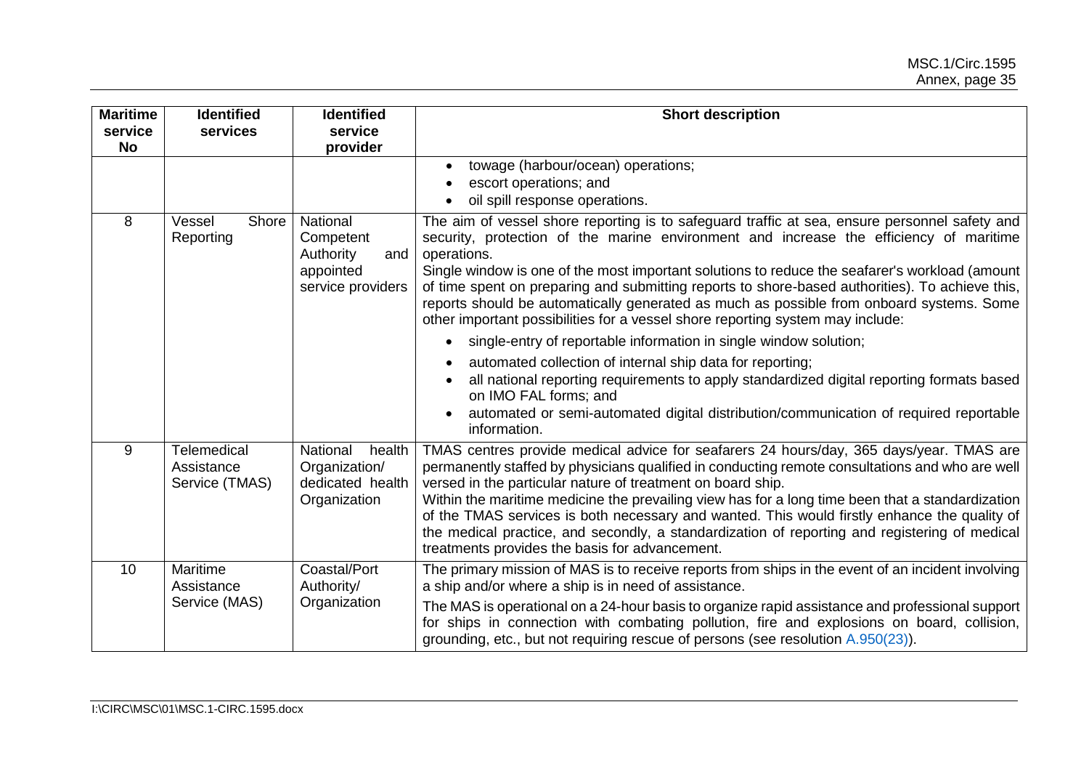| <b>Maritime</b><br>service<br><b>No</b> | <b>Identified</b><br>services                      | <b>Identified</b><br>service<br>provider                                           | <b>Short description</b>                                                                                                                                                                                                                                                                                                                                                                                                                                                                                                                                                                                                                                                                                                                                                                                                                                                                                                                                                |
|-----------------------------------------|----------------------------------------------------|------------------------------------------------------------------------------------|-------------------------------------------------------------------------------------------------------------------------------------------------------------------------------------------------------------------------------------------------------------------------------------------------------------------------------------------------------------------------------------------------------------------------------------------------------------------------------------------------------------------------------------------------------------------------------------------------------------------------------------------------------------------------------------------------------------------------------------------------------------------------------------------------------------------------------------------------------------------------------------------------------------------------------------------------------------------------|
|                                         |                                                    |                                                                                    | towage (harbour/ocean) operations;<br>escort operations; and<br>oil spill response operations.                                                                                                                                                                                                                                                                                                                                                                                                                                                                                                                                                                                                                                                                                                                                                                                                                                                                          |
| 8                                       | Shore<br>Vessel<br>Reporting                       | <b>National</b><br>Competent<br>Authority<br>and<br>appointed<br>service providers | The aim of vessel shore reporting is to safeguard traffic at sea, ensure personnel safety and<br>security, protection of the marine environment and increase the efficiency of maritime<br>operations.<br>Single window is one of the most important solutions to reduce the seafarer's workload (amount<br>of time spent on preparing and submitting reports to shore-based authorities). To achieve this,<br>reports should be automatically generated as much as possible from onboard systems. Some<br>other important possibilities for a vessel shore reporting system may include:<br>single-entry of reportable information in single window solution;<br>$\bullet$<br>automated collection of internal ship data for reporting;<br>all national reporting requirements to apply standardized digital reporting formats based<br>on IMO FAL forms; and<br>automated or semi-automated digital distribution/communication of required reportable<br>information. |
| 9                                       | <b>Telemedical</b><br>Assistance<br>Service (TMAS) | National<br>health<br>Organization/<br>dedicated health<br>Organization            | TMAS centres provide medical advice for seafarers 24 hours/day, 365 days/year. TMAS are<br>permanently staffed by physicians qualified in conducting remote consultations and who are well<br>versed in the particular nature of treatment on board ship.<br>Within the maritime medicine the prevailing view has for a long time been that a standardization<br>of the TMAS services is both necessary and wanted. This would firstly enhance the quality of<br>the medical practice, and secondly, a standardization of reporting and registering of medical<br>treatments provides the basis for advancement.                                                                                                                                                                                                                                                                                                                                                        |
| 10                                      | Maritime<br>Assistance<br>Service (MAS)            | Coastal/Port<br>Authority/<br>Organization                                         | The primary mission of MAS is to receive reports from ships in the event of an incident involving<br>a ship and/or where a ship is in need of assistance.<br>The MAS is operational on a 24-hour basis to organize rapid assistance and professional support<br>for ships in connection with combating pollution, fire and explosions on board, collision,<br>grounding, etc., but not requiring rescue of persons (see resolution A.950(23)).                                                                                                                                                                                                                                                                                                                                                                                                                                                                                                                          |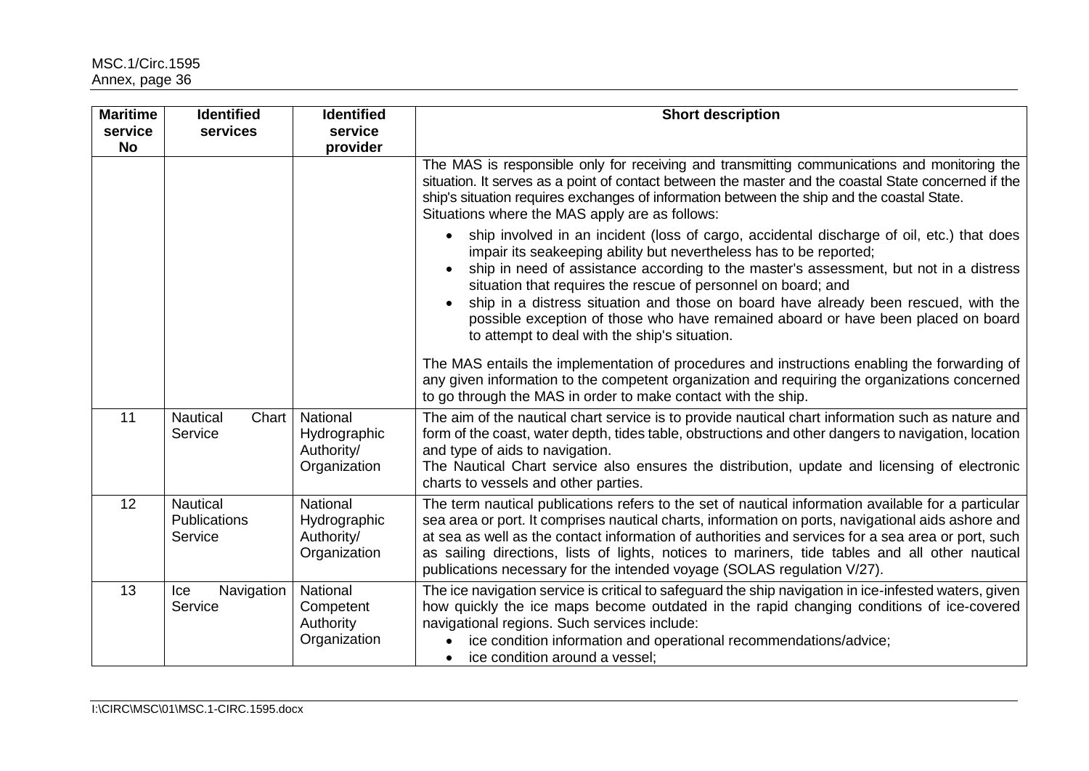| <b>Maritime</b><br>service<br><b>No</b> | <b>Identified</b><br>services              | <b>Identified</b><br>service<br>provider                      | <b>Short description</b>                                                                                                                                                                                                                                                                                                                                                                                                                                                                                                                                             |
|-----------------------------------------|--------------------------------------------|---------------------------------------------------------------|----------------------------------------------------------------------------------------------------------------------------------------------------------------------------------------------------------------------------------------------------------------------------------------------------------------------------------------------------------------------------------------------------------------------------------------------------------------------------------------------------------------------------------------------------------------------|
|                                         |                                            |                                                               | The MAS is responsible only for receiving and transmitting communications and monitoring the<br>situation. It serves as a point of contact between the master and the coastal State concerned if the<br>ship's situation requires exchanges of information between the ship and the coastal State.<br>Situations where the MAS apply are as follows:                                                                                                                                                                                                                 |
|                                         |                                            |                                                               | ship involved in an incident (loss of cargo, accidental discharge of oil, etc.) that does<br>$\bullet$<br>impair its seakeeping ability but nevertheless has to be reported;<br>ship in need of assistance according to the master's assessment, but not in a distress<br>situation that requires the rescue of personnel on board; and<br>ship in a distress situation and those on board have already been rescued, with the<br>possible exception of those who have remained aboard or have been placed on board<br>to attempt to deal with the ship's situation. |
|                                         |                                            |                                                               | The MAS entails the implementation of procedures and instructions enabling the forwarding of<br>any given information to the competent organization and requiring the organizations concerned<br>to go through the MAS in order to make contact with the ship.                                                                                                                                                                                                                                                                                                       |
| 11                                      | Nautical<br>Chart<br>Service               | National<br>Hydrographic<br>Authority/<br>Organization        | The aim of the nautical chart service is to provide nautical chart information such as nature and<br>form of the coast, water depth, tides table, obstructions and other dangers to navigation, location<br>and type of aids to navigation.<br>The Nautical Chart service also ensures the distribution, update and licensing of electronic<br>charts to vessels and other parties.                                                                                                                                                                                  |
| 12                                      | <b>Nautical</b><br>Publications<br>Service | <b>National</b><br>Hydrographic<br>Authority/<br>Organization | The term nautical publications refers to the set of nautical information available for a particular<br>sea area or port. It comprises nautical charts, information on ports, navigational aids ashore and<br>at sea as well as the contact information of authorities and services for a sea area or port, such<br>as sailing directions, lists of lights, notices to mariners, tide tables and all other nautical<br>publications necessary for the intended voyage (SOLAS regulation V/27).                                                                        |
| 13                                      | Navigation<br>Ice<br>Service               | National<br>Competent<br>Authority<br>Organization            | The ice navigation service is critical to safeguard the ship navigation in ice-infested waters, given<br>how quickly the ice maps become outdated in the rapid changing conditions of ice-covered<br>navigational regions. Such services include:<br>ice condition information and operational recommendations/advice;<br>$\bullet$<br>ice condition around a vessel;<br>$\bullet$                                                                                                                                                                                   |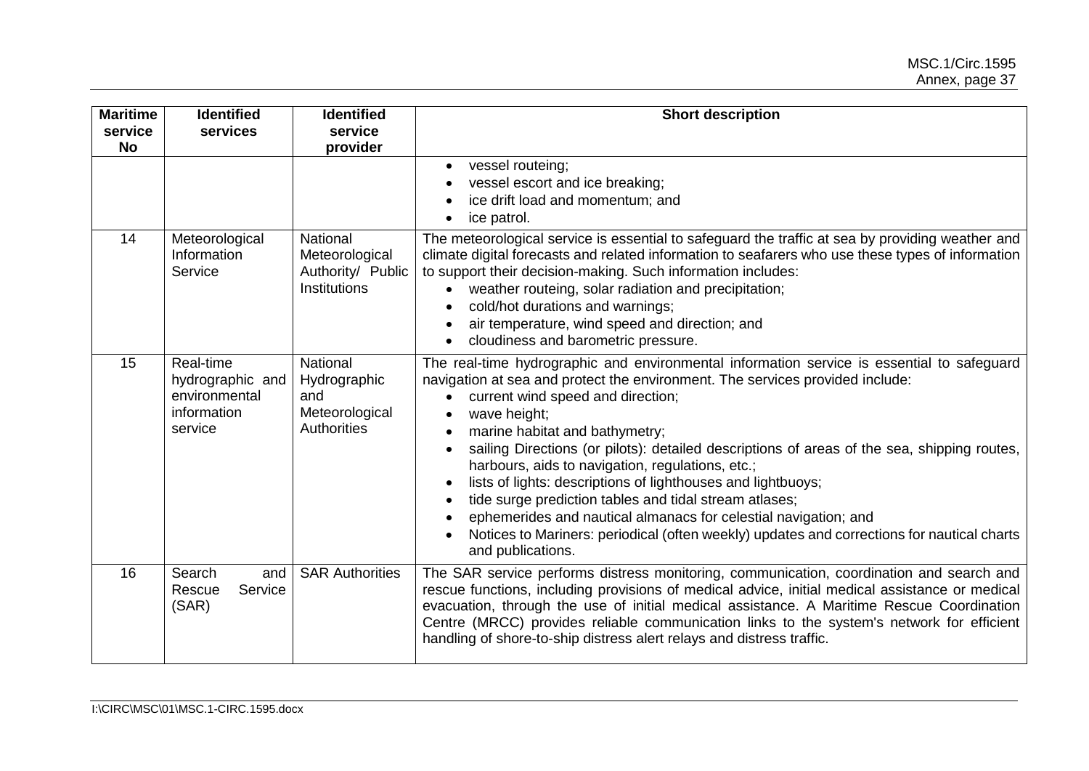| <b>Maritime</b><br>service<br><b>No</b> | <b>Identified</b><br>services                                            | <b>Identified</b><br>service<br>provider                                | <b>Short description</b>                                                                                                                                                                                                                                                                                                                                                                                                                                                                                                                                                                                                                                                                                                                                                                         |
|-----------------------------------------|--------------------------------------------------------------------------|-------------------------------------------------------------------------|--------------------------------------------------------------------------------------------------------------------------------------------------------------------------------------------------------------------------------------------------------------------------------------------------------------------------------------------------------------------------------------------------------------------------------------------------------------------------------------------------------------------------------------------------------------------------------------------------------------------------------------------------------------------------------------------------------------------------------------------------------------------------------------------------|
|                                         |                                                                          |                                                                         | vessel routeing;<br>٠<br>vessel escort and ice breaking;<br>ice drift load and momentum; and<br>ice patrol.<br>$\bullet$                                                                                                                                                                                                                                                                                                                                                                                                                                                                                                                                                                                                                                                                         |
| 14                                      | Meteorological<br>Information<br>Service                                 | National<br>Meteorological<br>Authority/ Public<br>Institutions         | The meteorological service is essential to safeguard the traffic at sea by providing weather and<br>climate digital forecasts and related information to seafarers who use these types of information<br>to support their decision-making. Such information includes:<br>weather routeing, solar radiation and precipitation;<br>cold/hot durations and warnings;<br>air temperature, wind speed and direction; and<br>cloudiness and barometric pressure.                                                                                                                                                                                                                                                                                                                                       |
| 15                                      | Real-time<br>hydrographic and<br>environmental<br>information<br>service | National<br>Hydrographic<br>and<br>Meteorological<br><b>Authorities</b> | The real-time hydrographic and environmental information service is essential to safeguard<br>navigation at sea and protect the environment. The services provided include:<br>current wind speed and direction;<br>wave height;<br>٠<br>marine habitat and bathymetry;<br>$\bullet$<br>sailing Directions (or pilots): detailed descriptions of areas of the sea, shipping routes,<br>٠<br>harbours, aids to navigation, regulations, etc.;<br>lists of lights: descriptions of lighthouses and lightbuoys;<br>$\bullet$<br>tide surge prediction tables and tidal stream atlases;<br>٠<br>ephemerides and nautical almanacs for celestial navigation; and<br>٠<br>Notices to Mariners: periodical (often weekly) updates and corrections for nautical charts<br>$\bullet$<br>and publications. |
| 16                                      | Search<br>and<br>Rescue<br>Service<br>(SAR)                              | <b>SAR Authorities</b>                                                  | The SAR service performs distress monitoring, communication, coordination and search and<br>rescue functions, including provisions of medical advice, initial medical assistance or medical<br>evacuation, through the use of initial medical assistance. A Maritime Rescue Coordination<br>Centre (MRCC) provides reliable communication links to the system's network for efficient<br>handling of shore-to-ship distress alert relays and distress traffic.                                                                                                                                                                                                                                                                                                                                   |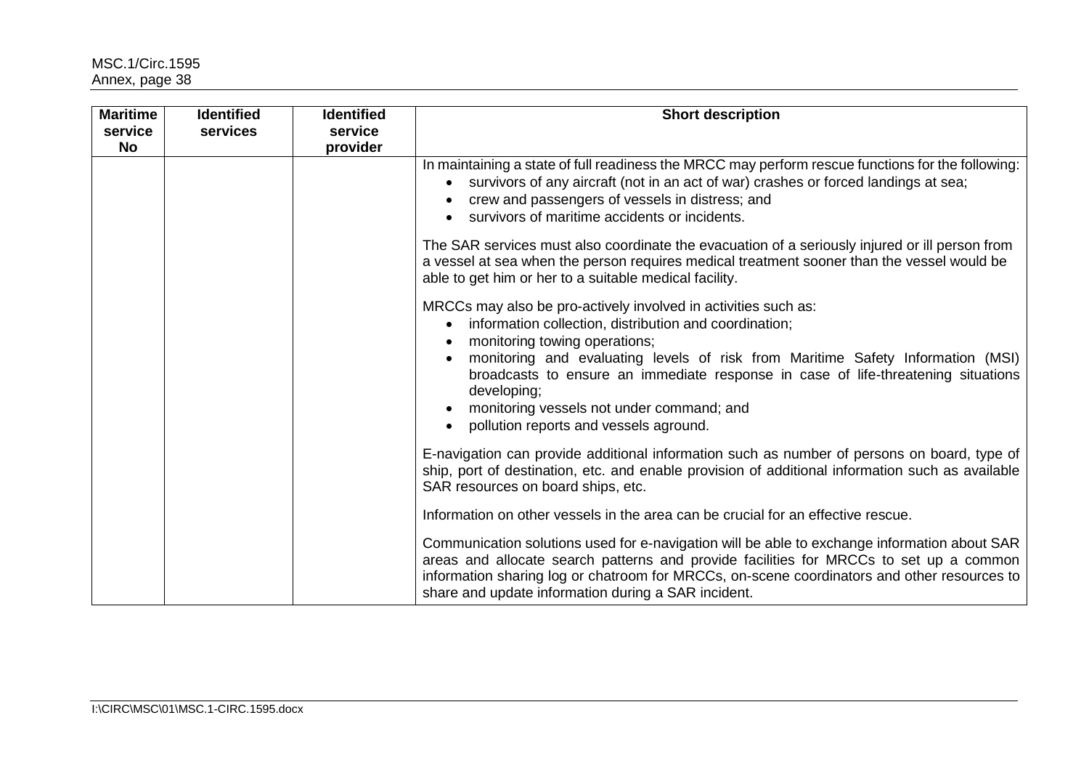| <b>Maritime</b><br>service<br><b>No</b> | <b>Identified</b><br>services | <b>Identified</b><br>service<br>provider | <b>Short description</b>                                                                                                                                                                                                                                                                                                                                                                                                                                          |
|-----------------------------------------|-------------------------------|------------------------------------------|-------------------------------------------------------------------------------------------------------------------------------------------------------------------------------------------------------------------------------------------------------------------------------------------------------------------------------------------------------------------------------------------------------------------------------------------------------------------|
|                                         |                               |                                          | In maintaining a state of full readiness the MRCC may perform rescue functions for the following:<br>survivors of any aircraft (not in an act of war) crashes or forced landings at sea;<br>$\bullet$<br>crew and passengers of vessels in distress; and<br>survivors of maritime accidents or incidents.                                                                                                                                                         |
|                                         |                               |                                          | The SAR services must also coordinate the evacuation of a seriously injured or ill person from<br>a vessel at sea when the person requires medical treatment sooner than the vessel would be<br>able to get him or her to a suitable medical facility.                                                                                                                                                                                                            |
|                                         |                               |                                          | MRCCs may also be pro-actively involved in activities such as:<br>information collection, distribution and coordination;<br>$\bullet$<br>monitoring towing operations;<br>monitoring and evaluating levels of risk from Maritime Safety Information (MSI)<br>broadcasts to ensure an immediate response in case of life-threatening situations<br>developing;<br>monitoring vessels not under command; and<br>pollution reports and vessels aground.<br>$\bullet$ |
|                                         |                               |                                          | E-navigation can provide additional information such as number of persons on board, type of<br>ship, port of destination, etc. and enable provision of additional information such as available<br>SAR resources on board ships, etc.                                                                                                                                                                                                                             |
|                                         |                               |                                          | Information on other vessels in the area can be crucial for an effective rescue.                                                                                                                                                                                                                                                                                                                                                                                  |
|                                         |                               |                                          | Communication solutions used for e-navigation will be able to exchange information about SAR<br>areas and allocate search patterns and provide facilities for MRCCs to set up a common<br>information sharing log or chatroom for MRCCs, on-scene coordinators and other resources to<br>share and update information during a SAR incident.                                                                                                                      |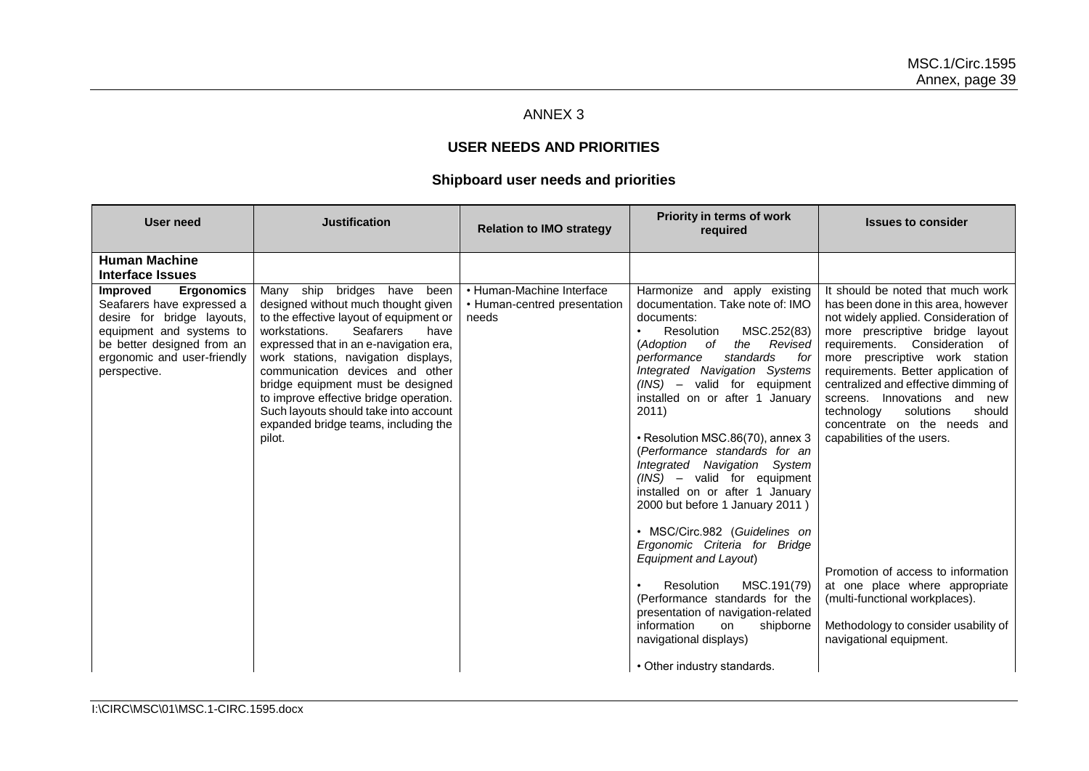## ANNEX 3

# **USER NEEDS AND PRIORITIES**

## **Shipboard user needs and priorities**

| User need                                                                                                                                                                                                                                             | <b>Justification</b>                                                                                                                                                                                                                                                                                                                                                                                                                                        | <b>Relation to IMO strategy</b>                                    | Priority in terms of work<br>required                                                                                                                                                                                                                                                                                                                                                                                                                                                                                                                                                                                                                                                                                                                                | <b>Issues to consider</b>                                                                                                                                                                                                                                                                                                                                                                                                                                                                                                                                                                                                 |
|-------------------------------------------------------------------------------------------------------------------------------------------------------------------------------------------------------------------------------------------------------|-------------------------------------------------------------------------------------------------------------------------------------------------------------------------------------------------------------------------------------------------------------------------------------------------------------------------------------------------------------------------------------------------------------------------------------------------------------|--------------------------------------------------------------------|----------------------------------------------------------------------------------------------------------------------------------------------------------------------------------------------------------------------------------------------------------------------------------------------------------------------------------------------------------------------------------------------------------------------------------------------------------------------------------------------------------------------------------------------------------------------------------------------------------------------------------------------------------------------------------------------------------------------------------------------------------------------|---------------------------------------------------------------------------------------------------------------------------------------------------------------------------------------------------------------------------------------------------------------------------------------------------------------------------------------------------------------------------------------------------------------------------------------------------------------------------------------------------------------------------------------------------------------------------------------------------------------------------|
| <b>Human Machine</b><br>Interface Issues<br><b>Improved</b><br><b>Ergonomics</b><br>Seafarers have expressed a<br>desire for bridge layouts,<br>equipment and systems to<br>be better designed from an<br>ergonomic and user-friendly<br>perspective. | Many ship bridges have<br>been<br>designed without much thought given<br>to the effective layout of equipment or<br><b>Seafarers</b><br>workstations.<br>have<br>expressed that in an e-navigation era,<br>work stations, navigation displays,<br>communication devices and other<br>bridge equipment must be designed<br>to improve effective bridge operation.<br>Such layouts should take into account<br>expanded bridge teams, including the<br>pilot. | • Human-Machine Interface<br>• Human-centred presentation<br>needs | Harmonize and apply existing<br>documentation. Take note of: IMO<br>documents:<br>MSC.252(83)<br>Resolution<br>(Adoption of<br>Revised<br>the<br>standards<br>performance<br>for<br>Integrated Navigation Systems<br>(INS) - valid for equipment<br>installed on or after 1 January<br>2011)<br>• Resolution MSC.86(70), annex 3<br>(Performance standards for an<br>Integrated Navigation System<br>$(INS)$ – valid for equipment<br>installed on or after 1 January<br>2000 but before 1 January 2011)<br>• MSC/Circ.982 (Guidelines on<br>Ergonomic Criteria for Bridge<br>Equipment and Layout)<br>MSC.191(79)<br>Resolution<br>(Performance standards for the<br>presentation of navigation-related<br>information<br>shipborne<br>on<br>navigational displays) | It should be noted that much work<br>has been done in this area, however<br>not widely applied. Consideration of<br>more prescriptive bridge layout<br>requirements. Consideration of<br>more prescriptive work station<br>requirements. Better application of<br>centralized and effective dimming of<br>screens. Innovations and<br>new<br>solutions<br>should<br>technology<br>concentrate on the needs and<br>capabilities of the users.<br>Promotion of access to information<br>at one place where appropriate<br>(multi-functional workplaces).<br>Methodology to consider usability of<br>navigational equipment. |
|                                                                                                                                                                                                                                                       |                                                                                                                                                                                                                                                                                                                                                                                                                                                             |                                                                    | • Other industry standards.                                                                                                                                                                                                                                                                                                                                                                                                                                                                                                                                                                                                                                                                                                                                          |                                                                                                                                                                                                                                                                                                                                                                                                                                                                                                                                                                                                                           |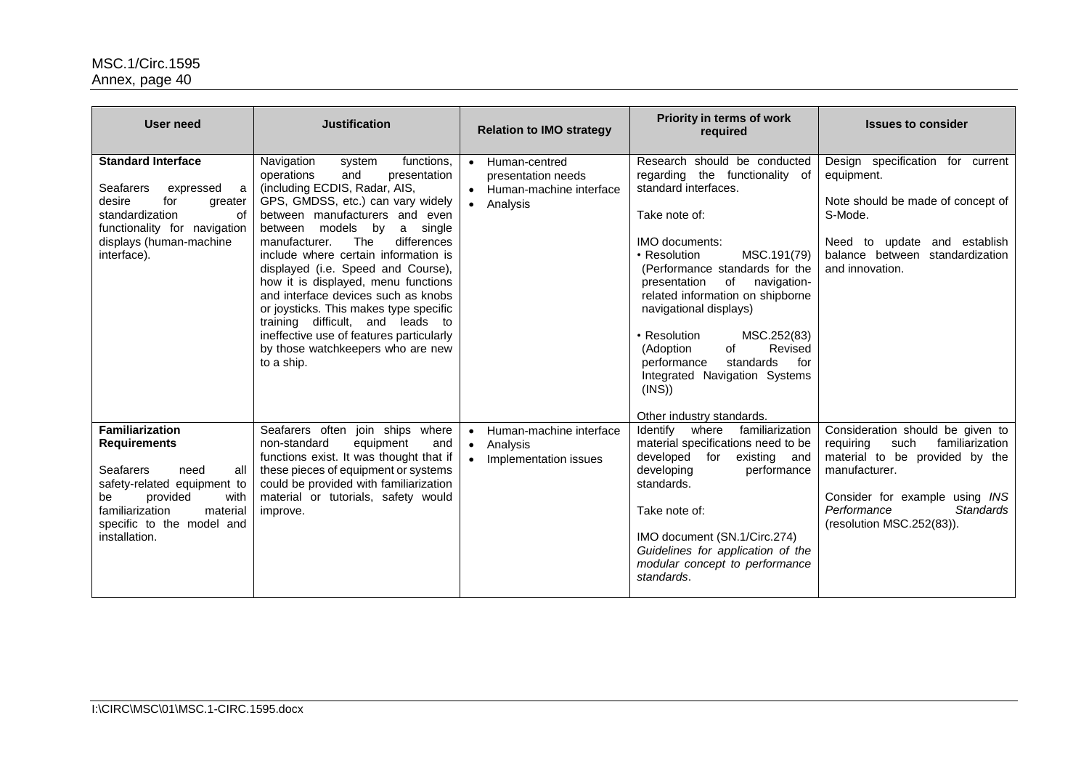| <b>User need</b>                                                                                                                                                                                                       | <b>Justification</b>                                                                                                                                                                                                                                                                                                                                                                                                                                                                                                                                                                             | <b>Relation to IMO strategy</b>                                                        | Priority in terms of work<br>required                                                                                                                                                                                                                                                                                                                                                                                                                                        | <b>Issues to consider</b>                                                                                                                                                                                                     |
|------------------------------------------------------------------------------------------------------------------------------------------------------------------------------------------------------------------------|--------------------------------------------------------------------------------------------------------------------------------------------------------------------------------------------------------------------------------------------------------------------------------------------------------------------------------------------------------------------------------------------------------------------------------------------------------------------------------------------------------------------------------------------------------------------------------------------------|----------------------------------------------------------------------------------------|------------------------------------------------------------------------------------------------------------------------------------------------------------------------------------------------------------------------------------------------------------------------------------------------------------------------------------------------------------------------------------------------------------------------------------------------------------------------------|-------------------------------------------------------------------------------------------------------------------------------------------------------------------------------------------------------------------------------|
| <b>Standard Interface</b><br>Seafarers<br>expressed<br>a<br>for<br>desire<br>greater<br>of<br>standardization<br>functionality for navigation<br>displays (human-machine<br>interface).                                | Navigation<br>functions.<br>system<br>operations<br>and<br>presentation<br>(including ECDIS, Radar, AIS,<br>GPS, GMDSS, etc.) can vary widely<br>between manufacturers and even<br>between models by<br>a single<br>differences<br>The<br>manufacturer.<br>include where certain information is<br>displayed (i.e. Speed and Course),<br>how it is displayed, menu functions<br>and interface devices such as knobs<br>or joysticks. This makes type specific<br>training difficult, and leads to<br>ineffective use of features particularly<br>by those watchkeepers who are new<br>to a ship. | Human-centred<br>presentation needs<br>• Human-machine interface<br>Analysis           | Research should be conducted<br>regarding the functionality of<br>standard interfaces.<br>Take note of:<br><b>IMO</b> documents:<br>• Resolution<br>MSC.191(79)<br>(Performance standards for the<br>of<br>navigation-<br>presentation<br>related information on shipborne<br>navigational displays)<br>MSC.252(83)<br>• Resolution<br>(Adoption<br>of<br>Revised<br>standards<br>for<br>performance<br>Integrated Navigation Systems<br>(INS))<br>Other industry standards. | Design specification for current<br>equipment.<br>Note should be made of concept of<br>S-Mode.<br>Need to update and establish<br>balance between standardization<br>and innovation.                                          |
| <b>Familiarization</b><br><b>Requirements</b><br><b>Seafarers</b><br>need<br>all<br>safety-related equipment to<br>provided<br>with<br>be<br>familiarization<br>material<br>specific to the model and<br>installation. | Seafarers often join ships where<br>non-standard<br>equipment<br>and<br>functions exist. It was thought that if<br>these pieces of equipment or systems<br>could be provided with familiarization<br>material or tutorials, safety would<br>improve.                                                                                                                                                                                                                                                                                                                                             | Human-machine interface<br>$\bullet$<br>Analysis<br>$\bullet$<br>Implementation issues | Identify where<br>familiarization<br>material specifications need to be<br>developed for existing and<br>developing<br>performance<br>standards.<br>Take note of:<br>IMO document (SN.1/Circ.274)<br>Guidelines for application of the<br>modular concept to performance<br>standards.                                                                                                                                                                                       | Consideration should be given to<br>such<br>requiring<br>familiarization<br>material to be provided by the<br>manufacturer.<br>Consider for example using INS<br><b>Standards</b><br>Performance<br>(resolution MSC.252(83)). |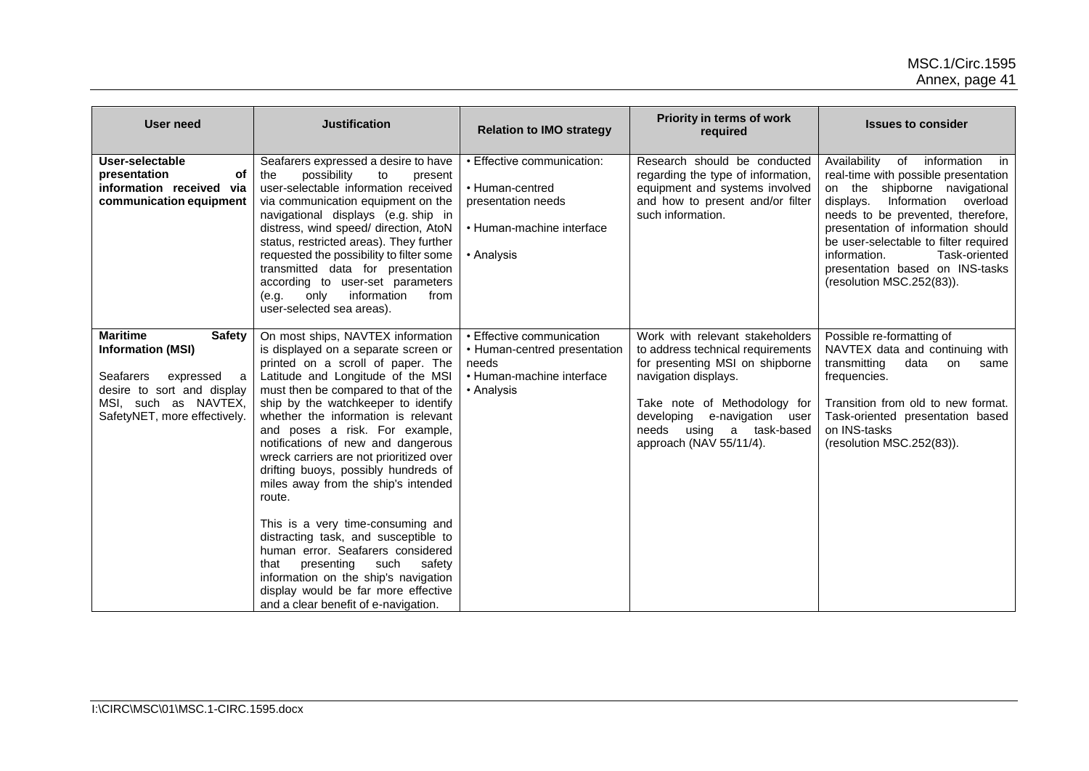| <b>User need</b>                                                                                                                                                        | <b>Justification</b>                                                                                                                                                                                                                                                                                                                                                                                                                                                                                                                                                                                                                                                                                                                                                   | <b>Relation to IMO strategy</b>                                                                                | Priority in terms of work<br>required                                                                                                                                                                                                                        | <b>Issues to consider</b>                                                                                                                                                                                                                                                                                                                                                                     |
|-------------------------------------------------------------------------------------------------------------------------------------------------------------------------|------------------------------------------------------------------------------------------------------------------------------------------------------------------------------------------------------------------------------------------------------------------------------------------------------------------------------------------------------------------------------------------------------------------------------------------------------------------------------------------------------------------------------------------------------------------------------------------------------------------------------------------------------------------------------------------------------------------------------------------------------------------------|----------------------------------------------------------------------------------------------------------------|--------------------------------------------------------------------------------------------------------------------------------------------------------------------------------------------------------------------------------------------------------------|-----------------------------------------------------------------------------------------------------------------------------------------------------------------------------------------------------------------------------------------------------------------------------------------------------------------------------------------------------------------------------------------------|
| User-selectable<br>of<br>presentation<br>information received via<br>communication equipment                                                                            | Seafarers expressed a desire to have<br>possibility<br>to<br>the<br>present<br>user-selectable information received<br>via communication equipment on the<br>navigational displays (e.g. ship in<br>distress, wind speed/ direction, AtoN<br>status, restricted areas). They further<br>requested the possibility to filter some<br>transmitted data for presentation<br>according to user-set parameters<br>information<br>only<br>from<br>(e.g.<br>user-selected sea areas).                                                                                                                                                                                                                                                                                         | • Effective communication:<br>• Human-centred<br>presentation needs<br>• Human-machine interface<br>• Analysis | Research should be conducted<br>regarding the type of information,<br>equipment and systems involved<br>and how to present and/or filter<br>such information.                                                                                                | Availability<br>of<br>information<br>$\overline{\mathsf{in}}$<br>real-time with possible presentation<br>on the shipborne navigational<br>displays. Information overload<br>needs to be prevented, therefore,<br>presentation of information should<br>be user-selectable to filter required<br>information.<br>Task-oriented<br>presentation based on INS-tasks<br>(resolution MSC.252(83)). |
| <b>Maritime</b><br>Safety<br><b>Information (MSI)</b><br>Seafarers<br>expressed a<br>desire to sort and display<br>MSI, such as NAVTEX,<br>SafetyNET, more effectively. | On most ships, NAVTEX information<br>is displayed on a separate screen or<br>printed on a scroll of paper. The<br>Latitude and Longitude of the MSI<br>must then be compared to that of the<br>ship by the watchkeeper to identify<br>whether the information is relevant<br>and poses a risk. For example,<br>notifications of new and dangerous<br>wreck carriers are not prioritized over<br>drifting buoys, possibly hundreds of<br>miles away from the ship's intended<br>route.<br>This is a very time-consuming and<br>distracting task, and susceptible to<br>human error. Seafarers considered<br>presenting<br>such<br>safety<br>that<br>information on the ship's navigation<br>display would be far more effective<br>and a clear benefit of e-navigation. | • Effective communication<br>• Human-centred presentation<br>needs<br>• Human-machine interface<br>• Analysis  | Work with relevant stakeholders<br>to address technical requirements<br>for presenting MSI on shipborne<br>navigation displays.<br>Take note of Methodology for<br>developing<br>e-navigation<br>user<br>needs using a task-based<br>approach (NAV 55/11/4). | Possible re-formatting of<br>NAVTEX data and continuing with<br>transmitting<br>data<br>on<br>same<br>frequencies.<br>Transition from old to new format.<br>Task-oriented presentation based<br>on INS-tasks<br>(resolution MSC.252(83)).                                                                                                                                                     |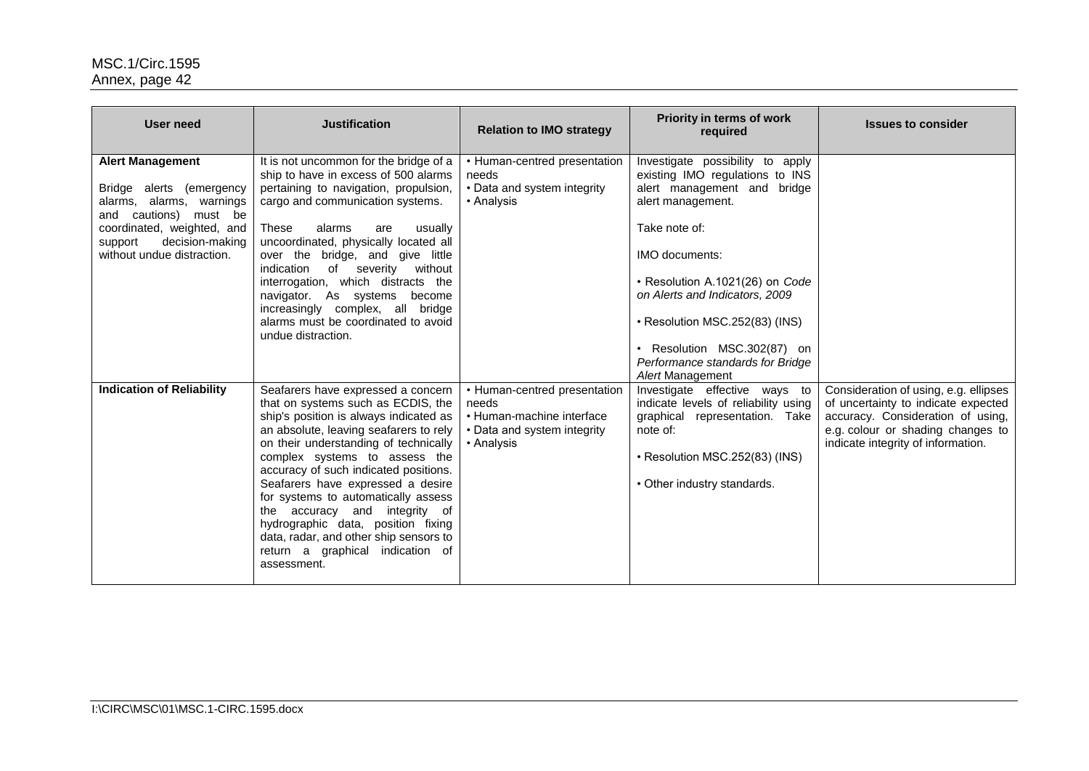| User need                                                                                                                                                                                             | <b>Justification</b>                                                                                                                                                                                                                                                                                                                                                                                                                                                                                                            | <b>Relation to IMO strategy</b>                                                                                 | Priority in terms of work<br>required                                                                                                                                                                                                                                                                                                                            | <b>Issues to consider</b>                                                                                                                                                                    |
|-------------------------------------------------------------------------------------------------------------------------------------------------------------------------------------------------------|---------------------------------------------------------------------------------------------------------------------------------------------------------------------------------------------------------------------------------------------------------------------------------------------------------------------------------------------------------------------------------------------------------------------------------------------------------------------------------------------------------------------------------|-----------------------------------------------------------------------------------------------------------------|------------------------------------------------------------------------------------------------------------------------------------------------------------------------------------------------------------------------------------------------------------------------------------------------------------------------------------------------------------------|----------------------------------------------------------------------------------------------------------------------------------------------------------------------------------------------|
| <b>Alert Management</b><br>Bridge alerts (emergency<br>alarms, alarms, warnings<br>cautions) must be<br>and<br>coordinated, weighted, and<br>decision-making<br>support<br>without undue distraction. | It is not uncommon for the bridge of a<br>ship to have in excess of 500 alarms<br>pertaining to navigation, propulsion,<br>cargo and communication systems.<br>These<br>alarms<br>are<br>usually<br>uncoordinated, physically located all<br>over the bridge, and give little<br>of severity<br>without<br>indication<br>interrogation, which distracts the<br>navigator. As systems<br>become<br>increasingly complex, all bridge<br>alarms must be coordinated to avoid<br>undue distraction.                                 | • Human-centred presentation<br>needs<br>• Data and system integrity<br>• Analysis                              | Investigate possibility to apply<br>existing IMO regulations to INS<br>alert management and<br>bridge<br>alert management.<br>Take note of:<br><b>IMO documents:</b><br>· Resolution A.1021(26) on Code<br>on Alerts and Indicators, 2009<br>• Resolution MSC.252(83) (INS)<br>Resolution MSC.302(87) on<br>Performance standards for Bridge<br>Alert Management |                                                                                                                                                                                              |
| <b>Indication of Reliability</b>                                                                                                                                                                      | Seafarers have expressed a concern<br>that on systems such as ECDIS, the<br>ship's position is always indicated as<br>an absolute, leaving seafarers to rely<br>on their understanding of technically<br>complex systems to assess the<br>accuracy of such indicated positions.<br>Seafarers have expressed a desire<br>for systems to automatically assess<br>the accuracy and integrity of<br>hydrographic data, position fixing<br>data, radar, and other ship sensors to<br>return a graphical indication of<br>assessment. | • Human-centred presentation<br>needs<br>• Human-machine interface<br>• Data and system integrity<br>• Analysis | Investigate effective ways to<br>indicate levels of reliability using<br>graphical representation. Take<br>note of:<br>• Resolution MSC.252(83) (INS)<br>• Other industry standards.                                                                                                                                                                             | Consideration of using, e.g. ellipses<br>of uncertainty to indicate expected<br>accuracy. Consideration of using,<br>e.g. colour or shading changes to<br>indicate integrity of information. |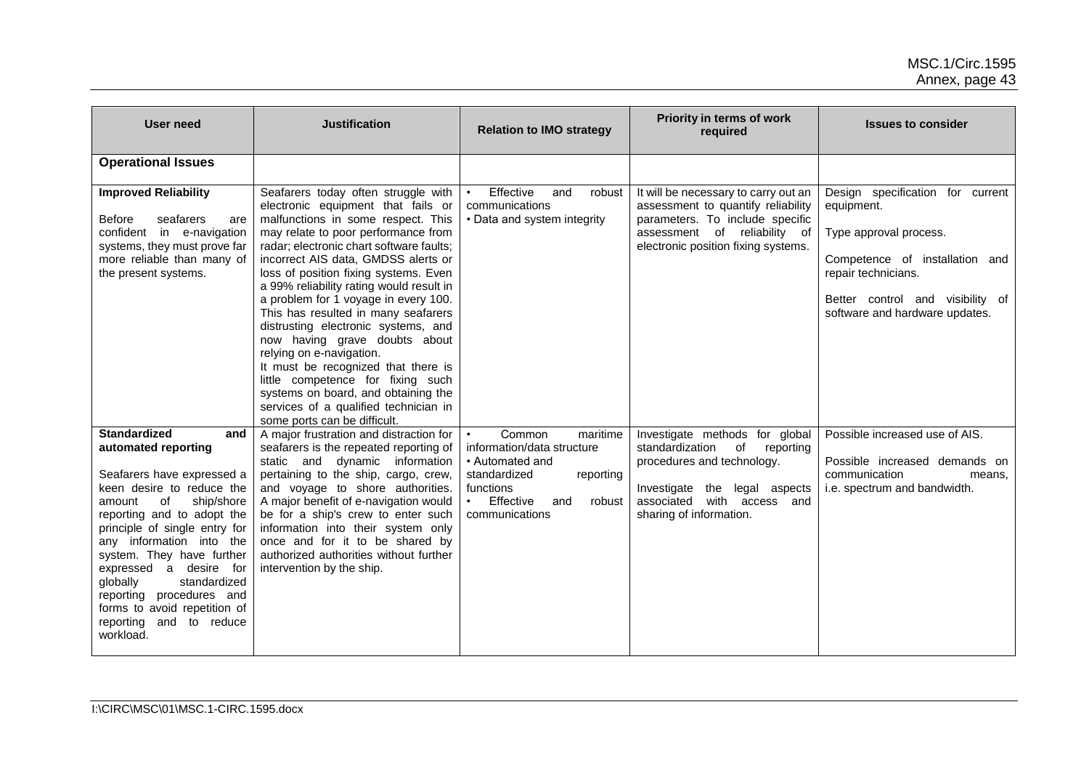| <b>User need</b>                                                                                                                                                                                                                                                                                                                                                                                                                   | <b>Justification</b>                                                                                                                                                                                                                                                                                                                                                                                                                                                                                                                                                                                                                                                                                          | <b>Relation to IMO strategy</b>                                                                                                                                            | Priority in terms of work<br>required                                                                                                                                                                    | <b>Issues to consider</b>                                                                                                                                                                               |
|------------------------------------------------------------------------------------------------------------------------------------------------------------------------------------------------------------------------------------------------------------------------------------------------------------------------------------------------------------------------------------------------------------------------------------|---------------------------------------------------------------------------------------------------------------------------------------------------------------------------------------------------------------------------------------------------------------------------------------------------------------------------------------------------------------------------------------------------------------------------------------------------------------------------------------------------------------------------------------------------------------------------------------------------------------------------------------------------------------------------------------------------------------|----------------------------------------------------------------------------------------------------------------------------------------------------------------------------|----------------------------------------------------------------------------------------------------------------------------------------------------------------------------------------------------------|---------------------------------------------------------------------------------------------------------------------------------------------------------------------------------------------------------|
| <b>Operational Issues</b>                                                                                                                                                                                                                                                                                                                                                                                                          |                                                                                                                                                                                                                                                                                                                                                                                                                                                                                                                                                                                                                                                                                                               |                                                                                                                                                                            |                                                                                                                                                                                                          |                                                                                                                                                                                                         |
| <b>Improved Reliability</b><br>seafarers<br>Before<br>are<br>confident in e-navigation<br>systems, they must prove far<br>more reliable than many of<br>the present systems.                                                                                                                                                                                                                                                       | Seafarers today often struggle with<br>electronic equipment that fails or<br>malfunctions in some respect. This<br>may relate to poor performance from<br>radar; electronic chart software faults;<br>incorrect AIS data, GMDSS alerts or<br>loss of position fixing systems. Even<br>a 99% reliability rating would result in<br>a problem for 1 voyage in every 100.<br>This has resulted in many seafarers<br>distrusting electronic systems, and<br>now having grave doubts about<br>relying on e-navigation.<br>It must be recognized that there is<br>little competence for fixing such<br>systems on board, and obtaining the<br>services of a qualified technician in<br>some ports can be difficult. | Effective<br>and<br>robust<br>$\bullet$<br>communications<br>• Data and system integrity                                                                                   | It will be necessary to carry out an<br>assessment to quantify reliability<br>parameters. To include specific<br>assessment of reliability of<br>electronic position fixing systems.                     | Design specification for current<br>equipment.<br>Type approval process.<br>Competence of installation and<br>repair technicians.<br>Better control and visibility of<br>software and hardware updates. |
| <b>Standardized</b><br>and<br>automated reporting<br>Seafarers have expressed a<br>keen desire to reduce the<br>0f<br>ship/shore<br>amount<br>reporting and to adopt the<br>principle of single entry for<br>any information into the<br>system. They have further<br>expressed a desire for<br>globally<br>standardized<br>reporting procedures and<br>forms to avoid repetition of<br>reporting<br>and<br>to reduce<br>workload. | A major frustration and distraction for<br>seafarers is the repeated reporting of<br>static and dynamic information<br>pertaining to the ship, cargo, crew,<br>and voyage to shore authorities.<br>A major benefit of e-navigation would<br>be for a ship's crew to enter such<br>information into their system only<br>once and for it to be shared by<br>authorized authorities without further<br>intervention by the ship.                                                                                                                                                                                                                                                                                | Common<br>maritime<br>information/data structure<br>• Automated and<br>standardized<br>reporting<br>functions<br>Effective<br>and<br>robust<br>$\bullet$<br>communications | Investigate methods for global<br>standardization<br>of<br>reporting<br>procedures and technology.<br>Investigate<br>the<br>legal aspects<br>with access<br>associated<br>and<br>sharing of information. | Possible increased use of AIS.<br>Possible increased demands on<br>communication<br>means,<br>i.e. spectrum and bandwidth.                                                                              |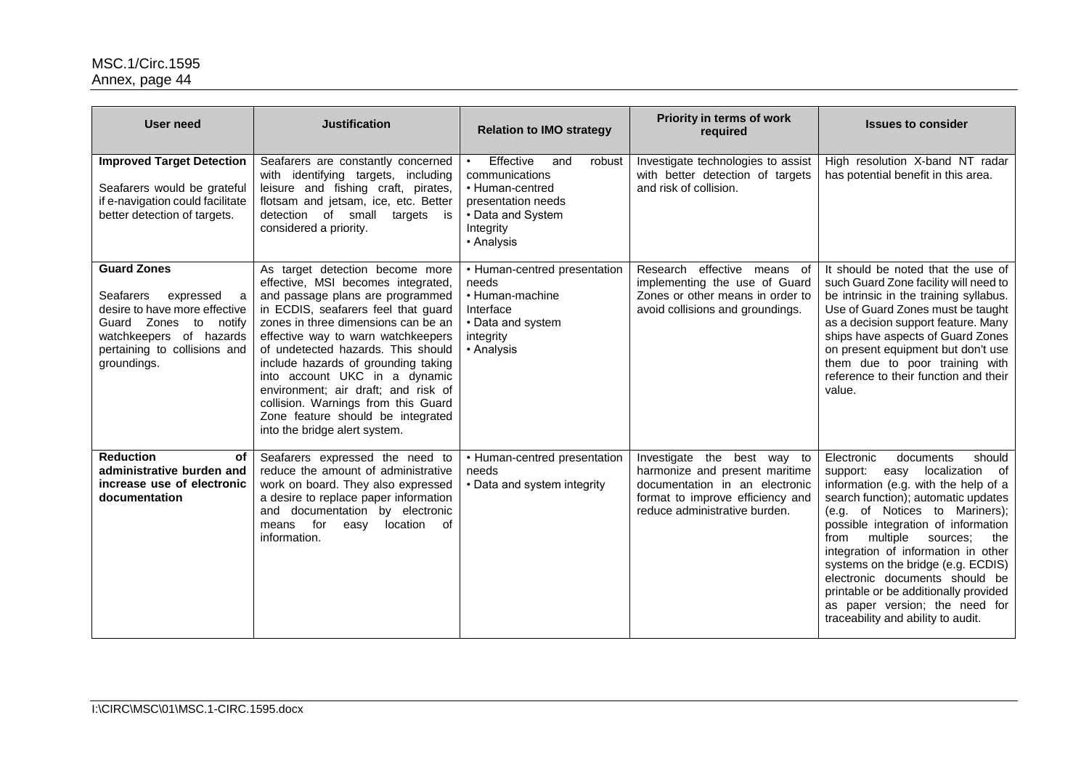| <b>User need</b>                                                                                                                                                                                | <b>Justification</b>                                                                                                                                                                                                                                                                                                                                                                                                                                                                            | <b>Relation to IMO strategy</b>                                                                                                                    | Priority in terms of work<br>required                                                                                                                                | <b>Issues to consider</b>                                                                                                                                                                                                                                                                                                                                                                                                                                                                               |
|-------------------------------------------------------------------------------------------------------------------------------------------------------------------------------------------------|-------------------------------------------------------------------------------------------------------------------------------------------------------------------------------------------------------------------------------------------------------------------------------------------------------------------------------------------------------------------------------------------------------------------------------------------------------------------------------------------------|----------------------------------------------------------------------------------------------------------------------------------------------------|----------------------------------------------------------------------------------------------------------------------------------------------------------------------|---------------------------------------------------------------------------------------------------------------------------------------------------------------------------------------------------------------------------------------------------------------------------------------------------------------------------------------------------------------------------------------------------------------------------------------------------------------------------------------------------------|
| <b>Improved Target Detection</b><br>Seafarers would be grateful<br>if e-navigation could facilitate<br>better detection of targets.                                                             | Seafarers are constantly concerned<br>with identifying targets, including<br>leisure and fishing craft, pirates,<br>flotsam and jetsam, ice, etc. Better<br>detection of small targets is<br>considered a priority.                                                                                                                                                                                                                                                                             | Effective<br>and<br>robust<br>$\bullet$<br>communications<br>• Human-centred<br>presentation needs<br>• Data and System<br>Integrity<br>• Analysis | Investigate technologies to assist<br>with better detection of targets<br>and risk of collision.                                                                     | High resolution X-band NT radar<br>has potential benefit in this area.                                                                                                                                                                                                                                                                                                                                                                                                                                  |
| <b>Guard Zones</b><br><b>Seafarers</b><br>expressed<br>a<br>desire to have more effective<br>Guard Zones<br>to notify<br>watchkeepers of hazards<br>pertaining to collisions and<br>groundings. | As target detection become more<br>effective, MSI becomes integrated,<br>and passage plans are programmed<br>in ECDIS, seafarers feel that guard<br>zones in three dimensions can be an<br>effective way to warn watchkeepers<br>of undetected hazards. This should<br>include hazards of grounding taking<br>into account UKC in a dynamic<br>environment; air draft; and risk of<br>collision. Warnings from this Guard<br>Zone feature should be integrated<br>into the bridge alert system. | • Human-centred presentation<br>needs<br>• Human-machine<br>Interface<br>• Data and system<br>integrity<br>• Analysis                              | Research effective means of<br>implementing the use of Guard<br>Zones or other means in order to<br>avoid collisions and groundings.                                 | It should be noted that the use of<br>such Guard Zone facility will need to<br>be intrinsic in the training syllabus.<br>Use of Guard Zones must be taught<br>as a decision support feature. Many<br>ships have aspects of Guard Zones<br>on present equipment but don't use<br>them due to poor training with<br>reference to their function and their<br>value.                                                                                                                                       |
| <b>Reduction</b><br>of<br>administrative burden and<br>increase use of electronic<br>documentation                                                                                              | Seafarers expressed the need to<br>reduce the amount of administrative<br>work on board. They also expressed<br>a desire to replace paper information<br>and documentation by electronic<br>means for<br>location<br>0f<br>easy<br>information.                                                                                                                                                                                                                                                 | • Human-centred presentation<br>needs<br>• Data and system integrity                                                                               | Investigate the best way to<br>harmonize and present maritime<br>documentation in an electronic<br>format to improve efficiency and<br>reduce administrative burden. | Electronic<br>documents<br>should<br>localization of<br>support:<br>easy<br>information (e.g. with the help of a<br>search function); automatic updates<br>(e.g. of Notices to Mariners);<br>possible integration of information<br>multiple<br>from<br>sources:<br>the<br>integration of information in other<br>systems on the bridge (e.g. ECDIS)<br>electronic documents should be<br>printable or be additionally provided<br>as paper version; the need for<br>traceability and ability to audit. |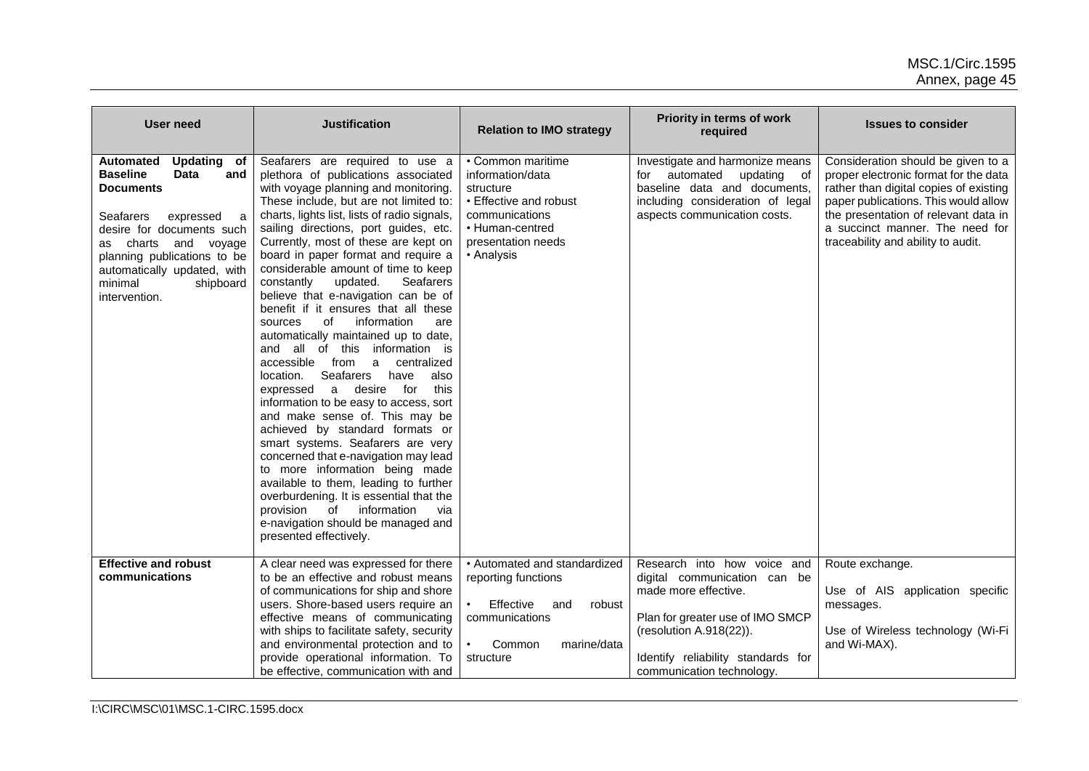| <b>User need</b>                                                                                                                                                                                                                                                                              | <b>Justification</b>                                                                                                                                                                                                                                                                                                                                                                                                                                                                                                                                                                                                                                                                                                                                                                                                                                                                                                                                                                                                                                                                                                                                         | <b>Relation to IMO strategy</b>                                                                                                                       | Priority in terms of work<br>required                                                                                                                                                                                 | <b>Issues to consider</b>                                                                                                                                                                                                                                                      |
|-----------------------------------------------------------------------------------------------------------------------------------------------------------------------------------------------------------------------------------------------------------------------------------------------|--------------------------------------------------------------------------------------------------------------------------------------------------------------------------------------------------------------------------------------------------------------------------------------------------------------------------------------------------------------------------------------------------------------------------------------------------------------------------------------------------------------------------------------------------------------------------------------------------------------------------------------------------------------------------------------------------------------------------------------------------------------------------------------------------------------------------------------------------------------------------------------------------------------------------------------------------------------------------------------------------------------------------------------------------------------------------------------------------------------------------------------------------------------|-------------------------------------------------------------------------------------------------------------------------------------------------------|-----------------------------------------------------------------------------------------------------------------------------------------------------------------------------------------------------------------------|--------------------------------------------------------------------------------------------------------------------------------------------------------------------------------------------------------------------------------------------------------------------------------|
| Automated<br>Updating of<br><b>Baseline</b><br><b>Data</b><br>and<br><b>Documents</b><br><b>Seafarers</b><br>expressed<br>a<br>desire for documents such<br>and voyage<br>charts<br>as<br>planning publications to be<br>automatically updated, with<br>minimal<br>shipboard<br>intervention. | Seafarers are required to use a<br>plethora of publications associated<br>with voyage planning and monitoring.<br>These include, but are not limited to:<br>charts, lights list, lists of radio signals,<br>sailing directions, port guides, etc.<br>Currently, most of these are kept on<br>board in paper format and require a<br>considerable amount of time to keep<br>constantly<br>Seafarers<br>updated.<br>believe that e-navigation can be of<br>benefit if it ensures that all these<br>of<br>information<br>are<br>sources<br>automatically maintained up to date,<br>and all of this information is<br>accessible from a<br>centralized<br>Seafarers<br>location.<br>have<br>also<br>for<br>this<br>expressed<br>a<br>desire<br>information to be easy to access, sort<br>and make sense of. This may be<br>achieved by standard formats or<br>smart systems. Seafarers are very<br>concerned that e-navigation may lead<br>to more information being made<br>available to them, leading to further<br>overburdening. It is essential that the<br>provision of information<br>via<br>e-navigation should be managed and<br>presented effectively. | • Common maritime<br>information/data<br>structure<br>• Effective and robust<br>communications<br>• Human-centred<br>presentation needs<br>• Analysis | Investigate and harmonize means<br>for automated<br>updating<br>of<br>baseline data and documents,<br>including consideration of legal<br>aspects communication costs.                                                | Consideration should be given to a<br>proper electronic format for the data<br>rather than digital copies of existing<br>paper publications. This would allow<br>the presentation of relevant data in<br>a succinct manner. The need for<br>traceability and ability to audit. |
| <b>Effective and robust</b><br>communications                                                                                                                                                                                                                                                 | A clear need was expressed for there<br>to be an effective and robust means<br>of communications for ship and shore<br>users. Shore-based users require an<br>effective means of communicating<br>with ships to facilitate safety, security<br>and environmental protection and to<br>provide operational information. To<br>be effective, communication with and                                                                                                                                                                                                                                                                                                                                                                                                                                                                                                                                                                                                                                                                                                                                                                                            | • Automated and standardized<br>reporting functions<br>Effective<br>robust<br>and<br>communications<br>Common<br>marine/data<br>structure             | Research into how voice and<br>digital communication can be<br>made more effective.<br>Plan for greater use of IMO SMCP<br>(resolution A.918(22)).<br>Identify reliability standards for<br>communication technology. | Route exchange.<br>Use of AIS application specific<br>messages.<br>Use of Wireless technology (Wi-Fi<br>and Wi-MAX).                                                                                                                                                           |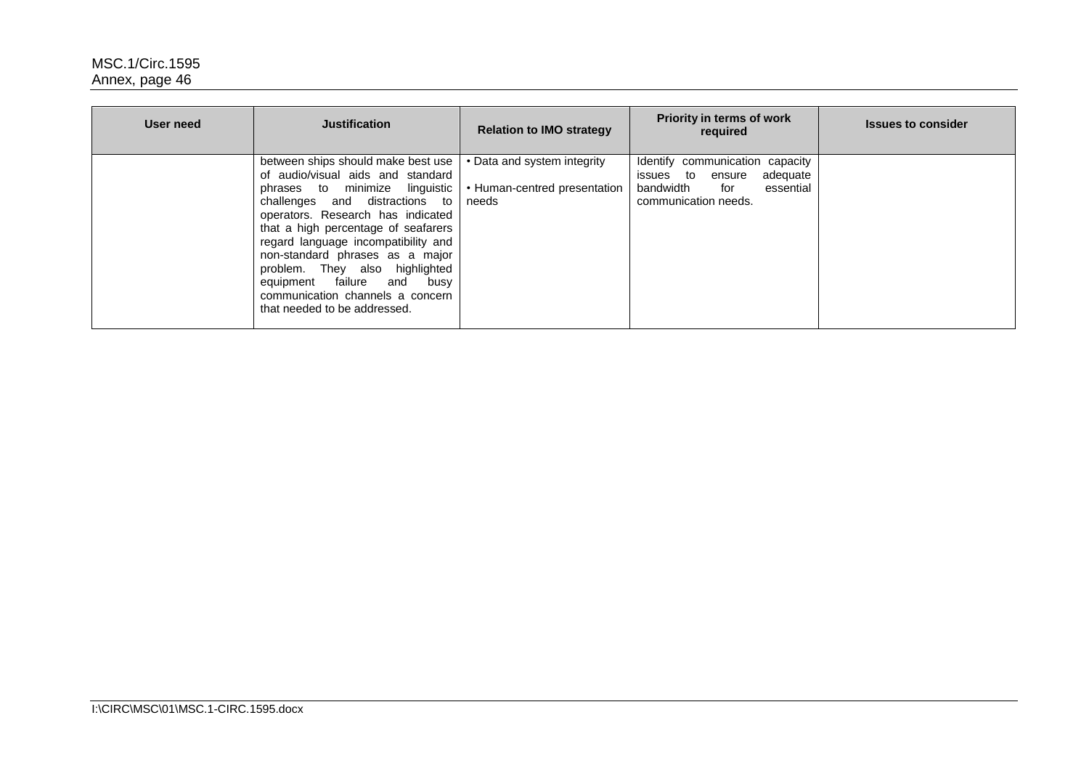| User need | <b>Justification</b>                                                                                                                                                                                                                                                                                                                                                                                                                  | <b>Relation to IMO strategy</b>                                      | Priority in terms of work<br>required                                                                                       | <b>Issues to consider</b> |
|-----------|---------------------------------------------------------------------------------------------------------------------------------------------------------------------------------------------------------------------------------------------------------------------------------------------------------------------------------------------------------------------------------------------------------------------------------------|----------------------------------------------------------------------|-----------------------------------------------------------------------------------------------------------------------------|---------------------------|
|           | between ships should make best use<br>of audio/visual aids and standard<br>phrases to minimize linguistic<br>challenges and distractions to<br>operators. Research has indicated<br>that a high percentage of seafarers<br>regard language incompatibility and<br>non-standard phrases as a major<br>problem. They also highlighted<br>equipment failure and busy<br>communication channels a concern<br>that needed to be addressed. | • Data and system integrity<br>• Human-centred presentation<br>needs | Identify communication capacity<br>issues to<br>adequate<br>ensure<br>bandwidth<br>essential<br>for<br>communication needs. |                           |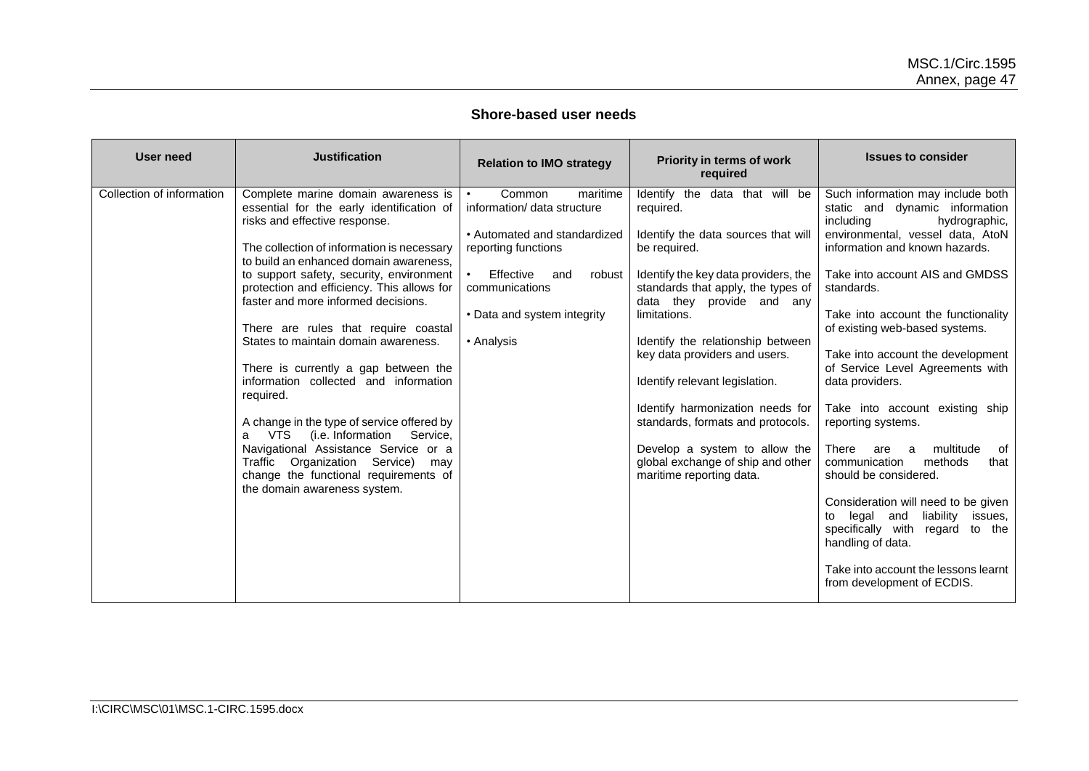### **Shore-based user needs**

| User need                 | <b>Justification</b>                                                                                                                                                                                                                                                                                                                                                                                                                                                                                                                                                                                                                                                                                                                                                               | <b>Relation to IMO strategy</b>                                                                                                                                                                                    | <b>Priority in terms of work</b><br>required                                                                                                                                                                                                                                                                                                                                                                                                                                                                     | <b>Issues to consider</b>                                                                                                                                                                                                                                                                                                                                                                                                                                                                                                                                                                                                                                                                                                                           |
|---------------------------|------------------------------------------------------------------------------------------------------------------------------------------------------------------------------------------------------------------------------------------------------------------------------------------------------------------------------------------------------------------------------------------------------------------------------------------------------------------------------------------------------------------------------------------------------------------------------------------------------------------------------------------------------------------------------------------------------------------------------------------------------------------------------------|--------------------------------------------------------------------------------------------------------------------------------------------------------------------------------------------------------------------|------------------------------------------------------------------------------------------------------------------------------------------------------------------------------------------------------------------------------------------------------------------------------------------------------------------------------------------------------------------------------------------------------------------------------------------------------------------------------------------------------------------|-----------------------------------------------------------------------------------------------------------------------------------------------------------------------------------------------------------------------------------------------------------------------------------------------------------------------------------------------------------------------------------------------------------------------------------------------------------------------------------------------------------------------------------------------------------------------------------------------------------------------------------------------------------------------------------------------------------------------------------------------------|
| Collection of information | Complete marine domain awareness is<br>essential for the early identification of<br>risks and effective response.<br>The collection of information is necessary<br>to build an enhanced domain awareness.<br>to support safety, security, environment<br>protection and efficiency. This allows for<br>faster and more informed decisions.<br>There are rules that require coastal<br>States to maintain domain awareness.<br>There is currently a gap between the<br>information collected and information<br>required.<br>A change in the type of service offered by<br>(i.e. Information<br>Service,<br>VTS<br>а<br>Navigational Assistance Service or a<br>Service)<br>Traffic<br>Organization<br>may<br>change the functional requirements of<br>the domain awareness system. | Common<br>maritime<br>information/ data structure<br>• Automated and standardized<br>reporting functions<br>Effective<br>$\bullet$<br>and<br>robust<br>communications<br>• Data and system integrity<br>• Analysis | Identify the data that will be<br>required.<br>Identify the data sources that will<br>be required.<br>Identify the key data providers, the<br>standards that apply, the types of<br>data they provide and any<br>limitations.<br>Identify the relationship between<br>key data providers and users.<br>Identify relevant legislation.<br>Identify harmonization needs for<br>standards, formats and protocols.<br>Develop a system to allow the<br>global exchange of ship and other<br>maritime reporting data. | Such information may include both<br>static and dynamic information<br>including<br>hydrographic,<br>environmental, vessel data, AtoN<br>information and known hazards.<br>Take into account AIS and GMDSS<br>standards.<br>Take into account the functionality<br>of existing web-based systems.<br>Take into account the development<br>of Service Level Agreements with<br>data providers.<br>Take into account existing ship<br>reporting systems.<br>multitude<br>There<br>0f<br>are<br>a<br>communication<br>methods<br>that<br>should be considered.<br>Consideration will need to be given<br>liability<br>legal and<br>to<br>issues.<br>specifically with<br>regard<br>to the<br>handling of data.<br>Take into account the lessons learnt |
|                           |                                                                                                                                                                                                                                                                                                                                                                                                                                                                                                                                                                                                                                                                                                                                                                                    |                                                                                                                                                                                                                    |                                                                                                                                                                                                                                                                                                                                                                                                                                                                                                                  | from development of ECDIS.                                                                                                                                                                                                                                                                                                                                                                                                                                                                                                                                                                                                                                                                                                                          |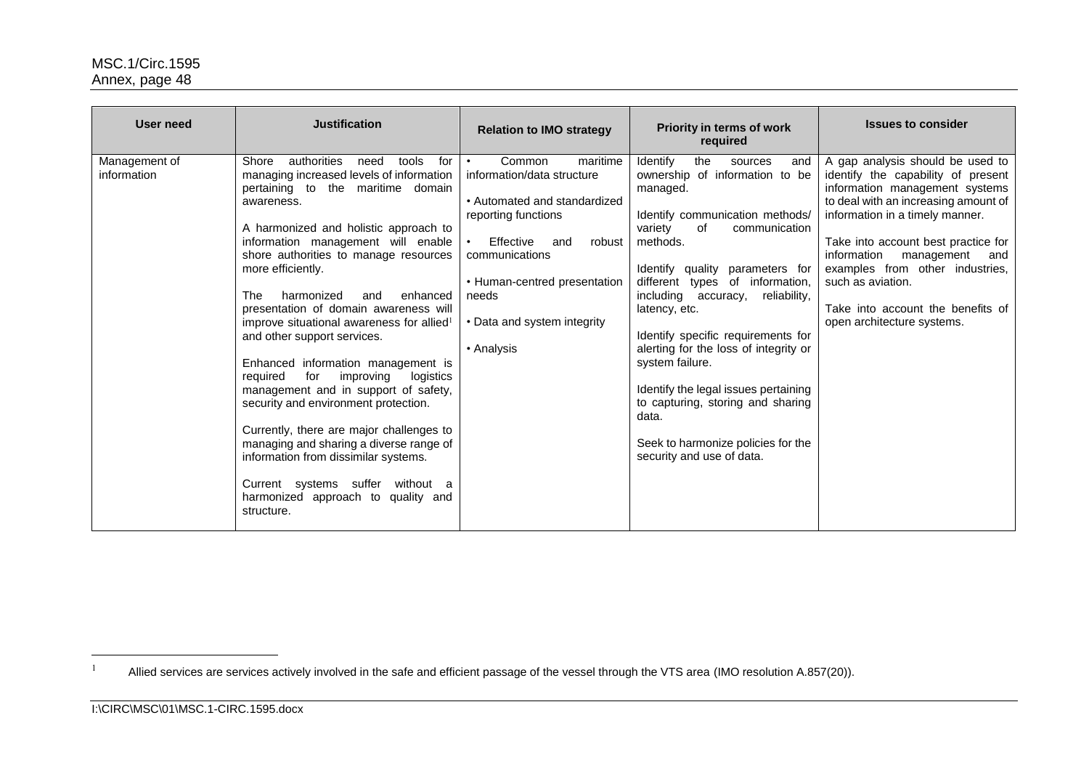| <b>User need</b>             | <b>Justification</b>                                                                                                                                                                                                                                                                                                                                                                                                                                                                                                                                                                                                                                                                                                                                                                                                                                               | <b>Relation to IMO strategy</b>                                                                                                                                                                                                                                         | Priority in terms of work<br>required                                                                                                                                                                                                                                                                                                                                                                                                                                                                                                                  | <b>Issues to consider</b>                                                                                                                                                                                                                                                                                                                                                                 |
|------------------------------|--------------------------------------------------------------------------------------------------------------------------------------------------------------------------------------------------------------------------------------------------------------------------------------------------------------------------------------------------------------------------------------------------------------------------------------------------------------------------------------------------------------------------------------------------------------------------------------------------------------------------------------------------------------------------------------------------------------------------------------------------------------------------------------------------------------------------------------------------------------------|-------------------------------------------------------------------------------------------------------------------------------------------------------------------------------------------------------------------------------------------------------------------------|--------------------------------------------------------------------------------------------------------------------------------------------------------------------------------------------------------------------------------------------------------------------------------------------------------------------------------------------------------------------------------------------------------------------------------------------------------------------------------------------------------------------------------------------------------|-------------------------------------------------------------------------------------------------------------------------------------------------------------------------------------------------------------------------------------------------------------------------------------------------------------------------------------------------------------------------------------------|
| Management of<br>information | Shore<br>authorities<br>need<br>tools<br>for<br>managing increased levels of information<br>pertaining to the maritime domain<br>awareness.<br>A harmonized and holistic approach to<br>information management will enable<br>shore authorities to manage resources<br>more efficiently.<br>harmonized<br>enhanced<br><b>The</b><br>and<br>presentation of domain awareness will<br>improve situational awareness for allied <sup>1</sup><br>and other support services.<br>Enhanced information management is<br>for<br>improving<br>required<br>logistics<br>management and in support of safety,<br>security and environment protection.<br>Currently, there are major challenges to<br>managing and sharing a diverse range of<br>information from dissimilar systems.<br>Current systems suffer without a<br>harmonized approach to quality and<br>structure. | Common<br>maritime<br>$\bullet$<br>information/data structure<br>• Automated and standardized<br>reporting functions<br>Effective<br>and<br>robust<br>$\bullet$<br>communications<br>• Human-centred presentation<br>needs<br>• Data and system integrity<br>• Analysis | Identify<br>the<br>sources<br>and<br>ownership of information to be<br>managed.<br>Identify communication methods/<br>variety<br>of<br>communication<br>methods.<br>Identify quality parameters for<br>different types of information,<br>including accuracy, reliability,<br>latency, etc.<br>Identify specific requirements for<br>alerting for the loss of integrity or<br>system failure.<br>Identify the legal issues pertaining<br>to capturing, storing and sharing<br>data.<br>Seek to harmonize policies for the<br>security and use of data. | A gap analysis should be used to<br>identify the capability of present<br>information management systems<br>to deal with an increasing amount of<br>information in a timely manner.<br>Take into account best practice for<br>information<br>management<br>and<br>examples from other industries,<br>such as aviation.<br>Take into account the benefits of<br>open architecture systems. |

 $\overline{a}$ 

Allied services are services actively involved in the safe and efficient passage of the vessel through the VTS area (IMO resolution A.857(20)).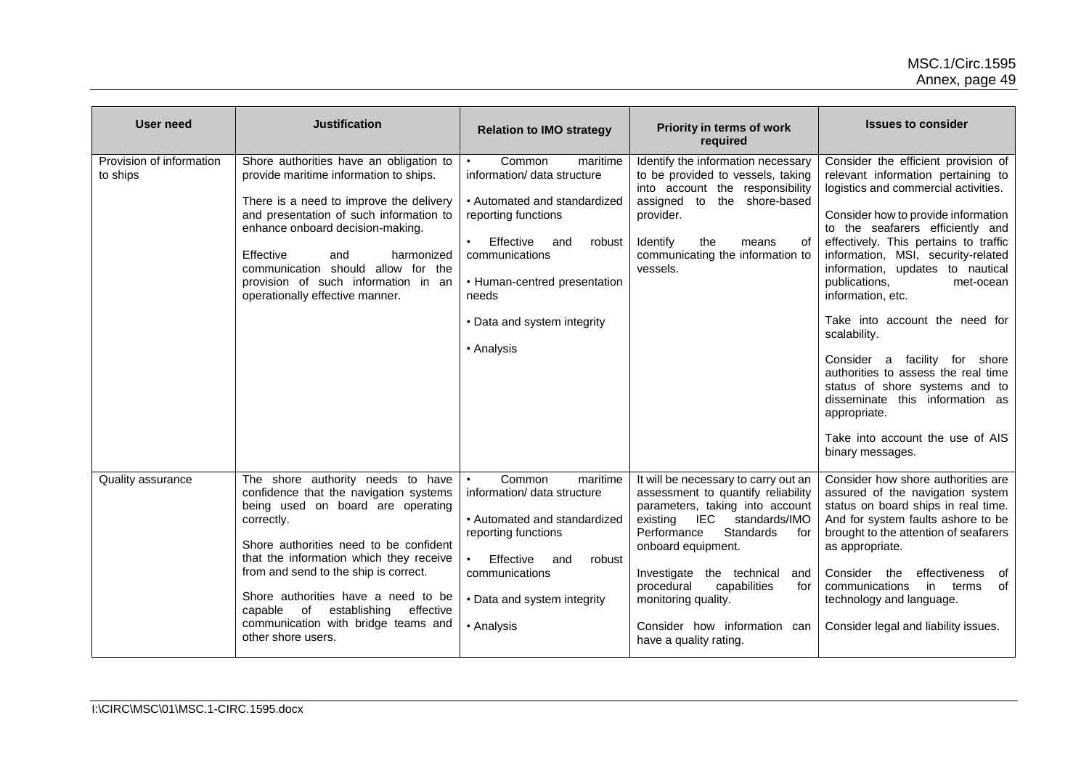| <b>User need</b>                     | <b>Justification</b>                                                                                                                                                                                                                                                                                                                                                                                        | <b>Relation to IMO strategy</b>                                                                                                                                                                                                                | Priority in terms of work<br>required                                                                                                                                                                                                                                                                                                                                | <b>Issues to consider</b>                                                                                                                                                                                                                                                                                                                                                                                                                                                                                                                                                                                                                    |
|--------------------------------------|-------------------------------------------------------------------------------------------------------------------------------------------------------------------------------------------------------------------------------------------------------------------------------------------------------------------------------------------------------------------------------------------------------------|------------------------------------------------------------------------------------------------------------------------------------------------------------------------------------------------------------------------------------------------|----------------------------------------------------------------------------------------------------------------------------------------------------------------------------------------------------------------------------------------------------------------------------------------------------------------------------------------------------------------------|----------------------------------------------------------------------------------------------------------------------------------------------------------------------------------------------------------------------------------------------------------------------------------------------------------------------------------------------------------------------------------------------------------------------------------------------------------------------------------------------------------------------------------------------------------------------------------------------------------------------------------------------|
| Provision of information<br>to ships | Shore authorities have an obligation to<br>provide maritime information to ships.<br>There is a need to improve the delivery<br>and presentation of such information to<br>enhance onboard decision-making.<br>Effective<br>harmonized<br>and<br>communication should allow for the<br>provision of such information in an<br>operationally effective manner.                                               | Common<br>maritime<br>information/ data structure<br>• Automated and standardized<br>reporting functions<br>Effective<br>and<br>robust<br>communications<br>• Human-centred presentation<br>needs<br>• Data and system integrity<br>• Analysis | Identify the information necessary<br>to be provided to vessels, taking<br>into account the responsibility<br>assigned to<br>the shore-based<br>provider.<br>Identify<br>the<br>means<br>οf<br>communicating the information to<br>vessels.                                                                                                                          | Consider the efficient provision of<br>relevant information pertaining to<br>logistics and commercial activities.<br>Consider how to provide information<br>to the seafarers efficiently and<br>effectively. This pertains to traffic<br>information, MSI, security-related<br>information, updates to nautical<br>publications,<br>met-ocean<br>information, etc.<br>Take into account the need for<br>scalability.<br>facility for shore<br>Consider a<br>authorities to assess the real time<br>status of shore systems and to<br>disseminate this information as<br>appropriate.<br>Take into account the use of AIS<br>binary messages. |
| Quality assurance                    | The shore authority needs to have<br>confidence that the navigation systems<br>being used on board are operating<br>correctly.<br>Shore authorities need to be confident<br>that the information which they receive<br>from and send to the ship is correct.<br>Shore authorities have a need to be<br>establishing<br>capable of<br>effective<br>communication with bridge teams and<br>other shore users. | Common<br>maritime<br>information/ data structure<br>• Automated and standardized<br>reporting functions<br>Effective<br>robust<br>and<br>communications<br>• Data and system integrity<br>• Analysis                                          | It will be necessary to carry out an<br>assessment to quantify reliability<br>parameters, taking into account<br>IEC<br>standards/IMO<br>existing<br>Standards<br>Performance<br>for<br>onboard equipment.<br>Investigate the technical<br>and<br>capabilities<br>procedural<br>for<br>monitoring quality.<br>Consider how information can<br>have a quality rating. | Consider how shore authorities are<br>assured of the navigation system<br>status on board ships in real time.<br>And for system faults ashore to be<br>brought to the attention of seafarers<br>as appropriate.<br>Consider<br>the<br>effectiveness<br>of<br>of<br>communications<br>in<br>terms<br>technology and language.<br>Consider legal and liability issues.                                                                                                                                                                                                                                                                         |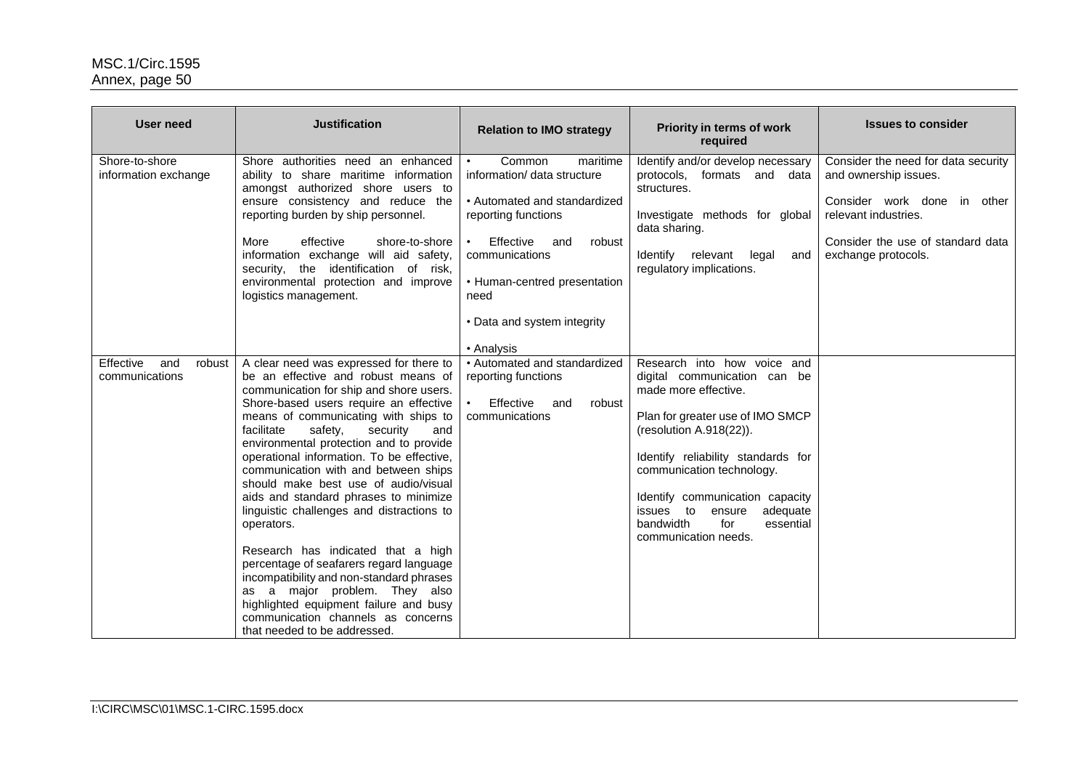| User need                                    | <b>Justification</b>                                                                                                                                                                                                                                                                                                                                                                                                                                                                                                                                                                                                                                                                                                                                                                                              | <b>Relation to IMO strategy</b>                                                                                                                                                                                                               | Priority in terms of work<br>required                                                                                                                                                                                                                                                                                                                | <b>Issues to consider</b>                                                                                                                                                       |
|----------------------------------------------|-------------------------------------------------------------------------------------------------------------------------------------------------------------------------------------------------------------------------------------------------------------------------------------------------------------------------------------------------------------------------------------------------------------------------------------------------------------------------------------------------------------------------------------------------------------------------------------------------------------------------------------------------------------------------------------------------------------------------------------------------------------------------------------------------------------------|-----------------------------------------------------------------------------------------------------------------------------------------------------------------------------------------------------------------------------------------------|------------------------------------------------------------------------------------------------------------------------------------------------------------------------------------------------------------------------------------------------------------------------------------------------------------------------------------------------------|---------------------------------------------------------------------------------------------------------------------------------------------------------------------------------|
| Shore-to-shore<br>information exchange       | Shore authorities need an enhanced<br>ability to share maritime information<br>amongst authorized shore users to<br>ensure consistency and reduce the<br>reporting burden by ship personnel.<br>More<br>effective<br>shore-to-shore<br>information exchange will aid safety,<br>security, the identification of risk,<br>environmental protection and improve<br>logistics management.                                                                                                                                                                                                                                                                                                                                                                                                                            | Common<br>maritime<br>information/ data structure<br>• Automated and standardized<br>reporting functions<br>Effective<br>and<br>robust<br>communications<br>• Human-centred presentation<br>need<br>• Data and system integrity<br>• Analysis | Identify and/or develop necessary<br>protocols, formats and data<br>structures.<br>Investigate methods for global<br>data sharing.<br>Identify<br>relevant legal<br>and<br>regulatory implications.                                                                                                                                                  | Consider the need for data security<br>and ownership issues.<br>Consider work done in other<br>relevant industries.<br>Consider the use of standard data<br>exchange protocols. |
| Effective<br>and<br>robust<br>communications | A clear need was expressed for there to<br>be an effective and robust means of<br>communication for ship and shore users.<br>Shore-based users require an effective<br>means of communicating with ships to<br>facilitate<br>safety,<br>security<br>and<br>environmental protection and to provide<br>operational information. To be effective,<br>communication with and between ships<br>should make best use of audio/visual<br>aids and standard phrases to minimize<br>linguistic challenges and distractions to<br>operators.<br>Research has indicated that a high<br>percentage of seafarers regard language<br>incompatibility and non-standard phrases<br>as a major problem. They also<br>highlighted equipment failure and busy<br>communication channels as concerns<br>that needed to be addressed. | • Automated and standardized<br>reporting functions<br>Effective<br>robust<br>and<br>communications                                                                                                                                           | Research into how voice and<br>digital communication can be<br>made more effective.<br>Plan for greater use of IMO SMCP<br>(resolution A.918(22)).<br>Identify reliability standards for<br>communication technology.<br>Identify communication capacity<br>adequate<br>issues to<br>ensure<br>bandwidth<br>for<br>essential<br>communication needs. |                                                                                                                                                                                 |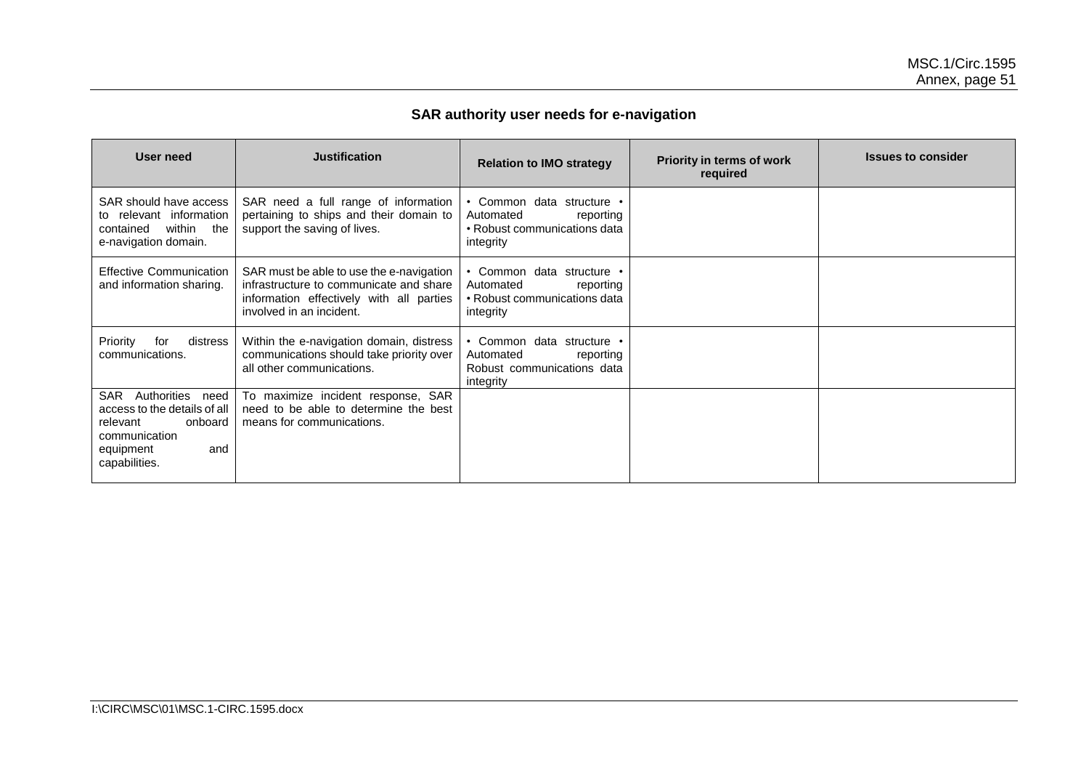# **SAR authority user needs for e-navigation**

| <b>User need</b>                                                                                                                        | <b>Justification</b>                                                                                                                                        | <b>Relation to IMO strategy</b>                                                                  | Priority in terms of work<br>required | <b>Issues to consider</b> |
|-----------------------------------------------------------------------------------------------------------------------------------------|-------------------------------------------------------------------------------------------------------------------------------------------------------------|--------------------------------------------------------------------------------------------------|---------------------------------------|---------------------------|
| SAR should have access<br>to relevant information<br>within the<br>contained<br>e-navigation domain.                                    | SAR need a full range of information<br>pertaining to ships and their domain to<br>support the saving of lives.                                             | • Common data structure •<br>Automated<br>reporting<br>• Robust communications data<br>integrity |                                       |                           |
| <b>Effective Communication</b><br>and information sharing.                                                                              | SAR must be able to use the e-navigation<br>infrastructure to communicate and share<br>information effectively with all parties<br>involved in an incident. | • Common data structure •<br>Automated<br>reporting<br>• Robust communications data<br>integrity |                                       |                           |
| Priority<br>distress<br>for<br>communications.                                                                                          | Within the e-navigation domain, distress<br>communications should take priority over<br>all other communications.                                           | • Common data structure •<br>Automated<br>reporting<br>Robust communications data<br>integrity   |                                       |                           |
| Authorities<br>SAR<br>need<br>access to the details of all<br>relevant<br>onboard<br>communication<br>equipment<br>and<br>capabilities. | To maximize incident response, SAR<br>need to be able to determine the best<br>means for communications.                                                    |                                                                                                  |                                       |                           |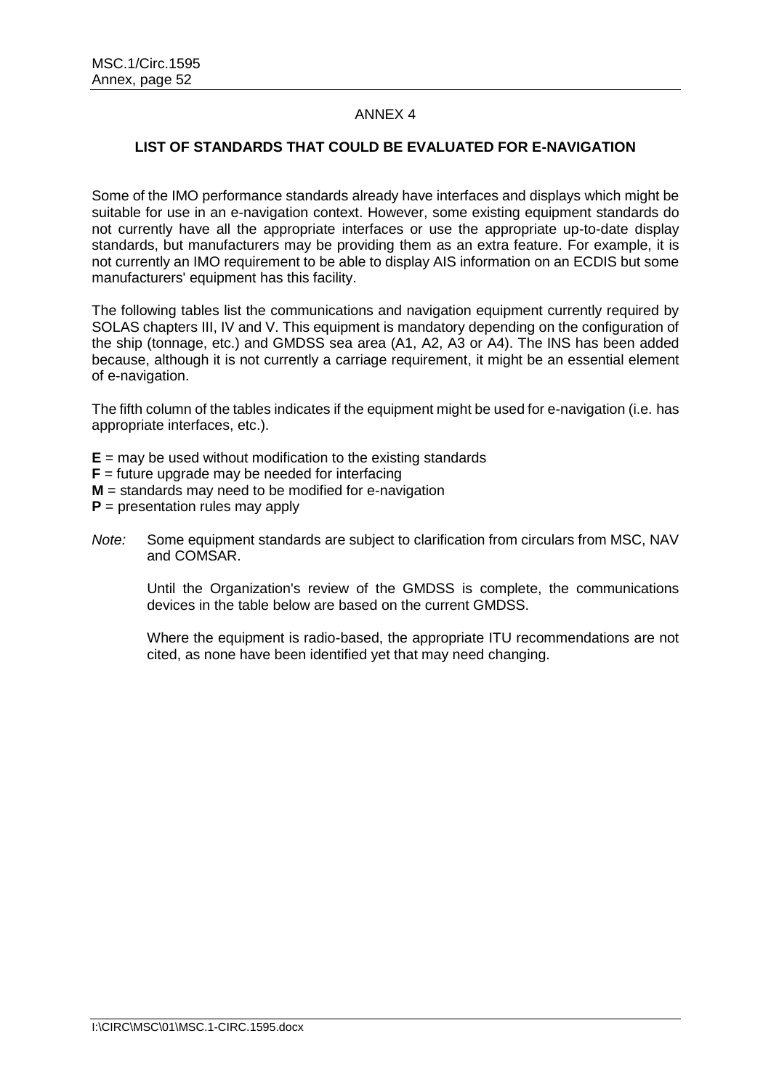### ANNEX 4

### **LIST OF STANDARDS THAT COULD BE EVALUATED FOR E-NAVIGATION**

Some of the IMO performance standards already have interfaces and displays which might be suitable for use in an e-navigation context. However, some existing equipment standards do not currently have all the appropriate interfaces or use the appropriate up-to-date display standards, but manufacturers may be providing them as an extra feature. For example, it is not currently an IMO requirement to be able to display AIS information on an ECDIS but some manufacturers' equipment has this facility.

The following tables list the communications and navigation equipment currently required by SOLAS chapters III, IV and V. This equipment is mandatory depending on the configuration of the ship (tonnage, etc.) and GMDSS sea area (A1, A2, A3 or A4). The INS has been added because, although it is not currently a carriage requirement, it might be an essential element of e-navigation.

The fifth column of the tables indicates if the equipment might be used for e-navigation (i.e. has appropriate interfaces, etc.).

- **E** = may be used without modification to the existing standards
- **= future upgrade may be needed for interfacing**
- **M** = standards may need to be modified for e-navigation
- **P** = presentation rules may apply
- *Note:* Some equipment standards are subject to clarification from circulars from MSC, NAV and COMSAR.

Until the Organization's review of the GMDSS is complete, the communications devices in the table below are based on the current GMDSS.

Where the equipment is radio-based, the appropriate ITU recommendations are not cited, as none have been identified yet that may need changing.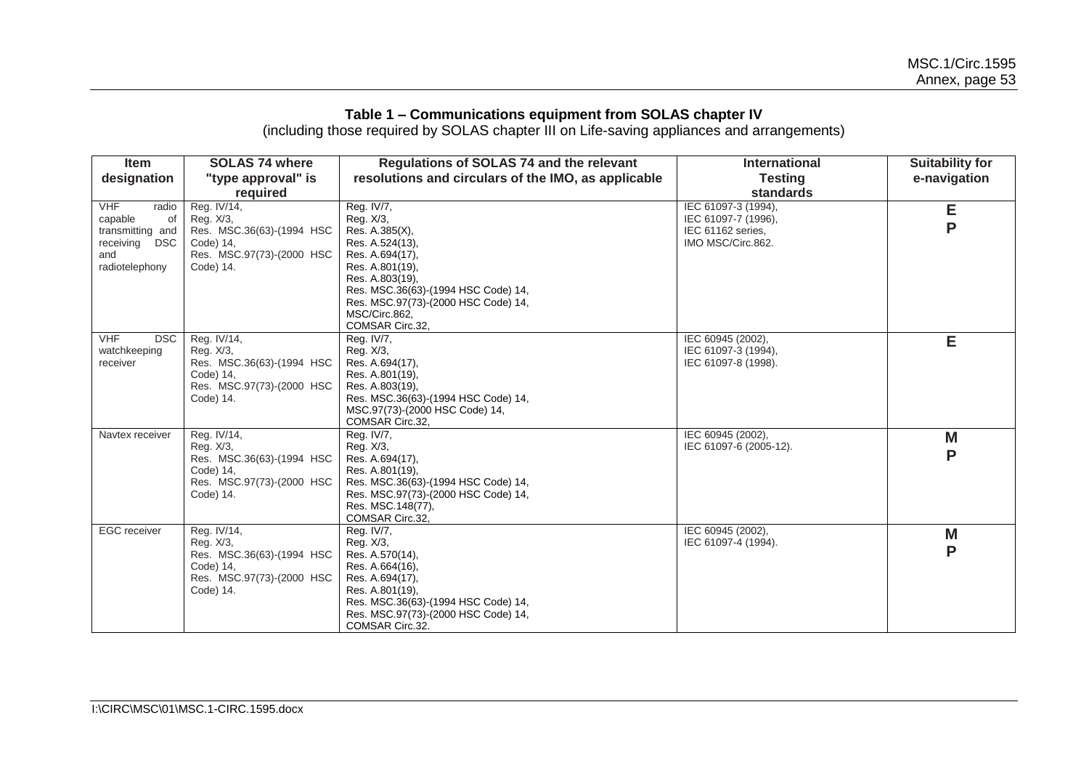#### **Table 1 – Communications equipment from SOLAS chapter IV**

(including those required by SOLAS chapter III on Life-saving appliances and arrangements)

| <b>Item</b>                                                                                        | <b>SOLAS 74 where</b>                                                                                        | Regulations of SOLAS 74 and the relevant                                                                                                                                                                                                | <b>International</b>                                                                 | <b>Suitability for</b> |
|----------------------------------------------------------------------------------------------------|--------------------------------------------------------------------------------------------------------------|-----------------------------------------------------------------------------------------------------------------------------------------------------------------------------------------------------------------------------------------|--------------------------------------------------------------------------------------|------------------------|
| designation                                                                                        | "type approval" is                                                                                           | resolutions and circulars of the IMO, as applicable                                                                                                                                                                                     | <b>Testing</b>                                                                       | e-navigation           |
|                                                                                                    | required                                                                                                     |                                                                                                                                                                                                                                         | standards                                                                            |                        |
| <b>VHF</b><br>radio<br>capable<br>0f<br>transmitting and<br>receiving DSC<br>and<br>radiotelephony | Reg. IV/14,<br>Reg. X/3,<br>Res. MSC.36(63)-(1994 HSC<br>Code) 14,<br>Res. MSC.97(73)-(2000 HSC<br>Code) 14. | Reg. IV/7,<br>Reg. X/3,<br>Res. A.385(X),<br>Res. A.524(13),<br>Res. A.694(17),<br>Res. A.801(19),<br>Res. A.803(19),<br>Res. MSC.36(63)-(1994 HSC Code) 14,<br>Res. MSC.97(73)-(2000 HSC Code) 14,<br>MSC/Circ.862,<br>COMSAR Circ.32, | IEC 61097-3 (1994),<br>IEC 61097-7 (1996),<br>IEC 61162 series,<br>IMO MSC/Circ.862. | E<br>P                 |
| <b>VHF</b><br><b>DSC</b><br>watchkeeping<br>receiver                                               | Reg. IV/14,<br>Reg. X/3,<br>Res. MSC.36(63)-(1994 HSC<br>Code) 14,<br>Res. MSC.97(73)-(2000 HSC<br>Code) 14. | Reg. IV/7,<br>Reg. X/3,<br>Res. A.694(17),<br>Res. A.801(19),<br>Res. A.803(19).<br>Res. MSC.36(63)-(1994 HSC Code) 14,<br>MSC.97(73)-(2000 HSC Code) 14,<br>COMSAR Circ.32,                                                            | IEC 60945 (2002),<br>IEC 61097-3 (1994),<br>IEC 61097-8 (1998).                      | E                      |
| Navtex receiver                                                                                    | Reg. IV/14,<br>Reg. X/3,<br>Res. MSC.36(63)-(1994 HSC<br>Code) 14.<br>Res. MSC.97(73)-(2000 HSC<br>Code) 14. | Reg. IV/7,<br>Reg. X/3,<br>Res. A.694(17),<br>Res. A.801(19).<br>Res. MSC.36(63)-(1994 HSC Code) 14,<br>Res. MSC.97(73)-(2000 HSC Code) 14,<br>Res. MSC.148(77),<br>COMSAR Circ.32,                                                     | IEC 60945 (2002),<br>IEC 61097-6 (2005-12).                                          | M<br>P                 |
| <b>EGC</b> receiver                                                                                | Reg. IV/14,<br>Reg. X/3,<br>Res. MSC.36(63)-(1994 HSC<br>Code) 14.<br>Res. MSC.97(73)-(2000 HSC<br>Code) 14. | Reg. IV/7,<br>Reg. X/3,<br>Res. A.570(14),<br>Res. A.664(16),<br>Res. A.694(17),<br>Res. A.801(19).<br>Res. MSC.36(63)-(1994 HSC Code) 14,<br>Res. MSC.97(73)-(2000 HSC Code) 14,<br>COMSAR Circ.32.                                    | IEC 60945 (2002),<br>IEC 61097-4 (1994).                                             | M<br>P                 |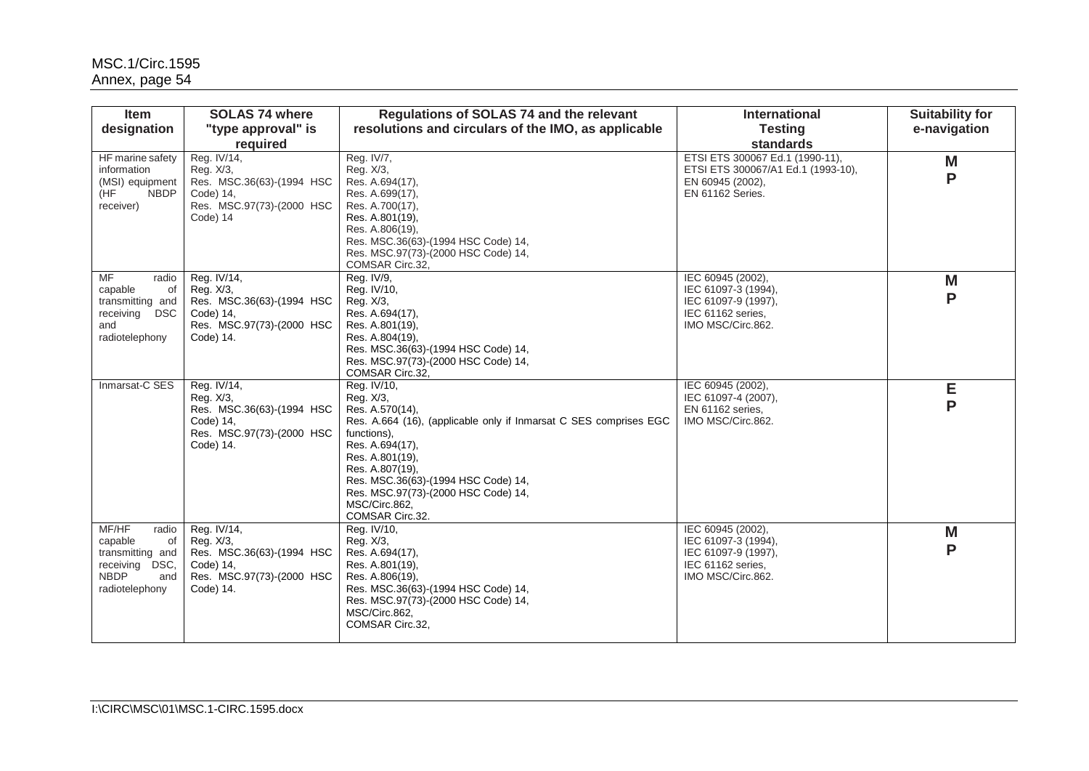| Item                                                                                                             | <b>SOLAS 74 where</b>                                                                                        | Regulations of SOLAS 74 and the relevant                                                                                                                                                                                                                                                                   | <b>International</b>                                                                                          | <b>Suitability for</b> |
|------------------------------------------------------------------------------------------------------------------|--------------------------------------------------------------------------------------------------------------|------------------------------------------------------------------------------------------------------------------------------------------------------------------------------------------------------------------------------------------------------------------------------------------------------------|---------------------------------------------------------------------------------------------------------------|------------------------|
| designation                                                                                                      | "type approval" is<br>required                                                                               | resolutions and circulars of the IMO, as applicable                                                                                                                                                                                                                                                        | <b>Testing</b><br><b>standards</b>                                                                            | e-navigation           |
| HF marine safety<br>information<br>(MSI) equipment<br>H<br><b>NBDP</b><br>receiver)                              | Reg. IV/14,<br>Reg. X/3,<br>Res. MSC.36(63)-(1994 HSC<br>Code) 14,<br>Res. MSC.97(73)-(2000 HSC<br>Code) 14  | Reg. IV/7,<br>Reg. X/3,<br>Res. A.694(17),<br>Res. A.699(17),<br>Res. A.700(17),<br>Res. A.801(19),<br>Res. A.806(19),<br>Res. MSC.36(63)-(1994 HSC Code) 14,<br>Res. MSC.97(73)-(2000 HSC Code) 14,<br>COMSAR Circ.32,                                                                                    | ETSI ETS 300067 Ed.1 (1990-11),<br>ETSI ETS 300067/A1 Ed.1 (1993-10),<br>EN 60945 (2002),<br>EN 61162 Series. | M<br>P                 |
| MF<br>radio<br>capable<br>0f<br>transmitting and<br>receiving<br>DSC<br>and<br>radiotelephony                    | Reg. IV/14,<br>Reg. X/3,<br>Res. MSC.36(63)-(1994 HSC<br>Code) 14,<br>Res. MSC.97(73)-(2000 HSC<br>Code) 14. | Reg. IV/9,<br>Reg. IV/10,<br>Reg. X/3,<br>Res. A.694(17),<br>Res. A.801(19),<br>Res. A.804(19),<br>Res. MSC.36(63)-(1994 HSC Code) 14,<br>Res. MSC.97(73)-(2000 HSC Code) 14,<br>COMSAR Circ.32,                                                                                                           | IEC 60945 (2002),<br>IEC 61097-3 (1994),<br>IEC 61097-9 (1997),<br>IEC 61162 series.<br>IMO MSC/Circ.862.     | M<br>P                 |
| Inmarsat-C SES                                                                                                   | Reg. IV/14,<br>Reg. X/3,<br>Res. MSC.36(63)-(1994 HSC<br>Code) 14,<br>Res. MSC.97(73)-(2000 HSC<br>Code) 14. | Reg. IV/10,<br>Reg. X/3,<br>Res. A.570(14),<br>Res. A.664 (16), (applicable only if Inmarsat C SES comprises EGC<br>functions),<br>Res. A.694(17),<br>Res. A.801(19),<br>Res. A.807(19).<br>Res. MSC.36(63)-(1994 HSC Code) 14,<br>Res. MSC.97(73)-(2000 HSC Code) 14,<br>MSC/Circ.862.<br>COMSAR Circ.32. | IEC 60945 (2002),<br>IEC 61097-4 (2007),<br>EN 61162 series,<br>IMO MSC/Circ.862.                             | Е<br>P                 |
| MF/HF<br>radio<br>capable<br>of<br>transmitting and<br>DSC.<br>receiving<br><b>NBDP</b><br>and<br>radiotelephony | Reg. IV/14,<br>Reg. X/3,<br>Res. MSC.36(63)-(1994 HSC<br>Code) 14,<br>Res. MSC.97(73)-(2000 HSC<br>Code) 14. | Reg. IV/10,<br>Reg. X/3,<br>Res. A.694(17),<br>Res. A.801(19),<br>Res. A.806(19),<br>Res. MSC.36(63)-(1994 HSC Code) 14,<br>Res. MSC.97(73)-(2000 HSC Code) 14,<br>MSC/Circ.862,<br>COMSAR Circ.32,                                                                                                        | IEC 60945 (2002),<br>IEC 61097-3 (1994),<br>IEC 61097-9 (1997),<br>IEC 61162 series.<br>IMO MSC/Circ.862.     | M<br>P                 |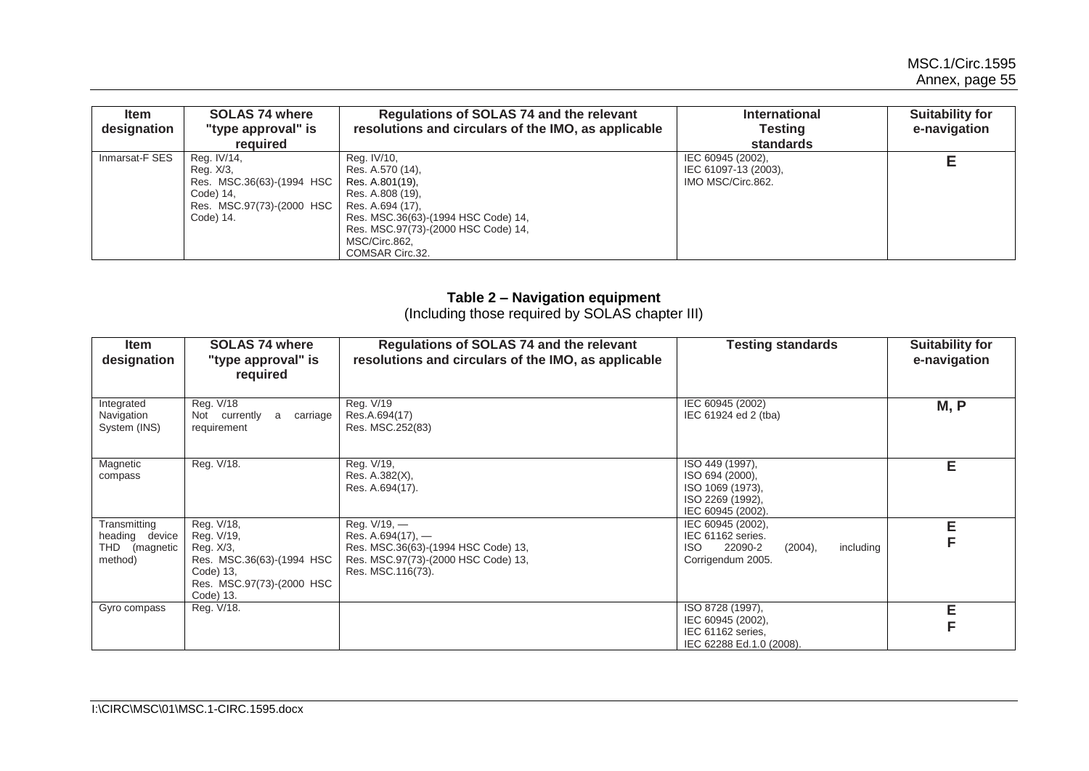| <b>Item</b><br>designation | <b>SOLAS 74 where</b><br>"type approval" is<br><b>required</b>                                               | Regulations of SOLAS 74 and the relevant<br>resolutions and circulars of the IMO, as applicable                                                                                                              | <b>International</b><br>Testing<br>standards                   | <b>Suitability for</b><br>e-navigation |
|----------------------------|--------------------------------------------------------------------------------------------------------------|--------------------------------------------------------------------------------------------------------------------------------------------------------------------------------------------------------------|----------------------------------------------------------------|----------------------------------------|
| Inmarsat-F SES             | Reg. IV/14,<br>Reg. X/3,<br>Res. MSC.36(63)-(1994 HSC<br>Code) 14,<br>Res. MSC.97(73)-(2000 HSC<br>Code) 14. | Reg. IV/10,<br>Res. A.570 (14).<br>Res. A.801(19),<br>Res. A.808 (19).<br>Res. A.694 (17).<br>Res. MSC.36(63)-(1994 HSC Code) 14,<br>Res. MSC.97(73)-(2000 HSC Code) 14,<br>MSC/Circ.862,<br>COMSAR Circ.32. | IEC 60945 (2002),<br>IEC 61097-13 (2003),<br>IMO MSC/Circ.862. |                                        |

#### **Table 2 – Navigation equipment**

(Including those required by SOLAS chapter III)

| <b>Item</b><br>designation                                    | <b>SOLAS 74 where</b><br>"type approval" is<br>required                                                                   | Regulations of SOLAS 74 and the relevant<br>resolutions and circulars of the IMO, as applicable                                          | <b>Testing standards</b>                                                                               | <b>Suitability for</b><br>e-navigation |
|---------------------------------------------------------------|---------------------------------------------------------------------------------------------------------------------------|------------------------------------------------------------------------------------------------------------------------------------------|--------------------------------------------------------------------------------------------------------|----------------------------------------|
| Integrated<br>Navigation<br>System (INS)                      | Reg. V/18<br>carriage<br>Not currently<br>a<br>requirement                                                                | Reg. V/19<br>Res.A.694(17)<br>Res. MSC.252(83)                                                                                           | IEC 60945 (2002)<br>IEC 61924 ed 2 (tba)                                                               | M, P                                   |
| Magnetic<br>compass                                           | Reg. V/18.                                                                                                                | Reg. V/19,<br>Res. A.382(X),<br>Res. A.694(17).                                                                                          | ISO 449 (1997),<br>ISO 694 (2000),<br>ISO 1069 (1973),<br>ISO 2269 (1992),<br>IEC 60945 (2002).        | E                                      |
| Transmitting<br>heading device<br>THD<br>(magnetic<br>method) | Reg. V/18,<br>Reg. V/19,<br>Reg. X/3,<br>Res. MSC.36(63)-(1994 HSC<br>Code) 13,<br>Res. MSC.97(73)-(2000 HSC<br>Code) 13. | Reg. V/19, -<br>Res. A.694 $(17)$ , —<br>Res. MSC.36(63)-(1994 HSC Code) 13,<br>Res. MSC.97(73)-(2000 HSC Code) 13,<br>Res. MSC.116(73). | IEC 60945 (2002),<br>IEC 61162 series.<br>22090-2<br>(2004),<br>including<br>ISO.<br>Corrigendum 2005. | E                                      |
| Gyro compass                                                  | Reg. V/18.                                                                                                                |                                                                                                                                          | ISO 8728 (1997),<br>IEC 60945 (2002),<br>IEC 61162 series,<br>IEC 62288 Ed.1.0 (2008).                 | E                                      |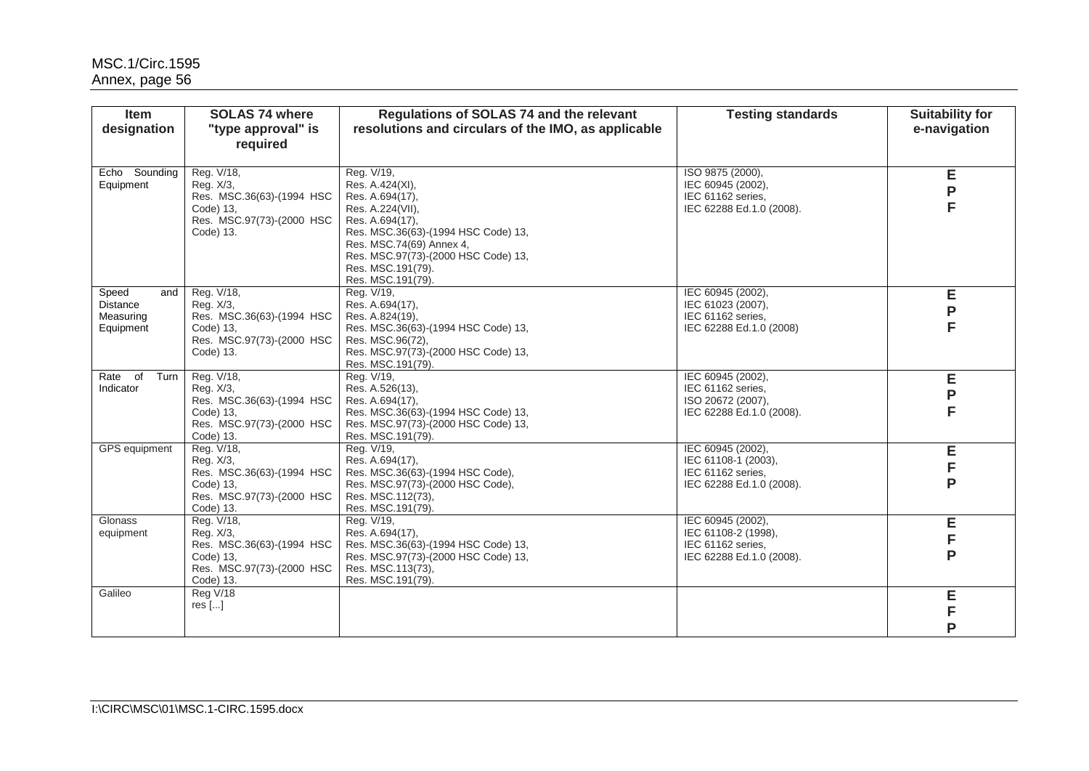| <b>Item</b><br>designation                                | <b>SOLAS 74 where</b><br>"type approval" is<br>required                                                     | Regulations of SOLAS 74 and the relevant<br>resolutions and circulars of the IMO, as applicable                                                                                                                                             | <b>Testing standards</b>                                                                  | <b>Suitability for</b><br>e-navigation |
|-----------------------------------------------------------|-------------------------------------------------------------------------------------------------------------|---------------------------------------------------------------------------------------------------------------------------------------------------------------------------------------------------------------------------------------------|-------------------------------------------------------------------------------------------|----------------------------------------|
| Echo Sounding<br>Equipment                                | Reg. V/18,<br>Reg. X/3.<br>Res. MSC.36(63)-(1994 HSC<br>Code) 13,<br>Res. MSC.97(73)-(2000 HSC<br>Code) 13. | Reg. V/19,<br>Res. A.424(XI),<br>Res. A.694(17),<br>Res. A.224(VII),<br>Res. A.694(17),<br>Res. MSC.36(63)-(1994 HSC Code) 13,<br>Res. MSC.74(69) Annex 4,<br>Res. MSC.97(73)-(2000 HSC Code) 13,<br>Res. MSC.191(79).<br>Res. MSC.191(79). | ISO 9875 (2000),<br>IEC 60945 (2002),<br>IEC 61162 series,<br>IEC 62288 Ed.1.0 (2008).    | Е<br>P                                 |
| Speed<br>and<br><b>Distance</b><br>Measuring<br>Equipment | Reg. V/18,<br>Rea. X/3.<br>Res. MSC.36(63)-(1994 HSC<br>Code) 13,<br>Res. MSC.97(73)-(2000 HSC<br>Code) 13. | Reg. V/19,<br>Res. A.694(17).<br>Res. A.824(19),<br>Res. MSC.36(63)-(1994 HSC Code) 13,<br>Res. MSC.96(72),<br>Res. MSC.97(73)-(2000 HSC Code) 13,<br>Res. MSC.191(79).                                                                     | IEC 60945 (2002),<br>IEC 61023 (2007),<br>IEC 61162 series.<br>IEC 62288 Ed.1.0 (2008)    | Е<br>P                                 |
| Rate of<br>Turn<br>Indicator                              | Reg. V/18,<br>Reg. X/3,<br>Res. MSC.36(63)-(1994 HSC<br>Code) 13,<br>Res. MSC.97(73)-(2000 HSC<br>Code) 13. | Reg. V/19,<br>Res. A.526(13),<br>Res. A.694(17),<br>Res. MSC.36(63)-(1994 HSC Code) 13,<br>Res. MSC.97(73)-(2000 HSC Code) 13,<br>Res. MSC.191(79).                                                                                         | IEC 60945 (2002).<br>IEC 61162 series.<br>ISO 20672 (2007),<br>IEC 62288 Ed.1.0 (2008).   | E<br>P<br>F                            |
| GPS equipment                                             | Reg. V/18,<br>Reg. X/3,<br>Res. MSC.36(63)-(1994 HSC<br>Code) 13.<br>Res. MSC.97(73)-(2000 HSC<br>Code) 13. | Reg. V/19,<br>Res. A.694(17),<br>Res. MSC.36(63)-(1994 HSC Code),<br>Res. MSC.97(73)-(2000 HSC Code),<br>Res. MSC.112(73),<br>Res. MSC.191(79).                                                                                             | IEC 60945 (2002),<br>IEC 61108-1 (2003),<br>IEC 61162 series,<br>IEC 62288 Ed.1.0 (2008). | E<br>F<br>P                            |
| Glonass<br>equipment                                      | Reg. V/18,<br>Reg. X/3,<br>Res. MSC.36(63)-(1994 HSC<br>Code) 13,<br>Res. MSC.97(73)-(2000 HSC<br>Code) 13. | Reg. V/19,<br>Res. A.694(17).<br>Res. MSC.36(63)-(1994 HSC Code) 13,<br>Res. MSC.97(73)-(2000 HSC Code) 13,<br>Res. MSC.113(73),<br>Res. MSC.191(79).                                                                                       | IEC 60945 (2002),<br>IEC 61108-2 (1998),<br>IEC 61162 series,<br>IEC 62288 Ed.1.0 (2008). | E<br>F<br>P                            |
| Galileo                                                   | Reg V/18<br>$res$ $[]$                                                                                      |                                                                                                                                                                                                                                             |                                                                                           | E<br>F<br>P                            |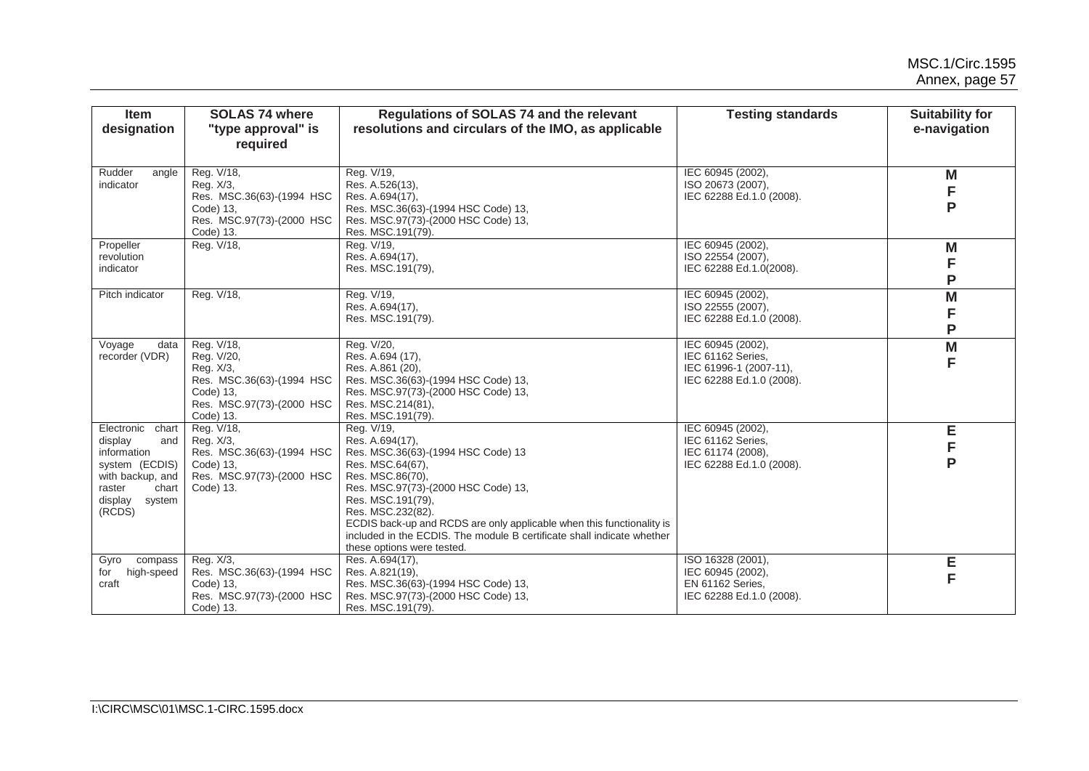| Item<br>designation                                                                                                                       | <b>SOLAS 74 where</b><br>"type approval" is<br>required                                                                   | Regulations of SOLAS 74 and the relevant<br>resolutions and circulars of the IMO, as applicable                                                                                                                                                                                                                                                                               | <b>Testing standards</b>                                                                     | <b>Suitability for</b><br>e-navigation |
|-------------------------------------------------------------------------------------------------------------------------------------------|---------------------------------------------------------------------------------------------------------------------------|-------------------------------------------------------------------------------------------------------------------------------------------------------------------------------------------------------------------------------------------------------------------------------------------------------------------------------------------------------------------------------|----------------------------------------------------------------------------------------------|----------------------------------------|
| Rudder<br>angle<br>indicator                                                                                                              | Reg. V/18,<br>Reg. X/3,<br>Res. MSC.36(63)-(1994 HSC<br>Code) 13,<br>Res. MSC.97(73)-(2000 HSC<br>Code) 13.               | Reg. V/19,<br>Res. A.526(13),<br>Res. A.694(17),<br>Res. MSC.36(63)-(1994 HSC Code) 13,<br>Res. MSC.97(73)-(2000 HSC Code) 13,<br>Res. MSC.191(79).                                                                                                                                                                                                                           | IEC 60945 (2002),<br>ISO 20673 (2007).<br>IEC 62288 Ed.1.0 (2008).                           | M<br>F<br>P                            |
| Propeller<br>revolution<br>indicator                                                                                                      | Reg. V/18,                                                                                                                | Reg. V/19,<br>Res. A.694(17),<br>Res. MSC.191(79),                                                                                                                                                                                                                                                                                                                            | IEC 60945 (2002),<br>ISO 22554 (2007),<br>IEC 62288 Ed.1.0(2008).                            | M<br>F<br>P                            |
| Pitch indicator                                                                                                                           | Reg. V/18,                                                                                                                | Reg. V/19,<br>Res. A.694(17),<br>Res. MSC.191(79).                                                                                                                                                                                                                                                                                                                            | IEC 60945 (2002),<br>ISO 22555 (2007),<br>IEC 62288 Ed.1.0 (2008).                           | M<br>F<br>P                            |
| Voyage<br>data<br>recorder (VDR)                                                                                                          | Reg. V/18,<br>Reg. V/20,<br>Reg. X/3,<br>Res. MSC.36(63)-(1994 HSC<br>Code) 13,<br>Res. MSC.97(73)-(2000 HSC<br>Code) 13. | Reg. V/20,<br>Res. A.694 (17),<br>Res. A.861 (20),<br>Res. MSC.36(63)-(1994 HSC Code) 13,<br>Res. MSC.97(73)-(2000 HSC Code) 13,<br>Res. MSC.214(81),<br>Res. MSC.191(79).                                                                                                                                                                                                    | IEC 60945 (2002),<br>IEC 61162 Series,<br>IEC 61996-1 (2007-11),<br>IEC 62288 Ed.1.0 (2008). | M<br>F                                 |
| Electronic chart<br>display<br>and<br>information<br>system (ECDIS)<br>with backup, and<br>raster<br>chart<br>display<br>system<br>(RCDS) | Reg. V/18,<br>Reg. X/3.<br>Res. MSC.36(63)-(1994 HSC<br>Code) 13,<br>Res. MSC.97(73)-(2000 HSC<br>Code) 13.               | Reg. V/19,<br>Res. A.694(17),<br>Res. MSC.36(63)-(1994 HSC Code) 13<br>Res. MSC.64(67),<br>Res. MSC.86(70),<br>Res. MSC.97(73)-(2000 HSC Code) 13,<br>Res. MSC.191(79),<br>Res. MSC.232(82).<br>ECDIS back-up and RCDS are only applicable when this functionality is<br>included in the ECDIS. The module B certificate shall indicate whether<br>these options were tested. | IEC 60945 (2002),<br>IEC 61162 Series.<br>IEC 61174 (2008),<br>IEC 62288 Ed.1.0 (2008).      | E<br>F<br>P                            |
| compass<br>Gyro<br>high-speed<br>for<br>craft                                                                                             | Reg. X/3,<br>Res. MSC.36(63)-(1994 HSC<br>Code) 13,<br>Res. MSC.97(73)-(2000 HSC<br>Code) 13.                             | Res. A.694(17).<br>Res. A.821(19),<br>Res. MSC.36(63)-(1994 HSC Code) 13,<br>Res. MSC.97(73)-(2000 HSC Code) 13,<br>Res. MSC.191(79).                                                                                                                                                                                                                                         | ISO 16328 (2001),<br>IEC 60945 (2002),<br>EN 61162 Series.<br>IEC 62288 Ed.1.0 (2008).       | Е<br>F                                 |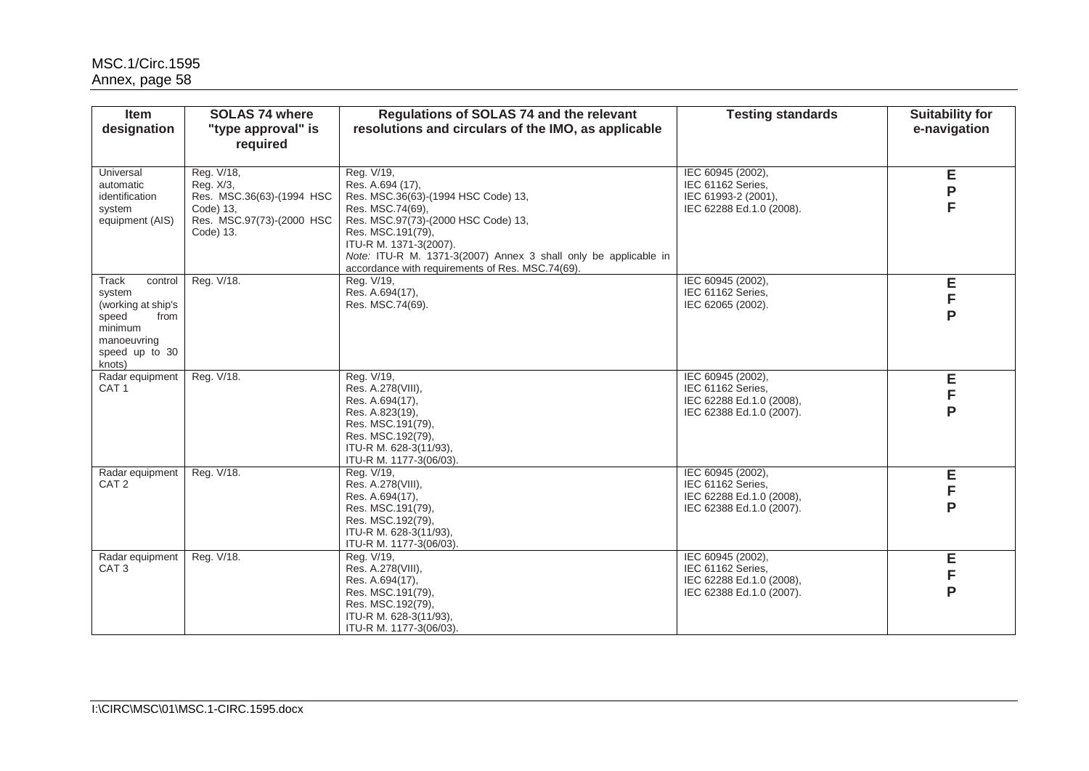| <b>Item</b><br>designation                                                                                              | <b>SOLAS 74 where</b><br>"type approval" is<br>required                                                     | Regulations of SOLAS 74 and the relevant<br>resolutions and circulars of the IMO, as applicable                                                                                                                                                                                                        | <b>Testing standards</b>                                                                       | <b>Suitability for</b><br>e-navigation |
|-------------------------------------------------------------------------------------------------------------------------|-------------------------------------------------------------------------------------------------------------|--------------------------------------------------------------------------------------------------------------------------------------------------------------------------------------------------------------------------------------------------------------------------------------------------------|------------------------------------------------------------------------------------------------|----------------------------------------|
| Universal<br>automatic<br>identification<br>system<br>equipment (AIS)                                                   | Reg. V/18,<br>Reg. X/3,<br>Res. MSC.36(63)-(1994 HSC<br>Code) 13,<br>Res. MSC.97(73)-(2000 HSC<br>Code) 13. | Reg. V/19,<br>Res. A.694 (17),<br>Res. MSC.36(63)-(1994 HSC Code) 13,<br>Res. MSC.74(69),<br>Res. MSC.97(73)-(2000 HSC Code) 13,<br>Res. MSC.191(79),<br>ITU-R M. 1371-3(2007).<br>Note: ITU-R M. 1371-3(2007) Annex 3 shall only be applicable in<br>accordance with requirements of Res. MSC.74(69). | IEC 60945 (2002).<br>IEC 61162 Series,<br>IEC 61993-2 (2001),<br>IEC 62288 Ed.1.0 (2008).      | Е<br>P<br>F                            |
| Track<br>control<br>system<br>(working at ship's<br>speed<br>from<br>minimum<br>manoeuvring<br>speed up to 30<br>knots) | Reg. V/18.                                                                                                  | Reg. V/19,<br>Res. A.694(17),<br>Res. MSC.74(69).                                                                                                                                                                                                                                                      | IEC 60945 (2002),<br>IEC 61162 Series,<br>IEC 62065 (2002).                                    | Е<br>F<br>P                            |
| Radar equipment<br>CAT <sub>1</sub>                                                                                     | Reg. V/18.                                                                                                  | Reg. V/19,<br>Res. A.278(VIII),<br>Res. A.694(17),<br>Res. A.823(19),<br>Res. MSC.191(79),<br>Res. MSC.192(79),<br>ITU-R M. 628-3(11/93),<br>ITU-R M. 1177-3(06/03).                                                                                                                                   | IEC 60945 (2002),<br>IEC 61162 Series,<br>IEC 62288 Ed.1.0 (2008),<br>IEC 62388 Ed.1.0 (2007). | E<br>F<br>P                            |
| Radar equipment<br>CAT <sub>2</sub>                                                                                     | Reg. V/18.                                                                                                  | Reg. V/19,<br>Res. A.278(VIII),<br>Res. A.694(17),<br>Res. MSC.191(79),<br>Res. MSC.192(79),<br>ITU-R M. 628-3(11/93),<br>ITU-R M. 1177-3(06/03).                                                                                                                                                      | IEC 60945 (2002),<br>IEC 61162 Series,<br>IEC 62288 Ed.1.0 (2008),<br>IEC 62388 Ed.1.0 (2007). | Ε<br>F<br>P                            |
| Radar equipment<br>CAT <sub>3</sub>                                                                                     | Reg. V/18.                                                                                                  | Reg. V/19,<br>Res. A.278(VIII),<br>Res. A.694(17),<br>Res. MSC.191(79),<br>Res. MSC.192(79),<br>ITU-R M. 628-3(11/93),<br>ITU-R M. 1177-3(06/03).                                                                                                                                                      | IEC 60945 (2002),<br>IEC 61162 Series,<br>IEC 62288 Ed.1.0 (2008),<br>IEC 62388 Ed.1.0 (2007). | E<br>F<br>P                            |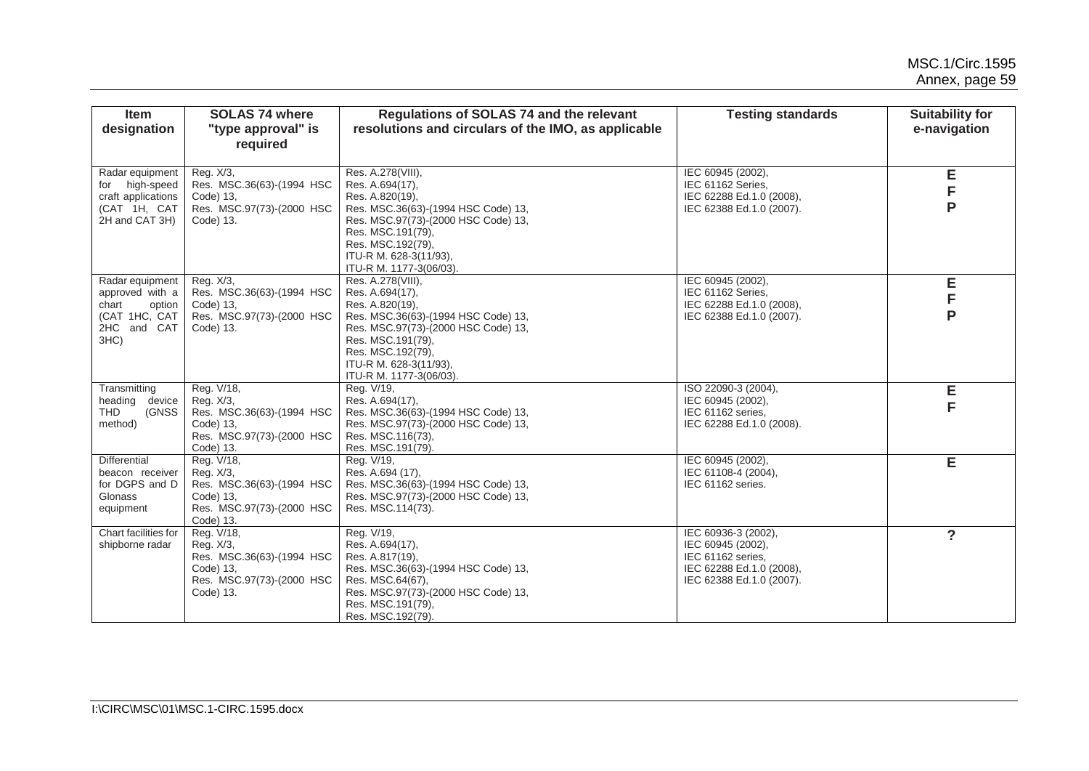| <b>Item</b><br>designation                                                                       | <b>SOLAS 74 where</b><br>"type approval" is<br>required                                                     | <b>Regulations of SOLAS 74 and the relevant</b><br>resolutions and circulars of the IMO, as applicable                                                                                                                               | <b>Testing standards</b>                                                                                              | <b>Suitability for</b><br>e-navigation |
|--------------------------------------------------------------------------------------------------|-------------------------------------------------------------------------------------------------------------|--------------------------------------------------------------------------------------------------------------------------------------------------------------------------------------------------------------------------------------|-----------------------------------------------------------------------------------------------------------------------|----------------------------------------|
| Radar equipment<br>for high-speed<br>craft applications<br>(CAT 1H, CAT<br>2H and CAT 3H)        | Reg. X/3,<br>Res. MSC.36(63)-(1994 HSC<br>Code) 13,<br>Res. MSC.97(73)-(2000 HSC<br>Code) 13.               | Res. A.278(VIII),<br>Res. A.694(17),<br>Res. A.820(19).<br>Res. MSC.36(63)-(1994 HSC Code) 13,<br>Res. MSC.97(73)-(2000 HSC Code) 13,<br>Res. MSC.191(79),<br>Res. MSC.192(79),<br>ITU-R M. 628-3(11/93),<br>ITU-R M. 1177-3(06/03). | IEC 60945 (2002).<br>IEC 61162 Series,<br>IEC 62288 Ed.1.0 (2008),<br>IEC 62388 Ed.1.0 (2007).                        | Е<br>F<br>P                            |
| Radar equipment<br>approved with a<br>chart<br>option<br>(CAT 1HC, CAT<br>2HC and CAT<br>$3HC$ ) | Reg. X/3,<br>Res. MSC.36(63)-(1994 HSC<br>Code) 13,<br>Res. MSC.97(73)-(2000 HSC<br>Code) 13.               | Res. A.278(VIII),<br>Res. A.694(17),<br>Res. A.820(19).<br>Res. MSC.36(63)-(1994 HSC Code) 13,<br>Res. MSC.97(73)-(2000 HSC Code) 13,<br>Res. MSC.191(79),<br>Res. MSC.192(79),<br>ITU-R M. 628-3(11/93),<br>ITU-R M. 1177-3(06/03). | IEC 60945 (2002),<br>IEC 61162 Series.<br>IEC 62288 Ed.1.0 (2008),<br>IEC 62388 Ed.1.0 (2007).                        | Ε<br>F<br>P                            |
| Transmitting<br>heading device<br><b>THD</b><br>(GNSS<br>method)                                 | Reg. V/18,<br>Reg. X/3,<br>Res. MSC.36(63)-(1994 HSC<br>Code) 13,<br>Res. MSC.97(73)-(2000 HSC<br>Code) 13. | Reg. V/19,<br>Res. A.694(17),<br>Res. MSC.36(63)-(1994 HSC Code) 13,<br>Res. MSC.97(73)-(2000 HSC Code) 13,<br>Res. MSC.116(73),<br>Res. MSC.191(79).                                                                                | ISO 22090-3 (2004),<br>IEC 60945 (2002),<br>IEC 61162 series,<br>IEC 62288 Ed.1.0 (2008).                             | Е<br>F                                 |
| Differential<br>beacon receiver<br>for DGPS and D<br>Glonass<br>equipment                        | Reg. V/18,<br>Reg. X/3,<br>Res. MSC.36(63)-(1994 HSC<br>Code) 13,<br>Res. MSC.97(73)-(2000 HSC<br>Code) 13. | Reg. V/19,<br>Res. A.694 (17),<br>Res. MSC.36(63)-(1994 HSC Code) 13,<br>Res. MSC.97(73)-(2000 HSC Code) 13,<br>Res. MSC.114(73).                                                                                                    | IEC 60945 (2002),<br>IEC 61108-4 (2004),<br>IEC 61162 series.                                                         | Е                                      |
| Chart facilities for<br>shipborne radar                                                          | Reg. V/18,<br>Reg. X/3,<br>Res. MSC.36(63)-(1994 HSC<br>Code) 13,<br>Res. MSC.97(73)-(2000 HSC<br>Code) 13. | Reg. V/19,<br>Res. A.694(17),<br>Res. A.817(19),<br>Res. MSC.36(63)-(1994 HSC Code) 13,<br>Res. MSC.64(67),<br>Res. MSC.97(73)-(2000 HSC Code) 13,<br>Res. MSC.191(79),<br>Res. MSC.192(79).                                         | IEC 60936-3 (2002),<br>IEC 60945 (2002),<br>IEC 61162 series,<br>IEC 62288 Ed.1.0 (2008),<br>IEC 62388 Ed.1.0 (2007). | ?                                      |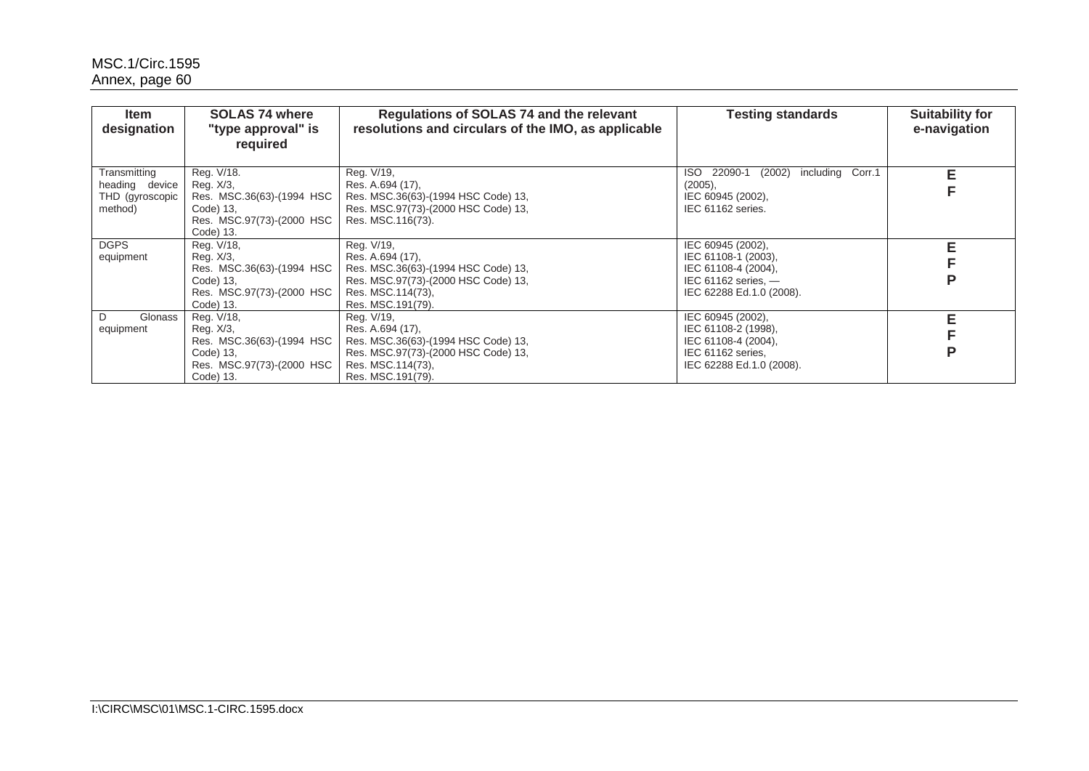| <b>Item</b><br>designation                                   | <b>SOLAS 74 where</b><br>"type approval" is<br>required                                                     | Regulations of SOLAS 74 and the relevant<br>resolutions and circulars of the IMO, as applicable                                                        | <b>Testing standards</b>                                                                                               | <b>Suitability for</b><br>e-navigation |
|--------------------------------------------------------------|-------------------------------------------------------------------------------------------------------------|--------------------------------------------------------------------------------------------------------------------------------------------------------|------------------------------------------------------------------------------------------------------------------------|----------------------------------------|
| Transmitting<br>heading device<br>THD (gyroscopic<br>method) | Reg. V/18.<br>Reg. X/3,<br>Res. MSC.36(63)-(1994 HSC<br>Code) 13,<br>Res. MSC.97(73)-(2000 HSC<br>Code) 13. | Reg. V/19,<br>Res. A.694 (17),<br>Res. MSC.36(63)-(1994 HSC Code) 13,<br>Res. MSC.97(73)-(2000 HSC Code) 13,<br>Res. MSC.116(73).                      | (2002) including Corr.1<br>22090-1<br>ISO.<br>(2005),<br>IEC 60945 (2002),<br>IEC 61162 series.                        | F<br>F                                 |
| <b>DGPS</b><br>equipment                                     | Reg. V/18,<br>Reg. X/3,<br>Res. MSC.36(63)-(1994 HSC<br>Code) 13,<br>Res. MSC.97(73)-(2000 HSC<br>Code) 13. | Reg. V/19,<br>Res. A.694 (17).<br>Res. MSC.36(63)-(1994 HSC Code) 13,<br>Res. MSC.97(73)-(2000 HSC Code) 13,<br>Res. MSC.114(73),<br>Res. MSC.191(79). | IEC 60945 (2002),<br>IEC 61108-1 (2003),<br>IEC 61108-4 (2004),<br>IEC $61162$ series, $-$<br>IEC 62288 Ed.1.0 (2008). | Е                                      |
| Glonass<br>D.<br>equipment                                   | Reg. V/18,<br>Reg. X/3,<br>Res. MSC.36(63)-(1994 HSC<br>Code) 13,<br>Res. MSC.97(73)-(2000 HSC<br>Code) 13. | Reg. V/19,<br>Res. A.694 (17).<br>Res. MSC.36(63)-(1994 HSC Code) 13,<br>Res. MSC.97(73)-(2000 HSC Code) 13,<br>Res. MSC.114(73),<br>Res. MSC.191(79). | IEC 60945 (2002),<br>IEC 61108-2 (1998),<br>IEC 61108-4 (2004).<br>IEC 61162 series,<br>IEC 62288 Ed.1.0 (2008).       | Ρ                                      |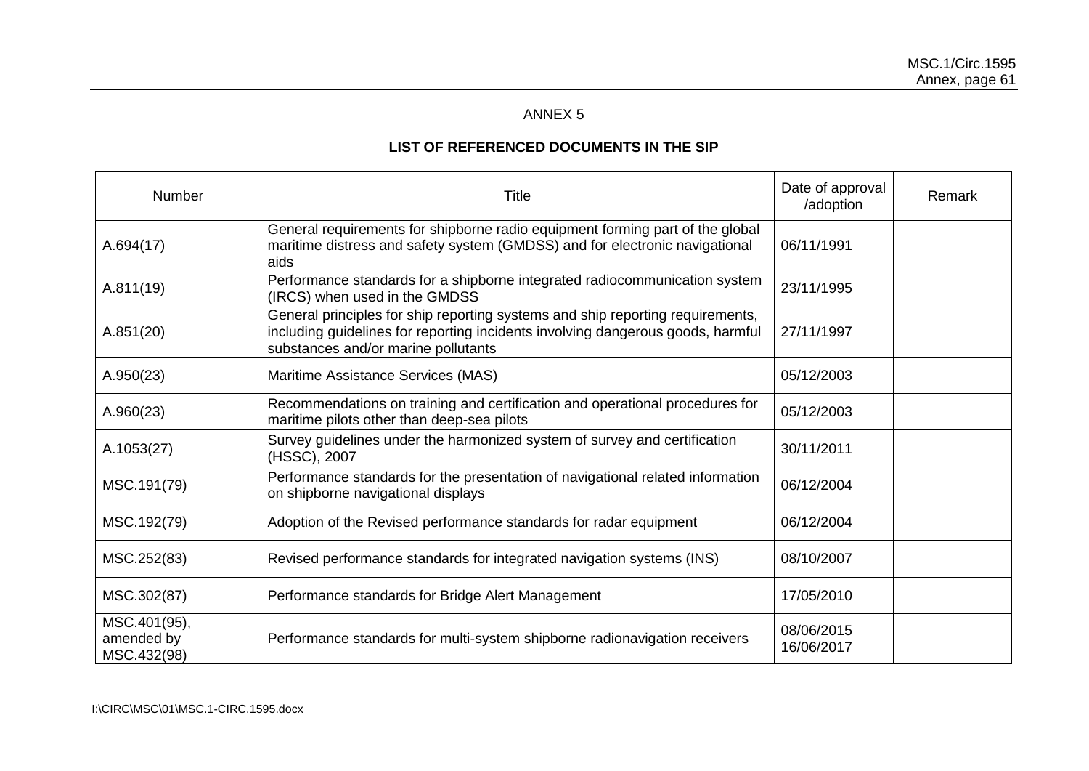# ANNEX 5

# **LIST OF REFERENCED DOCUMENTS IN THE SIP**

<span id="page-62-6"></span><span id="page-62-5"></span><span id="page-62-4"></span><span id="page-62-3"></span><span id="page-62-2"></span><span id="page-62-1"></span><span id="page-62-0"></span>

| Number                                    | Title                                                                                                                                                                                                    | Date of approval<br>/adoption | Remark |
|-------------------------------------------|----------------------------------------------------------------------------------------------------------------------------------------------------------------------------------------------------------|-------------------------------|--------|
| A.694(17)                                 | General requirements for shipborne radio equipment forming part of the global<br>maritime distress and safety system (GMDSS) and for electronic navigational<br>aids                                     | 06/11/1991                    |        |
| A.811(19)                                 | Performance standards for a shipborne integrated radiocommunication system<br>(IRCS) when used in the GMDSS                                                                                              | 23/11/1995                    |        |
| A.851(20)                                 | General principles for ship reporting systems and ship reporting requirements,<br>including guidelines for reporting incidents involving dangerous goods, harmful<br>substances and/or marine pollutants | 27/11/1997                    |        |
| A.950(23)                                 | Maritime Assistance Services (MAS)                                                                                                                                                                       | 05/12/2003                    |        |
| A.960(23)                                 | Recommendations on training and certification and operational procedures for<br>maritime pilots other than deep-sea pilots                                                                               | 05/12/2003                    |        |
| A.1053(27)                                | Survey guidelines under the harmonized system of survey and certification<br>(HSSC), 2007                                                                                                                | 30/11/2011                    |        |
| MSC.191(79)                               | Performance standards for the presentation of navigational related information<br>on shipborne navigational displays                                                                                     | 06/12/2004                    |        |
| MSC.192(79)                               | Adoption of the Revised performance standards for radar equipment                                                                                                                                        | 06/12/2004                    |        |
| MSC.252(83)                               | Revised performance standards for integrated navigation systems (INS)                                                                                                                                    | 08/10/2007                    |        |
| MSC.302(87)                               | Performance standards for Bridge Alert Management                                                                                                                                                        | 17/05/2010                    |        |
| MSC.401(95),<br>amended by<br>MSC.432(98) | Performance standards for multi-system shipborne radionavigation receivers                                                                                                                               | 08/06/2015<br>16/06/2017      |        |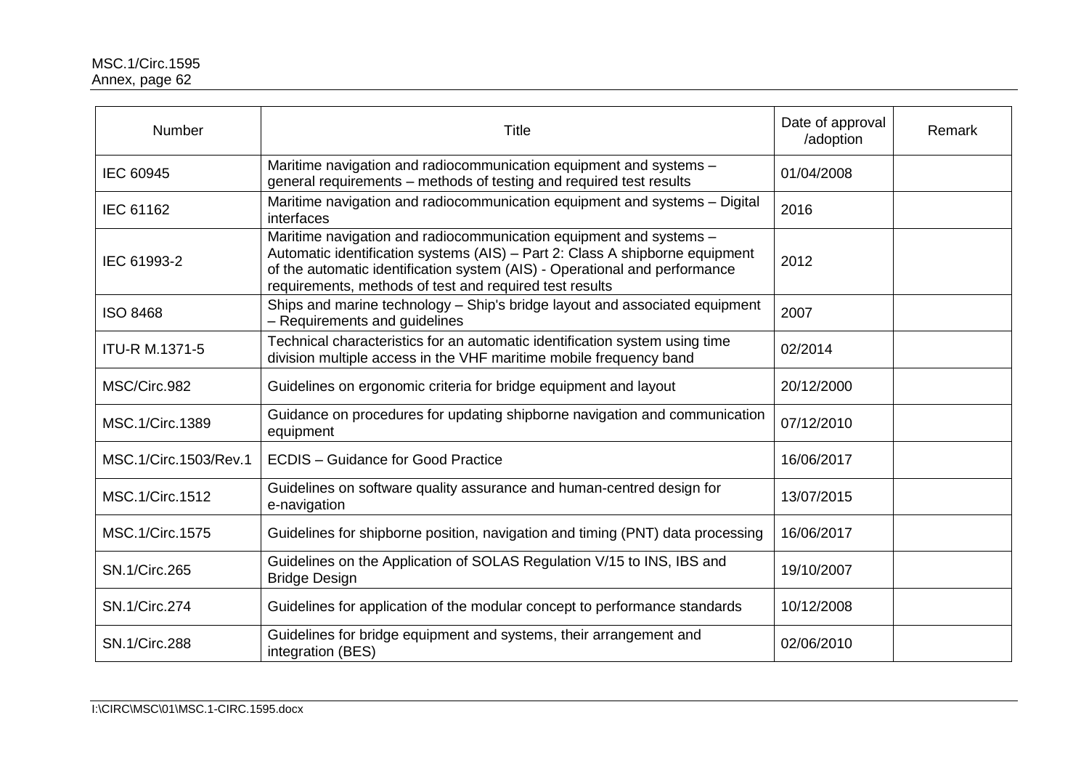<span id="page-63-12"></span><span id="page-63-11"></span><span id="page-63-10"></span><span id="page-63-9"></span><span id="page-63-8"></span><span id="page-63-7"></span><span id="page-63-6"></span><span id="page-63-5"></span><span id="page-63-4"></span><span id="page-63-3"></span><span id="page-63-2"></span><span id="page-63-1"></span><span id="page-63-0"></span>

| Number                 | <b>Title</b>                                                                                                                                                                                                                                                                                | Date of approval<br>/adoption | Remark |
|------------------------|---------------------------------------------------------------------------------------------------------------------------------------------------------------------------------------------------------------------------------------------------------------------------------------------|-------------------------------|--------|
| <b>IEC 60945</b>       | Maritime navigation and radiocommunication equipment and systems -<br>general requirements - methods of testing and required test results                                                                                                                                                   | 01/04/2008                    |        |
| IEC 61162              | Maritime navigation and radiocommunication equipment and systems - Digital<br>interfaces                                                                                                                                                                                                    | 2016                          |        |
| IEC 61993-2            | Maritime navigation and radiocommunication equipment and systems -<br>Automatic identification systems (AIS) - Part 2: Class A shipborne equipment<br>of the automatic identification system (AIS) - Operational and performance<br>requirements, methods of test and required test results | 2012                          |        |
| <b>ISO 8468</b>        | Ships and marine technology - Ship's bridge layout and associated equipment<br>- Requirements and guidelines                                                                                                                                                                                | 2007                          |        |
| <b>ITU-R M.1371-5</b>  | Technical characteristics for an automatic identification system using time<br>division multiple access in the VHF maritime mobile frequency band                                                                                                                                           | 02/2014                       |        |
| MSC/Circ.982           | Guidelines on ergonomic criteria for bridge equipment and layout                                                                                                                                                                                                                            | 20/12/2000                    |        |
| MSC.1/Circ.1389        | Guidance on procedures for updating shipborne navigation and communication<br>equipment                                                                                                                                                                                                     | 07/12/2010                    |        |
| MSC.1/Circ.1503/Rev.1  | <b>ECDIS</b> – Guidance for Good Practice                                                                                                                                                                                                                                                   | 16/06/2017                    |        |
| MSC.1/Circ.1512        | Guidelines on software quality assurance and human-centred design for<br>e-navigation                                                                                                                                                                                                       | 13/07/2015                    |        |
| <b>MSC.1/Circ.1575</b> | Guidelines for shipborne position, navigation and timing (PNT) data processing                                                                                                                                                                                                              | 16/06/2017                    |        |
| <b>SN.1/Circ.265</b>   | Guidelines on the Application of SOLAS Regulation V/15 to INS, IBS and<br><b>Bridge Design</b>                                                                                                                                                                                              | 19/10/2007                    |        |
| <b>SN.1/Circ.274</b>   | Guidelines for application of the modular concept to performance standards                                                                                                                                                                                                                  | 10/12/2008                    |        |
| <b>SN.1/Circ.288</b>   | Guidelines for bridge equipment and systems, their arrangement and<br>integration (BES)                                                                                                                                                                                                     | 02/06/2010                    |        |